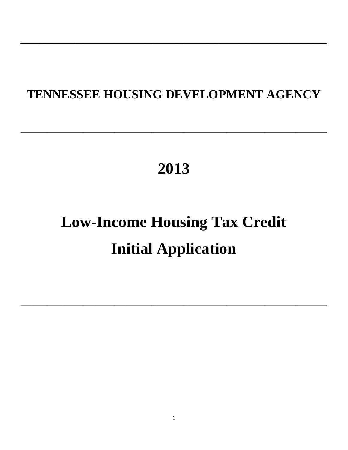## **TENNESSEE HOUSING DEVELOPMENT AGENCY**

 $\mathcal{L}_\text{max}$  and  $\mathcal{L}_\text{max}$  and  $\mathcal{L}_\text{max}$  and  $\mathcal{L}_\text{max}$  and  $\mathcal{L}_\text{max}$ 

 $\mathcal{L}_\text{max}$  and  $\mathcal{L}_\text{max}$  and  $\mathcal{L}_\text{max}$  and  $\mathcal{L}_\text{max}$  and  $\mathcal{L}_\text{max}$ 

## **2013**

# **Low-Income Housing Tax Credit Initial Application**

 $\mathcal{L}_\text{max}$  and  $\mathcal{L}_\text{max}$  and  $\mathcal{L}_\text{max}$  and  $\mathcal{L}_\text{max}$  and  $\mathcal{L}_\text{max}$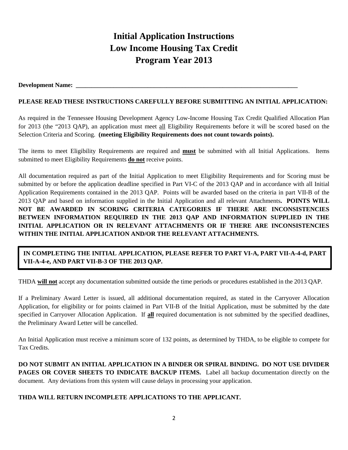## **Initial Application Instructions Low Income Housing Tax Credit Program Year 2013**

#### Development Name:

#### **PLEASE READ THESE INSTRUCTIONS CAREFULLY BEFORE SUBMITTING AN INITIAL APPLICATION:**

As required in the Tennessee Housing Development Agency Low-Income Housing Tax Credit Qualified Allocation Plan for 2013 (the "2013 QAP), an application must meet all Eligibility Requirements before it will be scored based on the Selection Criteria and Scoring. **(meeting Eligibility Requirements does not count towards points).**

The items to meet Eligibility Requirements are required and **must** be submitted with all Initial Applications. Items submitted to meet Eligibility Requirements **do not** receive points.

All documentation required as part of the Initial Application to meet Eligibility Requirements and for Scoring must be submitted by or before the application deadline specified in Part VI-C of the 2013 QAP and in accordance with all Initial Application Requirements contained in the 2013 QAP. Points will be awarded based on the criteria in part VII-B of the 2013 QAP and based on information supplied in the Initial Application and all relevant Attachments**. POINTS WILL NOT BE AWARDED IN SCORING CRITERIA CATEGORIES IF THERE ARE INCONSISTENCIES BETWEEN INFORMATION REQUIRED IN THE 2013 QAP AND INFORMATION SUPPLIED IN THE INITIAL APPLICATION OR IN RELEVANT ATTACHMENTS OR IF THERE ARE INCONSISTENCIES WITHIN THE INITIAL APPLICATION AND/OR THE RELEVANT ATTACHMENTS.**

#### **IN COMPLETING THE INITIAL APPLICATION, PLEASE REFER TO PART VI-A, PART VII-A-4-d, PART VII-A-4-e, AND PART VII-B-3 OF THE 2013 QAP.**

THDA **will not** accept any documentation submitted outside the time periods or procedures established in the 2013 QAP.

If a Preliminary Award Letter is issued, all additional documentation required, as stated in the Carryover Allocation Application, for eligibility or for points claimed in Part VII-B of the Initial Application, must be submitted by the date specified in Carryover Allocation Application. If **all** required documentation is not submitted by the specified deadlines, the Preliminary Award Letter will be cancelled.

An Initial Application must receive a minimum score of 132 points, as determined by THDA, to be eligible to compete for Tax Credits.

**DO NOT SUBMIT AN INITIAL APPLICATION IN A BINDER OR SPIRAL BINDING. DO NOT USE DIVIDER PAGES OR COVER SHEETS TO INDICATE BACKUP ITEMS.** Label all backup documentation directly on the document. Any deviations from this system will cause delays in processing your application.

#### **THDA WILL RETURN INCOMPLETE APPLICATIONS TO THE APPLICANT.**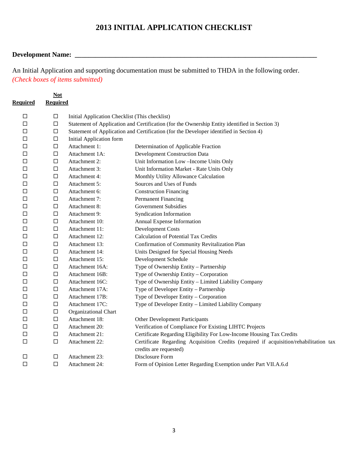### **2013 INITIAL APPLICATION CHECKLIST**

#### **Development Name: \_\_\_\_\_\_\_\_\_\_\_\_\_\_\_\_\_\_\_\_\_\_\_\_\_\_\_\_\_\_\_\_\_\_\_\_\_\_\_\_\_\_\_\_\_\_\_\_\_\_\_\_\_\_\_\_\_\_\_\_\_\_\_\_\_\_\_\_\_\_\_**

An Initial Application and supporting documentation must be submitted to THDA in the following order. *(Check boxes of items submitted)*

|                 | <b>Not</b>      |                                                |                                                                                                                 |
|-----------------|-----------------|------------------------------------------------|-----------------------------------------------------------------------------------------------------------------|
| <b>Required</b> | <b>Required</b> |                                                |                                                                                                                 |
| □               | $\Box$          | Initial Application Checklist (This checklist) |                                                                                                                 |
| □               | $\Box$          |                                                | Statement of Application and Certification (for the Ownership Entity identified in Section 3)                   |
| □               | $\Box$          |                                                | Statement of Application and Certification (for the Developer identified in Section 4)                          |
| ⊔               | $\Box$          | <b>Initial Application form</b>                |                                                                                                                 |
| □               | $\Box$          | Attachment 1:                                  | Determination of Applicable Fraction                                                                            |
| □               | $\Box$          | Attachment 1A:                                 | <b>Development Construction Data</b>                                                                            |
| □               | $\Box$          | Attachment 2:                                  | Unit Information Low-Income Units Only                                                                          |
| □               | $\Box$          | Attachment 3:                                  | Unit Information Market - Rate Units Only                                                                       |
| □               | $\Box$          | Attachment 4:                                  | Monthly Utility Allowance Calculation                                                                           |
| □               | $\Box$          | Attachment 5:                                  | Sources and Uses of Funds                                                                                       |
| □               | $\Box$          | Attachment 6:                                  | <b>Construction Financing</b>                                                                                   |
| □               | $\Box$          | Attachment 7:                                  | Permanent Financing                                                                                             |
| □               | $\Box$          | Attachment 8:                                  | <b>Government Subsidies</b>                                                                                     |
| ◻               | $\Box$          | Attachment 9:                                  | <b>Syndication Information</b>                                                                                  |
| ◻               | $\Box$          | Attachment 10:                                 | Annual Expense Information                                                                                      |
| □               | $\Box$          | Attachment 11:                                 | <b>Development Costs</b>                                                                                        |
| □               | $\Box$          | Attachment 12:                                 | <b>Calculation of Potential Tax Credits</b>                                                                     |
| П               | $\Box$          | Attachment 13:                                 | Confirmation of Community Revitalization Plan                                                                   |
| □               | $\Box$          | Attachment 14:                                 | Units Designed for Special Housing Needs                                                                        |
| □               | $\Box$          | Attachment 15:                                 | Development Schedule                                                                                            |
| □               | $\Box$          | Attachment 16A:                                | Type of Ownership Entity - Partnership                                                                          |
| ◻               | $\Box$          | Attachment 16B:                                | Type of Ownership Entity - Corporation                                                                          |
| □               | $\Box$          | Attachment 16C:                                | Type of Ownership Entity - Limited Liability Company                                                            |
| □               | $\Box$          | Attachment 17A:                                | Type of Developer Entity - Partnership                                                                          |
| □               | $\Box$          | Attachment 17B:                                | Type of Developer Entity - Corporation                                                                          |
| □               | $\Box$          | Attachment 17C:                                | Type of Developer Entity - Limited Liability Company                                                            |
| □               | $\Box$          | Organizational Chart                           |                                                                                                                 |
| □               | $\Box$          | Attachment 18:                                 | Other Development Participants                                                                                  |
| □               | $\Box$          | Attachment 20:                                 | Verification of Compliance For Existing LIHTC Projects                                                          |
| □               | $\Box$          | Attachment 21:                                 | Certificate Regarding Eligibility For Low-Income Housing Tax Credits                                            |
| $\Box$          | $\Box$          | Attachment 22:                                 | Certificate Regarding Acquisition Credits (required if acquisition/rehabilitation tax<br>credits are requested) |
| □               | □               | Attachment 23:                                 | Disclosure Form                                                                                                 |
| $\Box$          | $\Box$          | Attachment 24:                                 | Form of Opinion Letter Regarding Exemption under Part VII.A.6.d                                                 |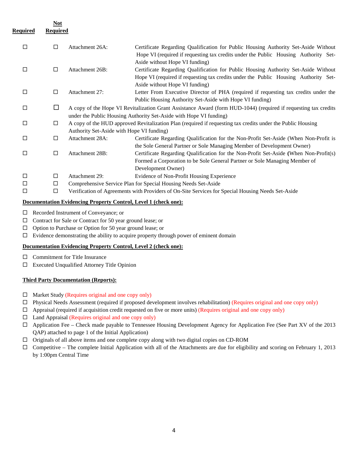|                 | Not             |                                           |                                                                                                                                                                                                             |
|-----------------|-----------------|-------------------------------------------|-------------------------------------------------------------------------------------------------------------------------------------------------------------------------------------------------------------|
| <u>Required</u> | <b>Required</b> |                                           |                                                                                                                                                                                                             |
| $\Box$          | $\Box$          | Attachment 26A:                           | Certificate Regarding Qualification for Public Housing Authority Set-Aside Without<br>Hope VI (required if requesting tax credits under the Public Housing Authority Set-<br>Aside without Hope VI funding) |
| $\Box$          | □               | Attachment 26B:                           | Certificate Regarding Qualification for Public Housing Authority Set-Aside Without<br>Hope VI (required if requesting tax credits under the Public Housing Authority Set-<br>Aside without Hope VI funding) |
| $\Box$          | $\Box$          | Attachment 27:                            | Letter From Executive Director of PHA (required if requesting tax credits under the<br>Public Housing Authority Set-Aside with Hope VI funding)                                                             |
| 口               | □               |                                           | A copy of the Hope VI Revitalization Grant Assistance Award (form HUD-1044) (required if requesting tax credits<br>under the Public Housing Authority Set-Aside with Hope VI funding)                       |
| $\Box$          | $\Box$          | Authority Set-Aside with Hope VI funding) | A copy of the HUD approved Revitalization Plan (required if requesting tax credits under the Public Housing                                                                                                 |
| $\Box$          | $\Box$          | Attachment 28A:                           | Certificate Regarding Qualification for the Non-Profit Set-Aside (When Non-Profit is<br>the Sole General Partner or Sole Managing Member of Development Owner)                                              |
| $\Box$          | $\Box$          | Attachment 28B:                           | Certificate Regarding Qualification for the Non-Profit Set-Aside (When Non-Profit(s)<br>Formed a Corporation to be Sole General Partner or Sole Managing Member of<br>Development Owner)                    |
| $\Box$          | $\Box$          | Attachment 29:                            | Evidence of Non-Profit Housing Experience                                                                                                                                                                   |
| □               | □               |                                           | Comprehensive Service Plan for Special Housing Needs Set-Aside                                                                                                                                              |
| $\Box$          | $\Box$          |                                           | Verification of Agreements with Providers of On-Site Services for Special Housing Needs Set-Aside                                                                                                           |

#### **Documentation Evidencing Property Control, Level 1 (check one):**

- Recorded Instrument of Conveyance; or
- □ Contract for Sale or Contract for 50 year ground lease; or
- $\Box$  Option to Purchase or Option for 50 year ground lease; or
- $\square$  Evidence demonstrating the ability to acquire property through power of eminent domain

#### **Documentation Evidencing Property Control, Level 2 (check one):**

- $\Box$  Commitment for Title Insurance
- Executed Unqualified Attorney Title Opinion

#### **Third Party Documentation (Reports):**

- $\Box$  Market Study (Requires original and one copy only)
- $\Box$  Physical Needs Assessment (required if proposed development involves rehabilitation) (Requires original and one copy only)
- $\Box$  Appraisal (required if acquisition credit requested on five or more units) (Requires original and one copy only)
- $\Box$  Land Appraisal (Requires original and one copy only)
- $\Box$  Application Fee Check made payable to Tennessee Housing Development Agency for Application Fee (See Part XV of the 2013 QAP) attached to page 1 of the Initial Application)
- $\Box$  Originals of all above items and one complete copy along with two digital copies on CD-ROM
- $\Box$  Competitive The complete Initial Application with all of the Attachments are due for eligibility and scoring on February 1, 2013 by 1:00pm Central Time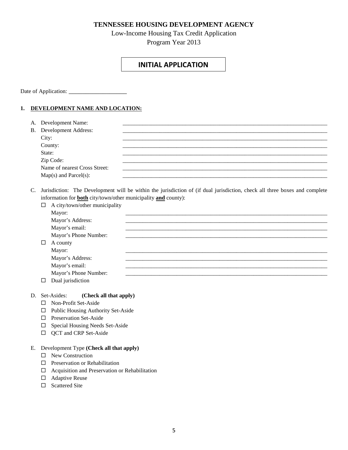#### **TENNESSEE HOUSING DEVELOPMENT AGENCY**

Low-Income Housing Tax Credit Application Program Year 2013

#### **INITIAL APPLICATION**

Date of Application: \_\_\_\_\_\_\_\_\_\_\_\_\_\_\_\_\_

#### **1. DEVELOPMENT NAME AND LOCATION:**

| A. Development Name:           |  |
|--------------------------------|--|
| <b>B.</b> Development Address: |  |
| City:                          |  |
| County:                        |  |
| State:                         |  |
| Zip Code:                      |  |
| Name of nearest Cross Street:  |  |
| $Map(s)$ and Parcel $(s)$ :    |  |

C. Jurisdiction: The Development will be within the jurisdiction of (if dual jurisdiction, check all three boxes and complete information for **both** city/town/other municipality **and** county):

| $\Box$ | A city/town/other municipality |  |
|--------|--------------------------------|--|
|        | Mayor:                         |  |
|        | Mayor's Address:               |  |
|        | Mayor's email:                 |  |
|        | Mayor's Phone Number:          |  |
| $\Box$ | A county                       |  |
|        | Mayor:                         |  |
|        | Mayor's Address:               |  |
|        | Mayor's email:                 |  |
|        | Mayor's Phone Number:          |  |
| $\Box$ | Dual jurisdiction              |  |

#### D. Set-Asides: **(Check all that apply)**

- Non-Profit Set-Aside
- $\Box$  Public Housing Authority Set-Aside
- Preservation Set-Aside
- $\Box$  Special Housing Needs Set-Aside
- $\Box$  QCT and CRP Set-Aside

#### E. Development Type **(Check all that apply)**

- $\square$  New Construction
- $\square$  Preservation or Rehabilitation
- $\hfill\Box$  <br> <br> Acquisition and Preservation or Rehabilitation
- Adaptive Reuse
- $\Box$  Scattered Site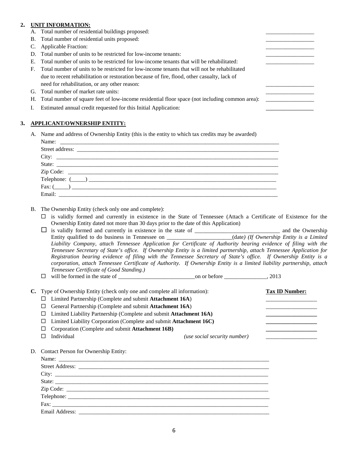#### **2. UNIT INFORMATION:**

- A. Total number of residential buildings proposed:
- B. Total number of residential units proposed:
- C. Applicable Fraction:
- D. Total number of units to be restricted for low-income tenants:
- E. Total number of units to be restricted for low-income tenants that will be rehabilitated:
- F. Total number of units to be restricted for low-income tenants that will not be rehabilitated due to recent rehabilitation or restoration because of fire, flood, other casualty, lack of need for rehabilitation, or any other reason:
- G. Total number of market rate units:
- H. Total number of square feet of low-income residential floor space (not including common area): \_\_\_\_\_\_\_\_\_\_\_\_\_\_\_\_\_
- I. Estimated annual credit requested for this Initial Application:

#### **3. APPLICANT/OWNERSHIP ENTITY:**

A. Name and address of Ownership Entity (this is the entity to which tax credits may be awarded)

| $Zip Code: \n \n\nTelephone: (\_\_\_\_\_\_\_\_\_$ |
|---------------------------------------------------|
| Fax: (                                            |
|                                                   |

- B. The Ownership Entity (check only one and complete):
	- $\Box$  is validly formed and currently in existence in the State of Tennessee (Attach a Certificate of Existence for the Ownership Entity dated not more than 30 days prior to the date of this Application)
	- is validly formed and currently in existence in the state of \_\_\_\_\_\_\_\_\_\_\_\_\_\_\_\_\_\_\_\_\_\_\_\_\_\_\_\_\_\_ and the Ownership Entity qualified to do business in Tennessee on \_\_\_\_\_\_\_\_\_\_\_\_\_\_\_\_\_\_\_\_\_\_\_(date*) (If Ownership Entity is a Limited Liability Company, attach Tennessee Application for Certificate of Authority bearing evidence of filing with the Tennessee Secretary of State's office. If Ownership Entity is a limited partnership, attach Tennessee Application for Registration bearing evidence of filing with the Tennessee Secretary of State's office. If Ownership Entity is a corporation, attach Tennessee Certificate of Authority. If Ownership Entity is a limited liability partnership, attach Tennessee Certificate of Good Standing.)*
	- will be formed in the state of \_\_\_\_\_\_\_\_\_\_\_\_\_\_\_\_\_\_\_\_\_\_\_\_\_\_\_on or before \_\_\_\_\_\_\_\_\_\_\_\_\_\_\_, 2013

| C. Type of Ownership Entity (check only one and complete all information): |                                                                           |                              | <b>Tax ID Number:</b> |
|----------------------------------------------------------------------------|---------------------------------------------------------------------------|------------------------------|-----------------------|
| ◻                                                                          | Limited Partnership (Complete and submit Attachment 16A)                  |                              |                       |
| ⊔                                                                          | General Partnership (Complete and submit Attachment 16A)                  |                              |                       |
|                                                                            | $\Box$ Limited Liability Partnership (Complete and submit Attachment 16A) |                              |                       |
|                                                                            | $\Box$ Limited Liability Corporation (Complete and submit Attachment 16C) |                              |                       |
| ப                                                                          | Corporation (Complete and submit Attachment 16B)                          |                              |                       |
|                                                                            | Individual                                                                | (use social security number) |                       |
|                                                                            |                                                                           |                              |                       |

D. Contact Person for Ownership Entity:

| State: |  |  |
|--------|--|--|
|        |  |  |
|        |  |  |
|        |  |  |
|        |  |  |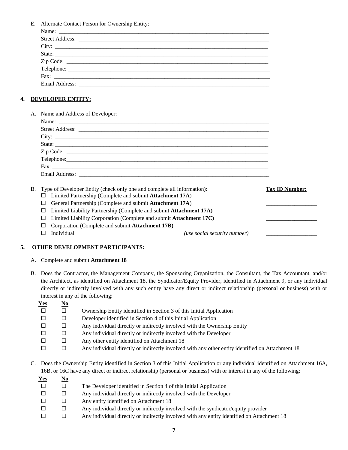E. Alternate Contact Person for Ownership Entity:

| State:     |
|------------|
|            |
| Telephone: |
|            |
|            |

#### **4. DEVELOPER ENTITY:**

A. Name and Address of Developer:

| State:                          |  |  |
|---------------------------------|--|--|
|                                 |  |  |
|                                 |  |  |
|                                 |  |  |
| Email Address: ________________ |  |  |

|     | B. Type of Developer Entity (check only one and complete all information):<br>Limited Partnership (Complete and submit Attachment 17A) |                              | <b>Tax ID Number:</b> |
|-----|----------------------------------------------------------------------------------------------------------------------------------------|------------------------------|-----------------------|
|     |                                                                                                                                        |                              |                       |
| L L | General Partnership (Complete and submit Attachment 17A)                                                                               |                              |                       |
|     | Limited Liability Partnership (Complete and submit Attachment 17A)                                                                     |                              |                       |
|     | Limited Liability Corporation (Complete and submit Attachment 17C)                                                                     |                              |                       |
|     | Corporation (Complete and submit Attachment 17B)                                                                                       |                              |                       |
|     | Individual                                                                                                                             | (use social security number) |                       |

#### **5. OTHER DEVELOPMENT PARTICIPANTS:**

- A. Complete and submit **Attachment 18**
- B. Does the Contractor, the Management Company, the Sponsoring Organization, the Consultant, the Tax Accountant, and/or the Architect, as identified on Attachment 18, the Syndicator/Equity Provider, identified in Attachment 9, or any individual directly or indirectly involved with any such entity have any direct or indirect relationship (personal or business) with or interest in any of the following:

| $Yes$ | $\underline{\mathbf{N}\mathbf{o}}$ |                                                                                                  |
|-------|------------------------------------|--------------------------------------------------------------------------------------------------|
|       |                                    | Ownership Entity identified in Section 3 of this Initial Application                             |
|       |                                    | Developer identified in Section 4 of this Initial Application                                    |
|       |                                    | Any individual directly or indirectly involved with the Ownership Entity                         |
|       |                                    | Any individual directly or indirectly involved with the Developer                                |
|       |                                    | Any other entity identified on Attachment 18                                                     |
|       |                                    | Any individual directly or indirectly involved with any other entity identified on Attachment 18 |

C. Does the Ownership Entity identified in Section 3 of this Initial Application or any individual identified on Attachment 16A, 16B, or 16C have any direct or indirect relationship (personal or business) with or interest in any of the following:

| <u>Yes</u> | $\underline{\mathbf{N}\mathbf{o}}$ |                                                                                            |
|------------|------------------------------------|--------------------------------------------------------------------------------------------|
|            |                                    | The Developer identified in Section 4 of this Initial Application                          |
|            |                                    | Any individual directly or indirectly involved with the Developer                          |
| $\Box$     | П                                  | Any entity identified on Attachment 18                                                     |
|            |                                    | Any individual directly or indirectly involved with the syndicator/equity provider         |
|            |                                    | Any individual directly or indirectly involved with any entity identified on Attachment 18 |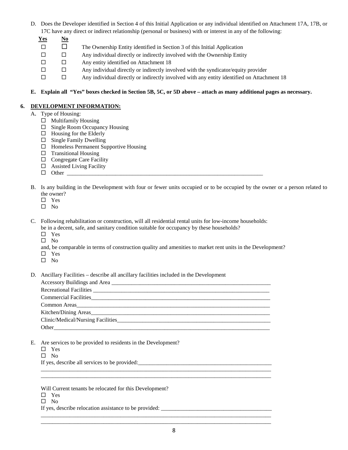- D. Does the Developer identified in Section 4 of this Initial Application or any individual identified on Attachment 17A, 17B, or 17C have any direct or indirect relationship (personal or business) with or interest in any of the following:
	- **Yes No**
	- $\square$  The Ownership Entity identified in Section 3 of this Initial Application
	- $\square$  Any individual directly or indirectly involved with the Ownership Entity
	- $\square$  Any entity identified on Attachment 18
	- $\square$  Any individual directly or indirectly involved with the syndicator/equity provider
	- $\square$  Any individual directly or indirectly involved with any entity identified on Attachment 18

#### **E. Explain all "Yes" boxes checked in Section 5B, 5C, or 5D above – attach as many additional pages as necessary.**

#### **6. DEVELOPMENT INFORMATION:**

- A. Type of Housing:
	- $\Box$  Multifamily Housing
	- $\Box$  Single Room Occupancy Housing
	- $\Box$  Housing for the Elderly
	- $\square$  Single Family Dwelling
	- $\Box$  Homeless Permanent Supportive Housing
	- $\square$  Transitional Housing
	- $\Box$  Congregate Care Facility
	- $\Box$  Assisted Living Facility
	- $\Box$  Other
- B. Is any building in the Development with four or fewer units occupied or to be occupied by the owner or a person related to the owner?
	- Yes
	- $\square$  No

C. Following rehabilitation or construction, will all residential rental units for low-income households: be in a decent, safe, and sanitary condition suitable for occupancy by these households?

- Yes
- $\square$  No

and, be comparable in terms of construction quality and amenities to market rent units in the Development?

- Yes
- $\square$  No

D. Ancillary Facilities – describe all ancillary facilities included in the Development

| Common Areas                      |
|-----------------------------------|
|                                   |
| Clinic/Medical/Nursing Facilities |
|                                   |

\_\_\_\_\_\_\_\_\_\_\_\_\_\_\_\_\_\_\_\_\_\_\_\_\_\_\_\_\_\_\_\_\_\_\_\_\_\_\_\_\_\_\_\_\_\_\_\_\_\_\_\_\_\_\_\_\_\_\_\_\_\_\_\_\_\_\_\_\_\_\_\_\_\_\_\_\_\_\_\_\_ \_\_\_\_\_\_\_\_\_\_\_\_\_\_\_\_\_\_\_\_\_\_\_\_\_\_\_\_\_\_\_\_\_\_\_\_\_\_\_\_\_\_\_\_\_\_\_\_\_\_\_\_\_\_\_\_\_\_\_\_\_\_\_\_\_\_\_\_\_\_\_\_\_\_\_\_\_\_\_\_\_

\_\_\_\_\_\_\_\_\_\_\_\_\_\_\_\_\_\_\_\_\_\_\_\_\_\_\_\_\_\_\_\_\_\_\_\_\_\_\_\_\_\_\_\_\_\_\_\_\_\_\_\_\_\_\_\_\_\_\_\_\_\_\_\_\_\_\_\_\_\_\_\_\_\_\_\_\_\_\_\_\_ \_\_\_\_\_\_\_\_\_\_\_\_\_\_\_\_\_\_\_\_\_\_\_\_\_\_\_\_\_\_\_\_\_\_\_\_\_\_\_\_\_\_\_\_\_\_\_\_\_\_\_\_\_\_\_\_\_\_\_\_\_\_\_\_\_\_\_\_\_\_\_\_\_\_\_\_\_\_\_\_\_

- E. Are services to be provided to residents in the Development?
	- □ Yes
	- $\square$  No

If yes, describe all services to be provided:\_\_\_\_\_\_\_\_\_\_\_\_\_\_\_\_\_\_\_\_\_\_\_\_\_\_\_\_\_\_\_\_\_\_\_\_\_\_\_\_\_\_\_\_\_\_\_

Will Current tenants be relocated for this Development?

- □ Yes
- $\square$  No

If yes, describe relocation assistance to be provided: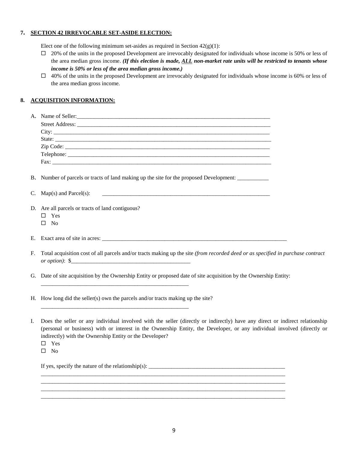#### **7. SECTION 42 IRREVOCABLE SET-ASIDE ELECTION:**

Elect one of the following minimum set-asides as required in Section  $42(g)(1)$ :

- $\Box$  20% of the units in the proposed Development are irrevocably designated for individuals whose income is 50% or less of the area median gross income. *(If this election is made, ALL non-market rate units will be restricted to tenants whose income is 50% or less of the area median gross income.)*
- $\Box$  40% of the units in the proposed Development are irrevocably designated for individuals whose income is 60% or less of the area median gross income.

#### **8. ACQUISITION INFORMATION:**

| A.          | Name of Seller:                                                                                                                                                                                                         |  |
|-------------|-------------------------------------------------------------------------------------------------------------------------------------------------------------------------------------------------------------------------|--|
|             |                                                                                                                                                                                                                         |  |
|             |                                                                                                                                                                                                                         |  |
|             |                                                                                                                                                                                                                         |  |
|             |                                                                                                                                                                                                                         |  |
|             |                                                                                                                                                                                                                         |  |
|             |                                                                                                                                                                                                                         |  |
|             | B. Number of parcels or tracts of land making up the site for the proposed Development: ___________                                                                                                                     |  |
| C.          | $Map(s)$ and $Parcel(s)$ :<br><u> 1980 - Jan Barbara, martxa al II-lea (h. 1980).</u>                                                                                                                                   |  |
|             | D. Are all parcels or tracts of land contiguous?<br>Yes<br>$\Box$<br>N <sub>0</sub><br>П                                                                                                                                |  |
| Е.          |                                                                                                                                                                                                                         |  |
| $F_{\rm c}$ | Total acquisition cost of all parcels and/or tracts making up the site (from recorded deed or as specified in purchase contract<br>or option): $\frac{1}{2}$                                                            |  |
|             | G. Date of site acquisition by the Ownership Entity or proposed date of site acquisition by the Ownership Entity:<br>and the state of the state of the state of the state of the state of the state of the state of the |  |
|             | H. How long did the seller(s) own the parcels and/or tracts making up the site?                                                                                                                                         |  |

| I. Does the seller or any individual involved with the seller (directly or indirectly) have any direct or indirect relationship |
|---------------------------------------------------------------------------------------------------------------------------------|
| (personal or business) with or interest in the Ownership Entity, the Developer, or any individual involved (directly or         |
| indirectly) with the Ownership Entity or the Developer?                                                                         |

- □ Yes
- $\square$  No

If yes, specify the nature of the relationship(s):  $\frac{1}{\sqrt{2\pi}}$ \_\_\_\_\_\_\_\_\_\_\_\_\_\_\_\_\_\_\_\_\_\_\_\_\_\_\_\_\_\_\_\_\_\_\_\_\_\_\_\_\_\_\_\_\_\_\_\_\_\_\_\_\_\_\_\_\_\_\_\_\_\_\_\_\_\_\_\_\_\_\_\_\_\_\_\_\_\_\_\_\_\_\_\_\_\_

\_\_\_\_\_\_\_\_\_\_\_\_\_\_\_\_\_\_\_\_\_\_\_\_\_\_\_\_\_\_\_\_\_\_\_\_\_\_\_\_\_\_\_\_\_\_\_\_\_\_\_\_\_\_\_\_\_\_\_\_\_\_\_\_\_\_\_\_\_\_\_\_\_\_\_\_\_\_\_\_\_\_\_\_\_\_ \_\_\_\_\_\_\_\_\_\_\_\_\_\_\_\_\_\_\_\_\_\_\_\_\_\_\_\_\_\_\_\_\_\_\_\_\_\_\_\_\_\_\_\_\_\_\_\_\_\_\_\_\_\_\_\_\_\_\_\_\_\_\_\_\_\_\_\_\_\_\_\_\_\_\_\_\_\_\_\_\_\_\_\_\_\_ \_\_\_\_\_\_\_\_\_\_\_\_\_\_\_\_\_\_\_\_\_\_\_\_\_\_\_\_\_\_\_\_\_\_\_\_\_\_\_\_\_\_\_\_\_\_\_\_\_\_\_\_\_\_\_\_\_\_\_\_\_\_\_\_\_\_\_\_\_\_\_\_\_\_\_\_\_\_\_\_\_\_\_\_\_\_

\_\_\_\_\_\_\_\_\_\_\_\_\_\_\_\_\_\_\_\_\_\_\_\_\_\_\_\_\_\_\_\_\_\_\_\_\_\_\_\_\_\_\_\_\_\_\_\_\_\_\_\_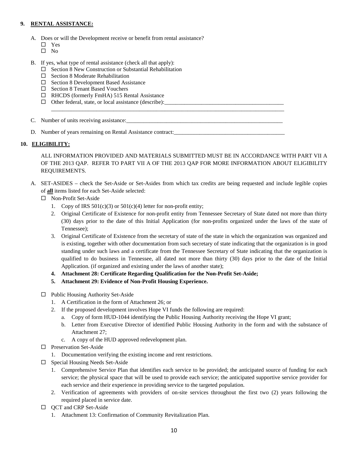#### **9. RENTAL ASSISTANCE:**

- A. Does or will the Development receive or benefit from rental assistance?
	- □ Yes
	- $\square$  No
- B. If yes, what type of rental assistance (check all that apply):
	- $\Box$  Section 8 New Construction or Substantial Rehabilitation
	- $\Box$  Section 8 Moderate Rehabilitation
	- $\Box$  Section 8 Development Based Assistance
	- □ Section 8 Tenant Based Vouchers
	- □ RHCDS (formerly FmHA) 515 Rental Assistance
	- $\Box$  Other federal, state, or local assistance (describe):

C. Number of units receiving assistance:

D. Number of years remaining on Rental Assistance contract:

#### **10. ELIGIBILITY:**

ALL INFORMATION PROVIDED AND MATERIALS SUBMITTED MUST BE IN ACCORDANCE WITH PART VII A OF THE 2013 QAP. REFER TO PART VII A OF THE 2013 QAP FOR MORE INFORMATION ABOUT ELIGIBILITY REQUIREMENTS.

A. SET-ASIDES – check the Set-Aside or Set-Asides from which tax credits are being requested and include legible copies of **all** items listed for each Set-Aside selected:

\_\_\_\_\_\_\_\_\_\_\_\_\_\_\_\_\_\_\_\_\_\_\_\_\_\_\_\_\_\_\_\_\_\_\_\_\_\_\_\_\_\_\_\_\_\_\_\_\_\_\_\_\_\_\_\_\_\_\_\_\_\_\_\_\_\_\_\_\_\_\_\_\_\_\_\_\_\_\_\_\_\_

- □ Non-Profit Set-Aside
	- 1. Copy of IRS  $501(c)(3)$  or  $501(c)(4)$  letter for non-profit entity;
	- 2. Original Certificate of Existence for non-profit entity from Tennessee Secretary of State dated not more than thirty (30) days prior to the date of this Initial Application (for non-profits organized under the laws of the state of Tennessee);
	- 3. Original Certificate of Existence from the secretary of state of the state in which the organization was organized and is existing, together with other documentation from such secretary of state indicating that the organization is in good standing under such laws and a certificate from the Tennessee Secretary of State indicating that the organization is qualified to do business in Tennessee, all dated not more than thirty (30) days prior to the date of the Initial Application. (if organized and existing under the laws of another state);
	- **4. Attachment 28: Certificate Regarding Qualification for the Non-Profit Set-Aside;**
	- **5. Attachment 29: Evidence of Non-Profit Housing Experience.**
- $\Box$  Public Housing Authority Set-Aside
	- 1. A Certification in the form of Attachment 26; or
	- 2. If the proposed development involves Hope VI funds the following are required:
		- a. Copy of form HUD-1044 identifying the Public Housing Authority receiving the Hope VI grant;
		- b. Letter from Executive Director of identified Public Housing Authority in the form and with the substance of Attachment 27;
		- c. A copy of the HUD approved redevelopment plan.
- $\square$  Preservation Set-Aside
	- 1. Documentation verifying the existing income and rent restrictions.
- $\square$  Special Housing Needs Set-Aside
	- 1. Comprehensive Service Plan that identifies each service to be provided; the anticipated source of funding for each service; the physical space that will be used to provide each service; the anticipated supportive service provider for each service and their experience in providing service to the targeted population.
	- 2. Verification of agreements with providers of on-site services throughout the first two (2) years following the required placed in service date.
- □ OCT and CRP Set-Aside
	- 1. Attachment 13: Confirmation of Community Revitalization Plan.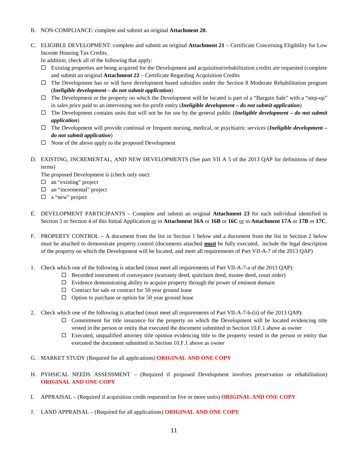- B. NON-COMPLIANCE: complete and submit an original **Attachment 20.**
- C. ELIGIBLE DEVELOPMENT: complete and submit an original **Attachment 21** Certificate Concerning Eligibility for Low Income Housing Tax Credits.

In addition, check all of the following that apply:

- $\Box$  Existing properties are being acquired for the Development and acquisition/rehabilitation credits are requested (complete and submit an original **Attachment 22** – Certificate Regarding Acquisition Credits
- $\Box$  The Development has or will have development based subsidies under the Section 8 Moderate Rehabilitation program (*Ineligible development – do not submit application*)
- $\Box$  The Development or the property on which the Development will be located is part of a "Bargain Sale" with a "step-up" in sales price paid to an intervening not-for-profit entity (*Ineligible development – do not submit application*)
- $\Box$  The Development contains units that will not be for use by the general public *(Ineligible development do not submit*) *application*)
- The Development will provide continual or frequent nursing, medical, or psychiatric services (*Ineligible development – do not submit application*)
- $\Box$  None of the above apply to the proposed Development
- D. EXISTING, INCREMENTAL, AND NEW DEVELOPMENTS (See part VII A 5 of the 2013 QAP for definitions of these terms)

The proposed Development is (check only one):

- $\Box$  an "existing" project
- □ an "incremental" project
- □ a "new" project
- E. DEVELOPMENT PARTICIPANTS Complete and submit an original **Attachment 23** for each individual identified in Section 3 or Section 4 of this Initial Application or in **Attachment 16A** or **16B** or **16C** or in **Attachment 17A** or **17B** or **17C**.
- F. PROPERTY CONTROL A document from the list in Section 1 below and a document from the list in Section 2 below must be attached to demonstrate property control (documents attached **must** be fully executed, include the legal description of the property on which the Development will be located, and meet all requirements of Part VII-A-7 of the 2013 QAP)
- 1. Check which one of the following is attached (must meet all requirements of Part VII-A-7-a of the 2013 QAP):
	- Recorded instrument of conveyance (warranty deed, quitclaim deed, trustee deed, court order)
	- $\Box$  Evidence demonstrating ability to acquire property through the power of eminent domain
	- $\Box$  Contract for sale or contract for 50 year ground lease
	- $\Box$  Option to purchase or option for 50 year ground lease
- 2. Check which one of the following is attached (must meet all requirements of Part VII-A-7-b-(ii) of the 2013 QAP):
	- $\Box$  Commitment for title insurance for the property on which the Development will be located evidencing title vested in the person or entity that executed the document submitted in Section 10.F.1 above as owner
	- $\Box$  Executed, unqualified attorney title opinion evidencing title to the property vested in the person or entity that executed the document submitted in Section 10.F.1 above as owner
- G. MARKET STUDY (Required for all applications) **ORIGINAL AND ONE COPY**
- H. PYHSICAL NEEDS ASSESSMENT (Required if proposed Development involves preservation or rehabilitation) **ORIGINAL AND ONE COPY**
- I. APPRAISAL (Required if acquisition credit requested on five or more units) **ORIGINAL AND ONE COPY**
- J. LAND APPRAISAL (Required for all applications) **ORIGINAL AND ONE COPY**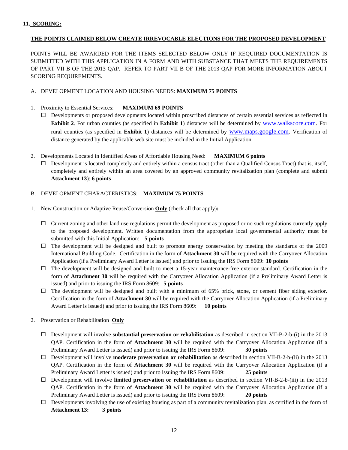#### **THE POINTS CLAIMED BELOW CREATE IRREVOCABLE ELECTIONS FOR THE PROPOSED DEVELOPMENT**

POINTS WILL BE AWARDED FOR THE ITEMS SELECTED BELOW ONLY IF REQUIRED DOCUMENTATION IS SUBMITTED WITH THIS APPLICATION IN A FORM AND WITH SUBSTANCE THAT MEETS THE REQUIREMENTS OF PART VII B OF THE 2013 QAP. REFER TO PART VII B OF THE 2013 QAP FOR MORE INFORMATION ABOUT SCORING REQUIREMENTS.

#### A. DEVELOPMENT LOCATION AND HOUSING NEEDS: **MAXIMUM 75 POINTS**

#### 1. Proximity to Essential Services: **MAXIMUM 69 POINTS**

- $\square$  Developments or proposed developments located within proscribed distances of certain essential services as reflected in **Exhibit 2**. For urban counties (as specified in **Exhibit 1**) distances will be determined by [www.walkscore.com.](http://www.walkscore.com/) For rural counties (as specified in **Exhibit 1**) distances will be determined by [www.maps.google.com.](http://www.maps.google.com/) Verification of distance generated by the applicable web site must be included in the Initial Application.
- 2. Developments Located in Identified Areas of Affordable Housing Need: **MAXIMUM 6 points**
	- $\Box$  Development is located completely and entirely within a census tract (other than a Qualified Census Tract) that is, itself, completely and entirely within an area covered by an approved community revitalization plan (complete and submit **Attachment 13**): **6 points**

#### B. DEVELOPMENT CHARACTERISTICS: **MAXIMUM 75 POINTS**

- 1. New Construction or Adaptive Reuse/Conversion **Only** (check all that apply)**:**
	- $\Box$  Current zoning and other land use regulations permit the development as proposed or no such regulations currently apply to the proposed development. Written documentation from the appropriate local governmental authority must be submitted with this Initial Application: **5 points**
	- $\Box$  The development will be designed and built to promote energy conservation by meeting the standards of the 2009 International Building Code. Certification in the form of **Attachment 30** will be required with the Carryover Allocation Application (if a Preliminary Award Letter is issued) and prior to issuing the IRS Form 8609: **10 points**
	- $\Box$  The development will be designed and built to meet a 15-year maintenance-free exterior standard. Certification in the form of **Attachment 30** will be required with the Carryover Allocation Application (if a Preliminary Award Letter is issued) and prior to issuing the IRS Form 8609: **5 points**
	- $\Box$  The development will be designed and built with a minimum of 65% brick, stone, or cement fiber siding exterior. Certification in the form of **Attachment 30** will be required with the Carryover Allocation Application (if a Preliminary Award Letter is issued) and prior to issuing the IRS Form 8609: **10 points**
- 2. Preservation or Rehabilitation **Only**
	- Development will involve **substantial preservation or rehabilitation** as described in section VII-B-2-b-(i) in the 2013 QAP. Certification in the form of **Attachment 30** will be required with the Carryover Allocation Application (if a Preliminary Award Letter is issued) and prior to issuing the IRS Form 8609: **30 points**
	- Development will involve **moderate preservation or rehabilitation** as described in section VII-B-2-b-(ii) in the 2013 QAP. Certification in the form of **Attachment 30** will be required with the Carryover Allocation Application (if a Preliminary Award Letter is issued) and prior to issuing the IRS Form 8609: **25 points**
	- Development will involve **limited preservation or rehabilitation** as described in section VII-B-2-b-(iii) in the 2013 QAP. Certification in the form of **Attachment 30** will be required with the Carryover Allocation Application (if a Preliminary Award Letter is issued) and prior to issuing the IRS Form 8609: **20 points**
	- $\Box$  Developments involving the use of existing housing as part of a community revitalization plan, as certified in the form of **Attachment 13: 3 points**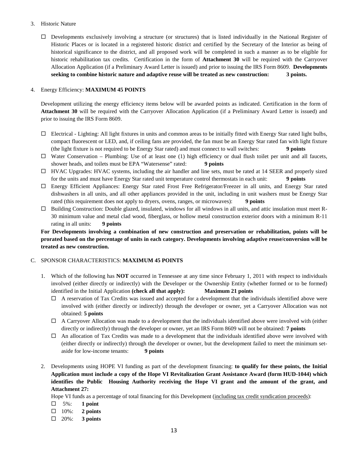#### 3. Historic Nature

 Developments exclusively involving a structure (or structures) that is listed individually in the National Register of Historic Places or is located in a registered historic district and certified by the Secretary of the Interior as being of historical significance to the district, and all proposed work will be completed in such a manner as to be eligible for historic rehabilitation tax credits. Certification in the form of **Attachment 30** will be required with the Carryover Allocation Application (if a Preliminary Award Letter is issued) and prior to issuing the IRS Form 8609. **Developments seeking to combine historic nature and adaptive reuse will be treated as new construction: 3 points.**

#### 4. Energy Efficiency: **MAXIMUM 45 POINTS**

Development utilizing the energy efficiency items below will be awarded points as indicated. Certification in the form of **Attachment 30** will be required with the Carryover Allocation Application (if a Preliminary Award Letter is issued) and prior to issuing the IRS Form 8609.

- $\Box$  Electrical Lighting: All light fixtures in units and common areas to be initially fitted with Energy Star rated light bulbs, compact fluorescent or LED, and, if ceiling fans are provided, the fan must be an Energy Star rated fan with light fixture (the light fixture is not required to be Energy Star rated) and must connect to wall switches: **9 points**
- $\Box$  Water Conservation Plumbing: Use of at least one (1) high efficiency or dual flush toilet per unit and all faucets, shower heads, and toilets must be EPA "Watersense" rated: **9 points**
- $\Box$  HVAC Upgrades: HVAC systems, including the air handler and line sets, must be rated at 14 SEER and properly sized for the units and must have Energy Star rated unit temperature control thermostats in each unit: **9 points**
- Energy Efficient Appliances: Energy Star rated Frost Free Refrigerator/Freezer in all units, and Energy Star rated dishwashers in all units, and all other appliances provided in the unit, including in unit washers must be Energy Star rated (this requirement does not apply to dryers, ovens, ranges, or microwaves): **9 points**
- $\Box$  Building Construction: Double glazed, insulated, windows for all windows in all units, and attic insulation must meet R-30 minimum value and metal clad wood, fiberglass, or hollow metal construction exterior doors with a minimum R-11 rating in all units: **9 points**

**For Developments involving a combination of new construction and preservation or rehabilitation, points will be prorated based on the percentage of units in each category. Developments involving adaptive reuse/conversion will be treated as new construction.**

#### C. SPONSOR CHARACTERISTICS: **MAXIMUM 45 POINTS**

- 1. Which of the following has **NOT** occurred in Tennessee at any time since February 1, 2011 with respect to individuals involved (either directly or indirectly) with the Developer or the Ownership Entity (whether formed or to be formed) identified in the Initial Application **(check all that apply): Maximum 21 points**
	- $\Box$  A reservation of Tax Credits was issued and accepted for a development that the individuals identified above were involved with (either directly or indirectly) through the developer or owner, yet a Carryover Allocation was not obtained: **5 points**
	- $\Box$  A Carryover Allocation was made to a development that the individuals identified above were involved with (either directly or indirectly) through the developer or owner, yet an IRS Form 8609 will not be obtained: **7 points**
	- $\Box$  An allocation of Tax Credits was made to a development that the individuals identified above were involved with (either directly or indirectly) through the developer or owner, but the development failed to meet the minimum setaside for low-income tenants: **9 points**
- 2. Developments using HOPE VI funding as part of the development financing: **to qualify for these points, the Initial Application must include a copy of the Hope VI Revitalization Grant Assistance Award (form HUD-1044) which identifies the Public Housing Authority receiving the Hope VI grant and the amount of the grant, and Attachment 27:**

Hope VI funds as a percentage of total financing for this Development (including tax credit syndication proceeds):

- 5%: **1 point**
- 10%: **2 points**
- 20%: **3 points**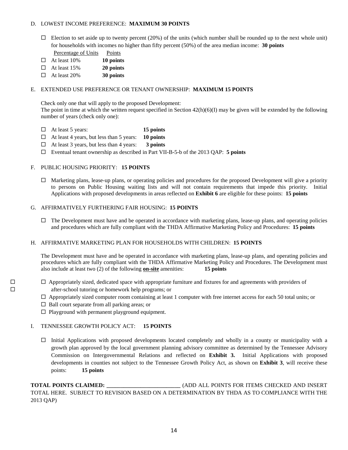#### D. LOWEST INCOME PREFERENCE: **MAXIMUM 30 POINTS**

- $\Box$  Election to set aside up to twenty percent (20%) of the units (which number shall be rounded up to the next whole unit) for households with incomes no higher than fifty percent (50%) of the area median income: **30 points** Percentage of Units Points
- At least 10% **10 points**
- At least 15% **20 points**
- At least 20% **30 points**

#### E. EXTENDED USE PREFERENCE OR TENANT OWNERSHIP: **MAXIMUM 15 POINTS**

Check only one that will apply to the proposed Development:

The point in time at which the written request specified in Section  $42(h)(6)(I)$  may be given will be extended by the following number of years (check only one):

- At least 5 years: **15 points**
- At least 4 years, but less than 5 years: **10 points**
- At least 3 years, but less than 4 years: **3 points**
- Eventual tenant ownership as described in Part VII-B-5-b of the 2013 QAP: **5 points**

#### F. PUBLIC HOUSING PRIORITY: **15 POINTS**

 $\Box$  Marketing plans, lease-up plans, or operating policies and procedures for the proposed Development will give a priority to persons on Public Housing waiting lists and will not contain requirements that impede this priority. Initial Applications with proposed developments in areas reflected on **Exhibit 6** are eligible for these points: **15 points**

#### G. AFFIRMATIVELY FURTHERING FAIR HOUSING: **15 POINTS**

 $\Box$  The Development must have and be operated in accordance with marketing plans, lease-up plans, and operating policies and procedures which are fully compliant with the THDA Affirmative Marketing Policy and Procedures: **15 points**

#### H. AFFIRMATIVE MARKETING PLAN FOR HOUSEHOLDS WITH CHILDREN: **15 POINTS**

The Development must have and be operated in accordance with marketing plans, lease-up plans, and operating policies and procedures which are fully compliant with the THDA Affirmative Marketing Policy and Procedures. The Development must also include at least two (2) of the following **on-site** amenities: **15 points**

- $\Box$   $\Box$  Appropriately sized, dedicated space with appropriate furniture and fixtures for and agreements with providers of after-school tutoring or homework help programs; or
	- $\Box$  Appropriately sized computer room containing at least 1 computer with free internet access for each 50 total units; or
	- $\Box$  Ball court separate from all parking areas; or
	- $\square$  Playground with permanent playground equipment.

#### I. TENNESSEE GROWTH POLICY ACT: **15 POINTS**

 $\Box$  Initial Applications with proposed developments located completely and wholly in a county or municipality with a growth plan approved by the local government planning advisory committee as determined by the Tennessee Advisory Commission on Intergovernmental Relations and reflected on **Exhibit 3.** Initial Applications with proposed developments in counties not subject to the Tennessee Growth Policy Act, as shown on **Exhibit 3**, will receive these points: **15 points**

**TOTAL POINTS CLAIMED:**  $(ADD ALL POINTS FOR ITEMS CHECKED AND INSERT$ TOTAL HERE. SUBJECT TO REVISION BASED ON A DETERMINATION BY THDA AS TO COMPLIANCE WITH THE 2013 QAP)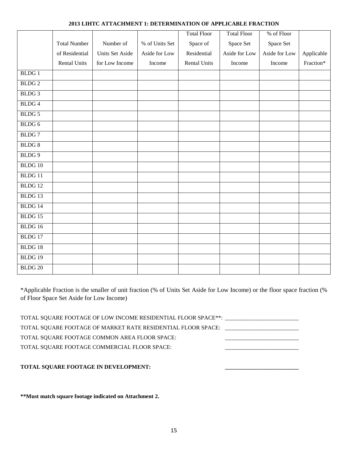#### **2013 LIHTC ATTACHMENT 1: DETERMINATION OF APPLICABLE FRACTION**

|                    |                     |                 |                | <b>Total Floor</b>  | <b>Total Floor</b> | % of Floor    |            |
|--------------------|---------------------|-----------------|----------------|---------------------|--------------------|---------------|------------|
|                    | <b>Total Number</b> | Number of       | % of Units Set | Space of            | Space Set          | Space Set     |            |
|                    | of Residential      | Units Set Aside | Aside for Low  | Residential         | Aside for Low      | Aside for Low | Applicable |
|                    | <b>Rental Units</b> | for Low Income  | Income         | <b>Rental Units</b> | Income             | Income        | Fraction*  |
| <b>BLDG1</b>       |                     |                 |                |                     |                    |               |            |
| <b>BLDG2</b>       |                     |                 |                |                     |                    |               |            |
| BLDG 3             |                     |                 |                |                     |                    |               |            |
| <b>BLDG4</b>       |                     |                 |                |                     |                    |               |            |
| BLDG 5             |                     |                 |                |                     |                    |               |            |
| BLDG 6             |                     |                 |                |                     |                    |               |            |
| <b>BLDG7</b>       |                     |                 |                |                     |                    |               |            |
| <b>BLDG8</b>       |                     |                 |                |                     |                    |               |            |
| BLDG 9             |                     |                 |                |                     |                    |               |            |
| BLDG 10            |                     |                 |                |                     |                    |               |            |
| BLDG <sub>11</sub> |                     |                 |                |                     |                    |               |            |
| BLDG <sub>12</sub> |                     |                 |                |                     |                    |               |            |
| BLDG 13            |                     |                 |                |                     |                    |               |            |
| BLDG 14            |                     |                 |                |                     |                    |               |            |
| BLDG 15            |                     |                 |                |                     |                    |               |            |
| BLDG 16            |                     |                 |                |                     |                    |               |            |
| BLDG 17            |                     |                 |                |                     |                    |               |            |
| BLDG 18            |                     |                 |                |                     |                    |               |            |
| BLDG 19            |                     |                 |                |                     |                    |               |            |
| BLDG <sub>20</sub> |                     |                 |                |                     |                    |               |            |

\*Applicable Fraction is the smaller of unit fraction (% of Units Set Aside for Low Income) or the floor space fraction (% of Floor Space Set Aside for Low Income)

TOTAL SQUARE FOOTAGE OF LOW INCOME RESIDENTIAL FLOOR SPACE \*\*: \_\_\_\_\_\_\_\_\_\_\_\_\_\_\_\_\_ TOTAL SQUARE FOOTAGE OF MARKET RATE RESIDENTIAL FLOOR SPACE: \_\_\_\_\_\_\_\_\_\_\_\_\_\_\_\_\_\_\_ TOTAL SQUARE FOOTAGE COMMON AREA FLOOR SPACE: TOTAL SQUARE FOOTAGE COMMERCIAL FLOOR SPACE:

#### **TOTAL SQUARE FOOTAGE IN DEVELOPMENT: \_\_\_\_\_\_\_\_\_\_\_\_\_\_\_\_\_\_\_\_\_\_\_\_\_\_**

**\*\*Must match square footage indicated on Attachment 2.**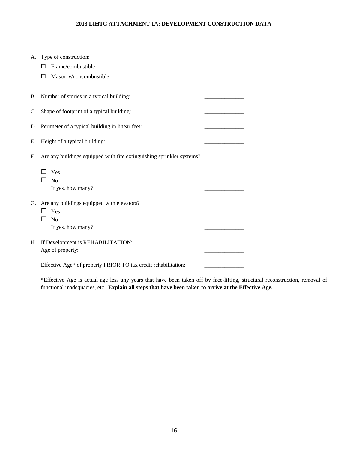#### **2013 LIHTC ATTACHMENT 1A: DEVELOPMENT CONSTRUCTION DATA**

|    | A. Type of construction:                                              |  |
|----|-----------------------------------------------------------------------|--|
|    | Frame/combustible<br>П                                                |  |
|    | Masonry/noncombustible<br>□                                           |  |
|    |                                                                       |  |
|    | B. Number of stories in a typical building:                           |  |
| C. | Shape of footprint of a typical building:                             |  |
|    |                                                                       |  |
|    | D. Perimeter of a typical building in linear feet:                    |  |
| Е. | Height of a typical building:                                         |  |
| F. | Are any buildings equipped with fire extinguishing sprinkler systems? |  |
|    | Yes                                                                   |  |
|    | $\Box$ No                                                             |  |
|    | If yes, how many?                                                     |  |
|    |                                                                       |  |
|    | G. Are any buildings equipped with elevators?                         |  |
|    | Yes<br>- 1<br>No<br>⊔                                                 |  |
|    | If yes, how many?                                                     |  |
|    |                                                                       |  |
| Н. | If Development is REHABILITATION:                                     |  |
|    | Age of property:                                                      |  |
|    |                                                                       |  |

\*Effective Age is actual age less any years that have been taken off by face-lifting, structural reconstruction, removal of functional inadequacies, etc. **Explain all steps that have been taken to arrive at the Effective Age.**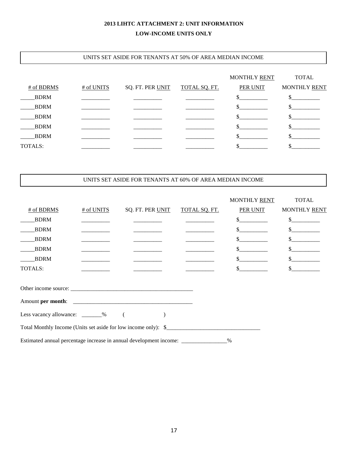#### **2013 LIHTC ATTACHMENT 2: UNIT INFORMATION LOW-INCOME UNITS ONLY**

#### UNITS SET ASIDE FOR TENANTS AT 50% OF AREA MEDIAN INCOME

|             |            |                  |                      | MONTHLY RENT    | <b>TOTAL</b> |
|-------------|------------|------------------|----------------------|-----------------|--------------|
| # of BDRMS  | # of UNITS | SQ. FT. PER UNIT | <b>TOTAL SQ. FT.</b> | <b>PER UNIT</b> | MONTHLY RENT |
| <b>BDRM</b> |            |                  |                      |                 |              |
| <b>BDRM</b> |            |                  |                      |                 |              |
| <b>BDRM</b> |            |                  |                      |                 |              |
| <b>BDRM</b> |            |                  |                      |                 |              |
| <b>BDRM</b> |            |                  |                      |                 |              |
| TOTALS:     |            |                  |                      |                 |              |

#### UNITS SET ASIDE FOR TENANTS AT 60% OF AREA MEDIAN INCOME

|                                                                    |            |                  |               | MONTHLY RENT                | <b>TOTAL</b>                                                                                                                                                                                                                                                                                                                                                                 |
|--------------------------------------------------------------------|------------|------------------|---------------|-----------------------------|------------------------------------------------------------------------------------------------------------------------------------------------------------------------------------------------------------------------------------------------------------------------------------------------------------------------------------------------------------------------------|
| # of BDRMS                                                         | # of UNITS | SQ. FT. PER UNIT | TOTAL SQ. FT. | <b>PER UNIT</b>             | MONTHLY RENT                                                                                                                                                                                                                                                                                                                                                                 |
| <b>BDRM</b>                                                        |            |                  |               | $\frac{\text{S}}{\text{S}}$ | $\frac{\sqrt{2}}{2}$                                                                                                                                                                                                                                                                                                                                                         |
| <b>BDRM</b>                                                        |            |                  |               | $\frac{\text{S}}{\text{S}}$ | s                                                                                                                                                                                                                                                                                                                                                                            |
| <b>BDRM</b>                                                        |            |                  |               | $\frac{\text{S}}{\text{S}}$ | $\frac{\S_{\frac{1}{2}}}{\S_{\frac{1}{2}}}{\S_{\frac{1}{2}}}{\S_{\frac{1}{2}}}{\S_{\frac{1}{2}}}{\S_{\frac{1}{2}}}{\S_{\frac{1}{2}}}{\S_{\frac{1}{2}}}{\S_{\frac{1}{2}}}{\S_{\frac{1}{2}}}{\S_{\frac{1}{2}}}{\S_{\frac{1}{2}}}{\S_{\frac{1}{2}}}{\S_{\frac{1}{2}}}{\S_{\frac{1}{2}}}{\S_{\frac{1}{2}}}{\S_{\frac{1}{2}}}{\S_{\frac{1}{2}}}{\S_{\frac{1}{2}}}{\S_{\frac{1}{2$ |
| <b>BDRM</b>                                                        |            |                  |               |                             | s                                                                                                                                                                                                                                                                                                                                                                            |
| <b>BDRM</b>                                                        |            |                  |               | $\frac{\text{S}}{\text{S}}$ | $\sim$                                                                                                                                                                                                                                                                                                                                                                       |
| TOTALS:                                                            |            |                  |               | $\mathbb{S}$                | $\frac{\text{S}}{\text{S}}$                                                                                                                                                                                                                                                                                                                                                  |
|                                                                    |            |                  |               |                             |                                                                                                                                                                                                                                                                                                                                                                              |
|                                                                    |            |                  |               |                             |                                                                                                                                                                                                                                                                                                                                                                              |
|                                                                    |            |                  |               |                             |                                                                                                                                                                                                                                                                                                                                                                              |
| Less vacancy allowance: _______% (                                 |            |                  |               |                             |                                                                                                                                                                                                                                                                                                                                                                              |
|                                                                    |            |                  |               |                             |                                                                                                                                                                                                                                                                                                                                                                              |
| Estimated annual percentage increase in annual development income: |            |                  |               | $\%$                        |                                                                                                                                                                                                                                                                                                                                                                              |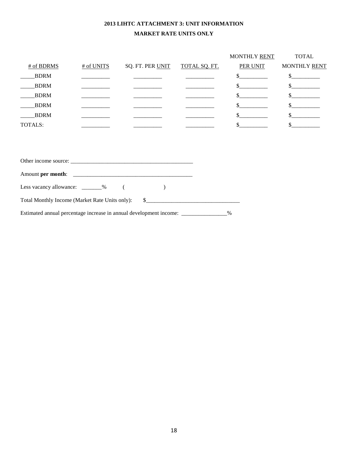#### **2013 LIHTC ATTACHMENT 3: UNIT INFORMATION MARKET RATE UNITS ONLY**

|                                   |            |                  |               | MONTHLY RENT                | <b>TOTAL</b>                  |
|-----------------------------------|------------|------------------|---------------|-----------------------------|-------------------------------|
| # of BDRMS                        | # of UNITS | SQ. FT. PER UNIT | TOTAL SQ. FT. | PER UNIT                    | MONTHLY RENT                  |
| <b>BDRM</b>                       |            |                  |               |                             | s                             |
| <b>BDRM</b>                       |            |                  |               | $\frac{\text{S}}{\text{S}}$ | $\frac{\text{S}}{\text{S}}$   |
| <b>BDRM</b>                       |            |                  |               | $\sim$                      | $\frac{\text{S}}{\text{S}}$   |
| <b>BDRM</b>                       |            |                  |               | $\mathcal{S}$               | $\mathcal{S}$                 |
| <b>BDRM</b>                       |            |                  |               | $\mathbf{s}$                | $\mathbb{S}$ and $\mathbb{S}$ |
| <b>TOTALS:</b>                    |            |                  |               | $\sim$ $\sim$               | $\sim$                        |
|                                   |            |                  |               |                             |                               |
|                                   |            |                  |               |                             |                               |
|                                   |            |                  |               |                             |                               |
| Other income source:              |            |                  |               |                             |                               |
|                                   |            |                  |               |                             |                               |
| Less vacancy allowance: ________% |            |                  |               |                             |                               |

Estimated annual percentage increase in annual development income: \_\_\_\_\_\_\_\_\_\_\_\_\_\_\_\_%

Total Monthly Income (Market Rate Units only): \$\_\_\_\_\_\_\_\_\_\_\_\_\_\_\_\_\_\_\_\_\_\_\_\_\_\_\_\_\_\_\_\_\_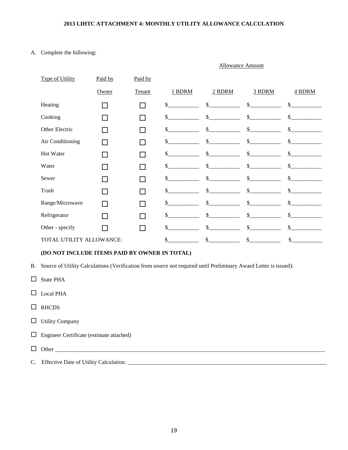#### **2013 LIHTC ATTACHMENT 4: MONTHLY UTILITY ALLOWANCE CALCULATION**

Allowance Amount

#### A. Complete the following:

| <b>Type of Utility</b>   | Paid by | Paid by |        |                    |               |              |
|--------------------------|---------|---------|--------|--------------------|---------------|--------------|
|                          | Owner   | Tenant  | 1 BDRM | 2 BDRM             | 3 BDRM        | 4 BDRM       |
| Heating                  |         |         | \$     | \$                 | \$            | \$           |
| Cooking                  |         |         | \$     | \$                 | $\mathbb{S}$  | \$           |
| Other Electric           |         |         | \$     | \$                 | $\mathcal{S}$ | \$           |
| Air Conditioning         |         |         | \$     | $\mathbb{S}$       | $\mathbb{S}$  | \$           |
| Hot Water                |         |         | \$     | \$                 | \$.           | \$           |
| Water                    |         |         | \$     | \$                 | $\mathcal{S}$ | \$           |
| Sewer                    |         |         | \$     | $\mathsf{\$}$      | $\mathsf{\$}$ | \$           |
| Trash                    |         |         | \$     | $\mathbb{S}$       | $\mathcal{S}$ | $\mathbb{S}$ |
| Range/Microwave          |         |         | \$     | \$                 | $\mathbb{S}$  | \$           |
| Refrigerator             |         |         | \$     | \$                 | \$            | \$           |
| Other - specify          |         |         | \$     | $\mathbf{\hat{s}}$ | \$            | \$           |
| TOTAL UTILITY ALLOWANCE: |         |         | \$     | \$                 | \$            | \$           |

#### **(DO NOT INCLUDE ITEMS PAID BY OWNER IN TOTAL)**

B. Source of Utility Calculations (Verification from source not required until Preliminary Award Letter is issued):

- □ State PHA
- $\Box$  Local PHA
- $\Box$  RHCDS
- $\Box$  Utility Company
- Engineer Certificate (estimate attached)
- Other \_\_\_\_\_\_\_\_\_\_\_\_\_\_\_\_\_\_\_\_\_\_\_\_\_\_\_\_\_\_\_\_\_\_\_\_\_\_\_\_\_\_\_\_\_\_\_\_\_\_\_\_\_\_\_\_\_\_\_\_\_\_\_\_\_\_\_\_\_\_\_\_\_\_\_\_\_\_\_\_\_\_\_\_\_\_\_\_\_\_\_\_\_\_\_
- C. Effective Date of Utility Calculation: \_\_\_\_\_\_\_\_\_\_\_\_\_\_\_\_\_\_\_\_\_\_\_\_\_\_\_\_\_\_\_\_\_\_\_\_\_\_\_\_\_\_\_\_\_\_\_\_\_\_\_\_\_\_\_\_\_\_\_\_\_\_\_\_\_\_\_\_\_\_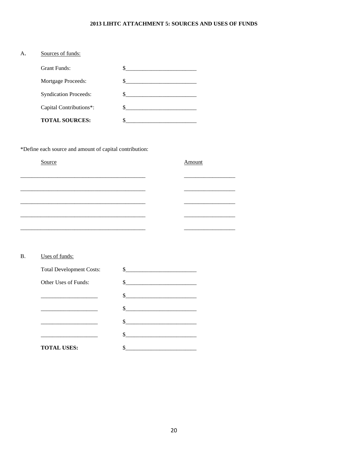#### 2013 LIHTC ATTACHMENT 5: SOURCES AND USES OF FUNDS

| А. | Sources of funds:            |  |
|----|------------------------------|--|
|    | <b>Grant Funds:</b>          |  |
|    | Mortgage Proceeds:           |  |
|    | <b>Syndication Proceeds:</b> |  |
|    | Capital Contributions*:      |  |
|    | <b>TOTAL SOURCES:</b>        |  |

\*Define each source and amount of capital contribution:

| Source | Amount |
|--------|--------|
|        |        |
|        |        |
|        |        |
|        |        |
|        |        |

#### Uses of funds:  $\, {\bf B}.$

| <b>Total Development Costs:</b> |        |
|---------------------------------|--------|
| Other Uses of Funds:            | $\sim$ |
|                                 | $\sim$ |
|                                 |        |
|                                 |        |
|                                 |        |
| <b>TOTAL USES:</b>              |        |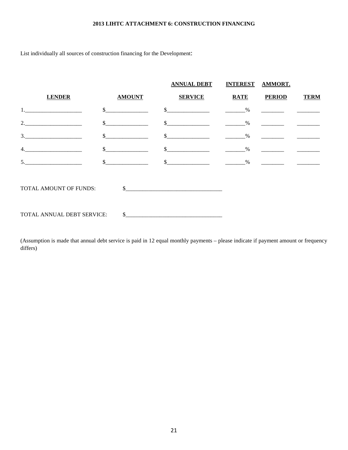#### **2013 LIHTC ATTACHMENT 6: CONSTRUCTION FINANCING**

List individually all sources of construction financing for the Development:

|                            |               | <b>ANNUAL DEBT</b> | <b>INTEREST</b> | <b>AMMORT.</b>                                                                     |             |
|----------------------------|---------------|--------------------|-----------------|------------------------------------------------------------------------------------|-------------|
| <b>LENDER</b>              | <b>AMOUNT</b> | <b>SERVICE</b>     | <b>RATE</b>     | <b>PERIOD</b>                                                                      | <b>TERM</b> |
|                            |               | $\sim$             | $\%$            |                                                                                    |             |
| 2.                         |               |                    | $\%$            |                                                                                    |             |
| 3.                         |               |                    | $\%$            |                                                                                    |             |
| 4.                         |               |                    | %               | $\overline{\phantom{a}}$ and $\overline{\phantom{a}}$ and $\overline{\phantom{a}}$ |             |
| 5.                         |               |                    | $\%$            |                                                                                    |             |
| TOTAL AMOUNT OF FUNDS:     | $\mathcal{S}$ |                    |                 |                                                                                    |             |
| TOTAL ANNUAL DEBT SERVICE: | <sup>\$</sup> |                    |                 |                                                                                    |             |

(Assumption is made that annual debt service is paid in 12 equal monthly payments – please indicate if payment amount or frequency differs)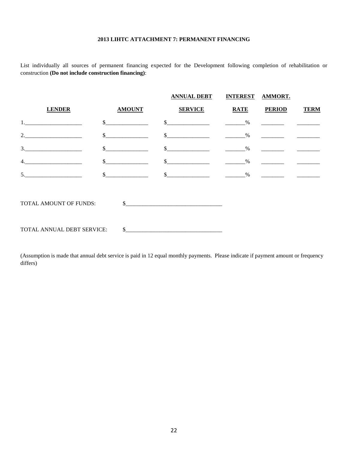#### **2013 LIHTC ATTACHMENT 7: PERMANENT FINANCING**

List individually all sources of permanent financing expected for the Development following completion of rehabilitation or construction **(Do not include construction financing)**:

|                            |               | <b>ANNUAL DEBT</b>                         | INTEREST AMMORT. |                                                               |             |
|----------------------------|---------------|--------------------------------------------|------------------|---------------------------------------------------------------|-------------|
| <b>LENDER</b>              | <b>AMOUNT</b> | <b>SERVICE</b>                             | <b>RATE</b>      | <b>PERIOD</b>                                                 | <b>TERM</b> |
| 1.                         |               |                                            |                  |                                                               |             |
| 2.                         |               | <u> 1980 - Johann Barbara, martin da k</u> | $\%$             |                                                               |             |
| 3.                         |               | \$                                         | $\%$             |                                                               |             |
| 4.                         |               | $\sim$                                     | $\%$             | $\mathcal{L}^{\text{max}}$ , where $\mathcal{L}^{\text{max}}$ |             |
| 5.                         |               | $\sim$                                     | $\%$             | <u> 1980 - Jan Alexandro Alexandro III (m. 1980)</u>          |             |
| TOTAL AMOUNT OF FUNDS:     |               |                                            |                  |                                                               |             |
| TOTAL ANNUAL DEBT SERVICE: |               |                                            |                  |                                                               |             |

(Assumption is made that annual debt service is paid in 12 equal monthly payments. Please indicate if payment amount or frequency differs)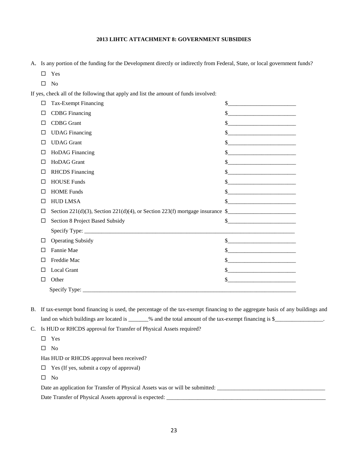#### **2013 LIHTC ATTACHMENT 8: GOVERNMENT SUBSIDIES**

A. Is any portion of the funding for the Development directly or indirectly from Federal, State, or local government funds?

- Yes
- $\Box$  No

If yes, check all of the following that apply and list the amount of funds involved:

| Π            | Tax-Exempt Financing                                                                     | \$                                                               |
|--------------|------------------------------------------------------------------------------------------|------------------------------------------------------------------|
| $\Box$       | <b>CDBG</b> Financing                                                                    | \$                                                               |
| ш            | <b>CDBG</b> Grant                                                                        | \$                                                               |
| $\Box$       | <b>UDAG</b> Financing                                                                    | \$                                                               |
| П            | <b>UDAG</b> Grant                                                                        | \$                                                               |
| $\Box$       | <b>HoDAG</b> Financing                                                                   | \$<br><u> 1989 - Jan James James, martin amerikan personal (</u> |
| ш            | HoDAG Grant                                                                              | \$                                                               |
| □            | <b>RHCDS</b> Financing                                                                   | \$                                                               |
| L            | <b>HOUSE Funds</b>                                                                       | \$                                                               |
| П            | <b>HOME Funds</b>                                                                        | \$.                                                              |
| П            | <b>HUD LMSA</b>                                                                          | \$<br><u> 1980 - Jan James Barnett, fizik a</u>                  |
| П            | Section 221(d)(3), Section 221(d)(4), or Section 223(f) mortgage insurance $\frac{1}{2}$ |                                                                  |
| □            | Section 8 Project Based Subsidy                                                          | $\mathbb{S}$                                                     |
|              |                                                                                          |                                                                  |
| □            | <b>Operating Subsidy</b>                                                                 | \$                                                               |
| $\Box$       | Fannie Mae                                                                               | \$                                                               |
| П            | Freddie Mac                                                                              | \$                                                               |
| $\mathsf{L}$ | <b>Local Grant</b>                                                                       | \$                                                               |
| LI           | Other                                                                                    | \$                                                               |
|              | Specify Type:                                                                            |                                                                  |

B. If tax-exempt bond financing is used, the percentage of the tax-exempt financing to the aggregate basis of any buildings and land on which buildings are located is \_\_\_\_\_\_\_% and the total amount of the tax-exempt financing is \$\_\_\_\_\_\_\_\_\_\_\_\_\_\_\_\_\_.

C. Is HUD or RHCDS approval for Transfer of Physical Assets required?

□ Yes

 $\square$  No

Has HUD or RHCDS approval been received?

- Yes (If yes, submit a copy of approval)
- $\square$  No

Date an application for Transfer of Physical Assets was or will be submitted: \_\_\_\_\_\_\_\_\_\_\_\_\_\_\_\_\_\_\_\_\_\_\_\_\_\_\_\_\_\_\_\_\_\_\_\_\_\_

Date Transfer of Physical Assets approval is expected: \_\_\_\_\_\_\_\_\_\_\_\_\_\_\_\_\_\_\_\_\_\_\_\_\_\_\_\_\_\_\_\_\_\_\_\_\_\_\_\_\_\_\_\_\_\_\_\_\_\_\_\_\_\_\_\_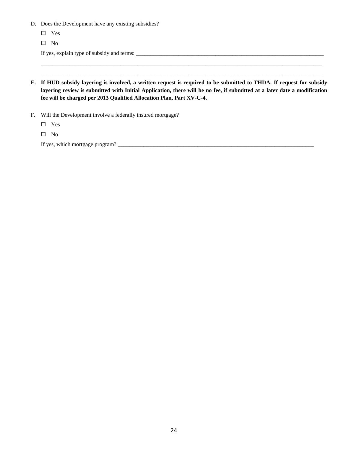- D. Does the Development have any existing subsidies?
	- Yes

 $\Box$  No

If yes, explain type of subsidy and terms: \_\_\_\_\_\_\_\_\_\_\_\_\_\_\_\_\_\_\_\_\_\_\_\_\_\_\_\_\_\_\_\_\_\_\_\_\_\_\_\_\_\_\_\_\_\_\_\_\_\_\_\_\_\_\_\_\_\_\_\_\_\_\_\_\_\_

**E. If HUD subsidy layering is involved, a written request is required to be submitted to THDA. If request for subsidy layering review is submitted with Initial Application, there will be no fee, if submitted at a later date a modification fee will be charged per 2013 Qualified Allocation Plan, Part XV-C-4.**

\_\_\_\_\_\_\_\_\_\_\_\_\_\_\_\_\_\_\_\_\_\_\_\_\_\_\_\_\_\_\_\_\_\_\_\_\_\_\_\_\_\_\_\_\_\_\_\_\_\_\_\_\_\_\_\_\_\_\_\_\_\_\_\_\_\_\_\_\_\_\_\_\_\_\_\_\_\_\_\_\_\_\_\_\_\_\_\_\_\_\_\_\_\_\_\_\_\_\_ \_\_\_\_\_\_\_\_\_\_\_\_\_\_\_\_\_\_\_\_\_\_\_\_\_\_\_\_\_\_\_\_\_\_\_\_\_\_\_\_\_\_\_\_\_\_\_\_\_\_\_\_\_\_\_\_\_\_\_\_\_\_\_\_\_\_\_\_\_\_\_\_\_\_\_\_\_\_\_\_\_\_\_\_\_\_\_\_\_\_\_\_\_\_\_\_\_\_\_

F. Will the Development involve a federally insured mortgage?

Yes

 $\hfill \square$  No

If yes, which mortgage program? \_\_\_\_\_\_\_\_\_\_\_\_\_\_\_\_\_\_\_\_\_\_\_\_\_\_\_\_\_\_\_\_\_\_\_\_\_\_\_\_\_\_\_\_\_\_\_\_\_\_\_\_\_\_\_\_\_\_\_\_\_\_\_\_\_\_\_\_\_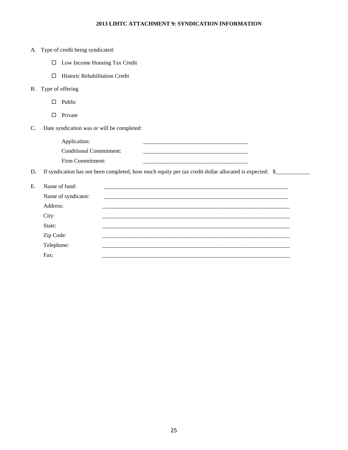#### **2013 LIHTC ATTACHMENT 9: SYNDICATION INFORMATION**

|    |            | A. Type of credit being syndicated:                                                                    |
|----|------------|--------------------------------------------------------------------------------------------------------|
|    | □          | Low Income Housing Tax Credit                                                                          |
|    | П          | Historic Rehabilitation Credit                                                                         |
| B. |            | Type of offering                                                                                       |
|    | П          | Public                                                                                                 |
|    | П          | Private                                                                                                |
| C. |            | Date syndication was or will be completed:                                                             |
|    |            | Application:                                                                                           |
|    |            | <b>Conditional Commitment:</b>                                                                         |
|    |            | Firm Commitment:                                                                                       |
| D. |            | If syndication has not been completed, how much equity per tax credit dollar allocated is expected: \$ |
| E. |            | Name of fund:                                                                                          |
|    |            | Name of syndicator:                                                                                    |
|    | Address:   |                                                                                                        |
|    | City:      |                                                                                                        |
|    | State:     |                                                                                                        |
|    | Zip Code:  |                                                                                                        |
|    | Telephone: |                                                                                                        |

Fax: \_\_\_\_\_\_\_\_\_\_\_\_\_\_\_\_\_\_\_\_\_\_\_\_\_\_\_\_\_\_\_\_\_\_\_\_\_\_\_\_\_\_\_\_\_\_\_\_\_\_\_\_\_\_\_\_\_\_\_\_\_\_\_\_\_\_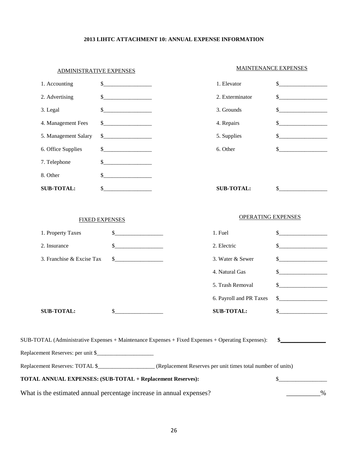#### **2013 LIHTC ATTACHMENT 10: ANNUAL EXPENSE INFORMATION**

| <b>ADMINISTRATIVE EXPENSES</b>                                       |                       | <b>MAINTENANCE EXPENSES</b>                                                                       |                           |                |
|----------------------------------------------------------------------|-----------------------|---------------------------------------------------------------------------------------------------|---------------------------|----------------|
| 1. Accounting                                                        | $\mathbb{S}$          | 1. Elevator                                                                                       |                           | $\mathbb{S}^-$ |
| 2. Advertising                                                       | \$                    | 2. Exterminator                                                                                   |                           | $\sim$         |
| 3. Legal                                                             |                       | 3. Grounds                                                                                        |                           | \$             |
| 4. Management Fees                                                   |                       | 4. Repairs                                                                                        |                           | \$.            |
| 5. Management Salary                                                 | \$                    | 5. Supplies                                                                                       |                           | \$             |
| 6. Office Supplies                                                   | \$                    | 6. Other                                                                                          |                           | $\mathbb{S}$   |
| 7. Telephone                                                         |                       |                                                                                                   |                           |                |
| 8. Other                                                             |                       |                                                                                                   |                           |                |
| <b>SUB-TOTAL:</b>                                                    | $\mathbb{S}$          | <b>SUB-TOTAL:</b>                                                                                 |                           | \$             |
|                                                                      |                       |                                                                                                   |                           |                |
|                                                                      | <b>FIXED EXPENSES</b> |                                                                                                   | <b>OPERATING EXPENSES</b> |                |
| 1. Property Taxes                                                    | \$                    | 1. Fuel                                                                                           |                           | \$             |
| 2. Insurance                                                         | $\sim$                | 2. Electric                                                                                       |                           |                |
| 3. Franchise & Excise Tax                                            | \$                    | 3. Water & Sewer                                                                                  |                           |                |
|                                                                      |                       | 4. Natural Gas                                                                                    |                           |                |
|                                                                      |                       | 5. Trash Removal                                                                                  |                           |                |
|                                                                      |                       | 6. Payroll and PR Taxes                                                                           |                           | $\mathbb{S}$   |
| <b>SUB-TOTAL:</b>                                                    | \$                    | <b>SUB-TOTAL:</b>                                                                                 |                           | $\mathbb{S}$   |
|                                                                      |                       |                                                                                                   |                           |                |
|                                                                      |                       | SUB-TOTAL (Administrative Expenses + Maintenance Expenses + Fixed Expenses + Operating Expenses): |                           |                |
| Replacement Reserves: per unit \$                                    |                       |                                                                                                   |                           |                |
|                                                                      |                       |                                                                                                   |                           |                |
| TOTAL ANNUAL EXPENSES: (SUB-TOTAL + Replacement Reserves):           |                       |                                                                                                   |                           | \$.            |
| What is the estimated annual percentage increase in annual expenses? |                       |                                                                                                   |                           | $\frac{0}{0}$  |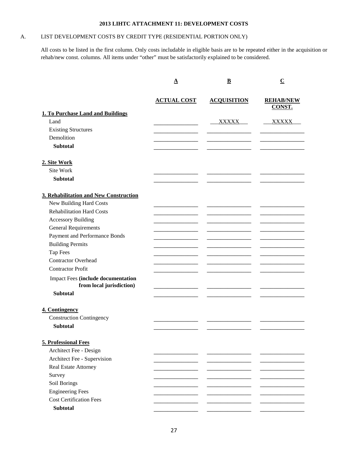#### **2013 LIHTC ATTACHMENT 11: DEVELOPMENT COSTS**

#### A. LIST DEVELOPMENT COSTS BY CREDIT TYPE (RESIDENTIAL PORTION ONLY)

All costs to be listed in the first column. Only costs includable in eligible basis are to be repeated either in the acquisition or rehab/new const. columns. All items under "other" must be satisfactorily explained to be considered.

|                                                                       | ${\bf \underline A}$ | $\overline{\mathbf{B}}$ | $\overline{\mathbf{C}}$           |
|-----------------------------------------------------------------------|----------------------|-------------------------|-----------------------------------|
|                                                                       | <b>ACTUAL COST</b>   | <b>ACQUISITION</b>      | <b>REHAB/NEW</b><br><b>CONST.</b> |
| <b>1. To Purchase Land and Buildings</b><br>Land                      |                      | <b>XXXXX</b>            | <b>XXXXX</b>                      |
| <b>Existing Structures</b>                                            |                      |                         |                                   |
| Demolition                                                            |                      |                         |                                   |
| <b>Subtotal</b>                                                       |                      |                         |                                   |
| 2. Site Work                                                          |                      |                         |                                   |
| Site Work                                                             |                      |                         |                                   |
| <b>Subtotal</b>                                                       |                      |                         |                                   |
|                                                                       |                      |                         |                                   |
| 3. Rehabilitation and New Construction                                |                      |                         |                                   |
| New Building Hard Costs                                               |                      |                         |                                   |
| <b>Rehabilitation Hard Costs</b>                                      |                      |                         |                                   |
| <b>Accessory Building</b>                                             |                      |                         |                                   |
| <b>General Requirements</b>                                           |                      |                         |                                   |
| Payment and Performance Bonds                                         |                      |                         |                                   |
| <b>Building Permits</b>                                               |                      |                         |                                   |
| Tap Fees                                                              |                      |                         |                                   |
| <b>Contractor Overhead</b>                                            |                      |                         |                                   |
| <b>Contractor Profit</b>                                              |                      |                         |                                   |
| <b>Impact Fees (include documentation</b><br>from local jurisdiction) |                      |                         |                                   |
| <b>Subtotal</b>                                                       |                      |                         |                                   |
| 4. Contingency<br><b>Construction Contingency</b>                     |                      |                         |                                   |
| <b>Subtotal</b>                                                       |                      |                         |                                   |
|                                                                       |                      |                         |                                   |
| 5. Professional Fees                                                  |                      |                         |                                   |
| Architect Fee - Design                                                |                      |                         |                                   |
| Architect Fee - Supervision                                           |                      |                         |                                   |
| Real Estate Attorney                                                  |                      |                         |                                   |
| Survey                                                                |                      |                         |                                   |
| Soil Borings                                                          |                      |                         |                                   |
| <b>Engineering Fees</b>                                               |                      |                         |                                   |
| <b>Cost Certification Fees</b>                                        |                      |                         |                                   |
| <b>Subtotal</b>                                                       |                      |                         |                                   |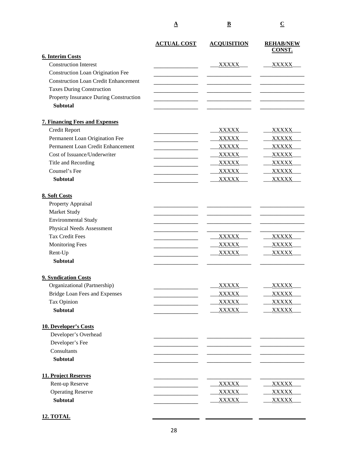|                                             | <u>A</u>           | $\overline{\mathbf{B}}$ | $\overline{\mathbf{C}}$           |
|---------------------------------------------|--------------------|-------------------------|-----------------------------------|
|                                             | <b>ACTUAL COST</b> | <b>ACQUISITION</b>      | <b>REHAB/NEW</b><br><b>CONST.</b> |
| <b>6. Interim Costs</b>                     |                    |                         |                                   |
| <b>Construction Interest</b>                |                    | XXXXX                   | <b>XXXXX</b>                      |
| <b>Construction Loan Origination Fee</b>    |                    |                         |                                   |
| <b>Construction Loan Credit Enhancement</b> |                    |                         |                                   |
| <b>Taxes During Construction</b>            |                    |                         |                                   |
| Property Insurance During Construction      |                    |                         |                                   |
| <b>Subtotal</b>                             |                    |                         |                                   |
| <b>7. Financing Fees and Expenses</b>       |                    |                         |                                   |
| Credit Report                               |                    | XXXXX                   | XXXXX <sub>.</sub>                |
| Permanent Loan Origination Fee              |                    | <b>XXXXX</b>            | <b>XXXXX</b>                      |
| Permanent Loan Credit Enhancement           |                    | XXXXX                   | XXXXX                             |
| Cost of Issuance/Underwriter                |                    | XXXXX                   | XXXXX                             |
| Title and Recording                         |                    | <b>XXXXX</b>            | <b>XXXXX</b>                      |
| Counsel's Fee                               |                    | <b>XXXXX</b>            | XXXXX                             |
| <b>Subtotal</b>                             |                    | <b>XXXXX</b>            | <b>XXXXX</b>                      |
| 8. Soft Costs                               |                    |                         |                                   |
| Property Appraisal                          |                    |                         |                                   |
| Market Study                                |                    |                         |                                   |
| <b>Environmental Study</b>                  |                    |                         |                                   |
| Physical Needs Assessment                   |                    |                         |                                   |
| <b>Tax Credit Fees</b>                      |                    | <u>XXXXX</u>            | <u>XXXXX.</u>                     |
| <b>Monitoring Fees</b>                      |                    | <b>XXXXX</b>            | <b>XXXXX</b>                      |
| Rent-Up                                     |                    | <b>XXXXX</b>            | <b>XXXXX</b>                      |
| <b>Subtotal</b>                             |                    |                         |                                   |
| 9. Syndication Costs                        |                    |                         |                                   |
| Organizational (Partnership)                |                    | <b>XXXXX</b>            | <b>XXXXX</b>                      |
| <b>Bridge Loan Fees and Expenses</b>        |                    | <b>XXXXX</b>            | XXXXX                             |
| Tax Opinion                                 |                    | <b>XXXXX</b>            | <b>XXXXX</b>                      |
| <b>Subtotal</b>                             |                    | <b>XXXXX</b>            | XXXXX                             |
| 10. Developer's Costs                       |                    |                         |                                   |
| Developer's Overhead                        |                    |                         |                                   |
| Developer's Fee                             |                    |                         |                                   |
| Consultants                                 |                    |                         |                                   |
| <b>Subtotal</b>                             |                    |                         |                                   |
| 11. Project Reserves                        |                    |                         |                                   |
| Rent-up Reserve                             |                    | <b>XXXXX</b>            | <b>XXXXX</b>                      |
| <b>Operating Reserve</b>                    |                    | <b>XXXXX</b>            | XXXXX                             |
| <b>Subtotal</b>                             |                    | <u>XXXXX</u>            | <b>XXXXX</b>                      |
|                                             |                    |                         |                                   |

**12. TOTAL**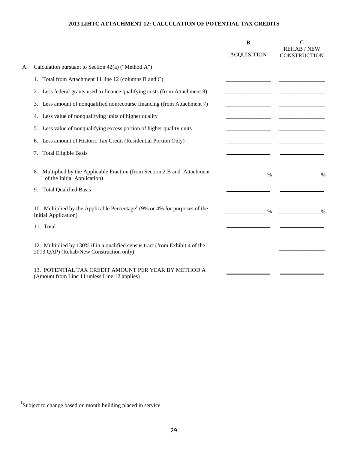#### **2013 LIHTC ATTACHMENT 12: CALCULATION OF POTENTIAL TAX CREDITS**

|    |                                                                                                                         | B                  | $\mathsf{C}$                              |
|----|-------------------------------------------------------------------------------------------------------------------------|--------------------|-------------------------------------------|
|    |                                                                                                                         | <b>ACQUISITION</b> | <b>REHAB / NEW</b><br><b>CONSTRUCTION</b> |
| A. | Calculation pursuant to Section $42(a)$ ("Method A")                                                                    |                    |                                           |
|    | 1. Total from Attachment 11 line 12 (columns B and C)                                                                   |                    |                                           |
|    | 2. Less federal grants used to finance qualifying costs (from Attachment 8)                                             |                    |                                           |
|    | 3. Less amount of nonqualified nonrecourse financing (from Attachment 7)                                                |                    |                                           |
|    | 4. Less value of nonqualifying units of higher quality                                                                  |                    |                                           |
|    | 5. Less value of nonqualifying excess portion of higher quality units                                                   |                    |                                           |
|    | 6. Less amount of Historic Tax Credit (Residential Portion Only)                                                        |                    |                                           |
|    | 7. Total Eligible Basis                                                                                                 |                    |                                           |
|    | 8. Multiplied by the Applicable Fraction (from Section 2.B and Attachment<br>1 of the Initial Application)              | $\%$               | $\frac{0}{0}$                             |
|    | 9. Total Qualified Basis                                                                                                |                    |                                           |
|    | 10. Multiplied by the Applicable Percentage <sup>1</sup> (9% or 4% for purposes of the<br>Initial Application)          | $\%$               | $\frac{0}{0}$                             |
|    | 11. Total                                                                                                               |                    |                                           |
|    | 12. Multiplied by 130% if in a qualified census tract (from Exhibit 4 of the<br>2013 QAP) (Rehab/New Construction only) |                    |                                           |
|    | 13. POTENTIAL TAX CREDIT AMOUNT PER YEAR BY METHOD A<br>(Amount from Line 11 unless Line 12 applies)                    |                    |                                           |

<sup>1</sup>Subject to change based on month building placed in service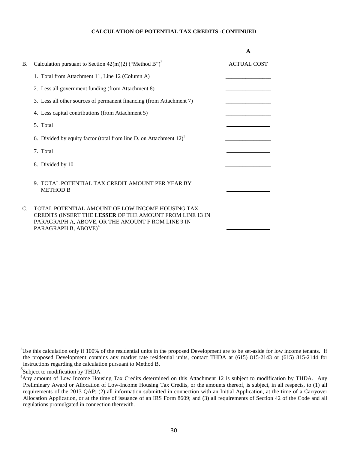#### **CALCULATION OF POTENTIAL TAX CREDITS -CONTINUED**

|    |                                                                                                                                                                                                        | A                  |
|----|--------------------------------------------------------------------------------------------------------------------------------------------------------------------------------------------------------|--------------------|
| Β. | Calculation pursuant to Section $42(m)(2)$ ("Method B") <sup>2</sup>                                                                                                                                   | <b>ACTUAL COST</b> |
|    | 1. Total from Attachment 11, Line 12 (Column A)                                                                                                                                                        |                    |
|    | 2. Less all government funding (from Attachment 8)                                                                                                                                                     |                    |
|    | 3. Less all other sources of permanent financing (from Attachment 7)                                                                                                                                   |                    |
|    | 4. Less capital contributions (from Attachment 5)                                                                                                                                                      |                    |
|    | 5. Total                                                                                                                                                                                               |                    |
|    | 6. Divided by equity factor (total from line D. on Attachment $12)^3$                                                                                                                                  |                    |
|    | 7. Total                                                                                                                                                                                               |                    |
|    | 8. Divided by 10                                                                                                                                                                                       |                    |
|    | 9. TOTAL POTENTIAL TAX CREDIT AMOUNT PER YEAR BY<br><b>METHOD B</b>                                                                                                                                    |                    |
| C. | TOTAL POTENTIAL AMOUNT OF LOW INCOME HOUSING TAX<br>CREDITS (INSERT THE LESSER OF THE AMOUNT FROM LINE 13 IN<br>PARAGRAPH A, ABOVE, OR THE AMOUNT F ROM LINE 9 IN<br>PARAGRAPH B, ABOVE) <sup>4:</sup> |                    |

<sup>&</sup>lt;sup>2</sup>Use this calculation only if 100% of the residential units in the proposed Development are to be set-aside for low income tenants. If the proposed Development contains any market rate residential units, contact THDA at (615) 815-2143 or (615) 815-2144 for instructions regarding the calculation pursuant to Method B.

<sup>&</sup>lt;sup>3</sup>Subject to modification by THDA

<sup>&</sup>lt;sup>4</sup>Any amount of Low Income Housing Tax Credits determined on this Attachment 12 is subject to modification by THDA. Any Preliminary Award or Allocation of Low-Income Housing Tax Credits, or the amounts thereof, is subject, in all respects, to (1) all requirements of the 2013 QAP; (2) all information submitted in connection with an Initial Application, at the time of a Carryover Allocation Application, or at the time of issuance of an IRS Form 8609; and (3) all requirements of Section 42 of the Code and all regulations promulgated in connection therewith.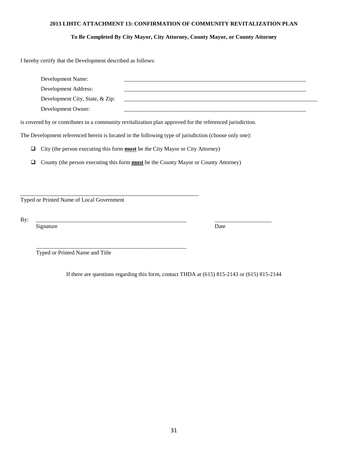#### **2013 LIHTC ATTACHMENT 13: CONFIRMATION OF COMMUNITY REVITALIZATION PLAN**

#### **To Be Completed By City Mayor, City Attorney, County Mayor, or County Attorney**

I hereby certify that the Development described as follows:

| Development Name:<br>Development Address:<br>Development City, State, & Zip: |                                                                                                           |      |  |
|------------------------------------------------------------------------------|-----------------------------------------------------------------------------------------------------------|------|--|
| Development Owner:                                                           |                                                                                                           |      |  |
|                                                                              | is covered by or contributes to a community revitalization plan approved for the referenced jurisdiction. |      |  |
|                                                                              | The Development referenced herein is located in the following type of jurisdiction (choose only one):     |      |  |
| □                                                                            | City (the person executing this form <b>must</b> be the City Mayor or City Attorney)                      |      |  |
| ◻                                                                            | County (the person executing this form <b>must</b> be the County Mayor or County Attorney)                |      |  |
|                                                                              |                                                                                                           |      |  |
|                                                                              |                                                                                                           |      |  |
| Typed or Printed Name of Local Government                                    |                                                                                                           |      |  |
|                                                                              |                                                                                                           |      |  |
| By:<br>Signature                                                             |                                                                                                           | Date |  |
|                                                                              |                                                                                                           |      |  |
| Typed or Printed Name and Title                                              |                                                                                                           |      |  |

If there are questions regarding this form, contact THDA at (615) 815-2143 or (615) 815-2144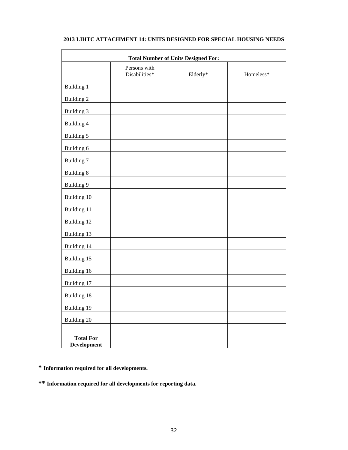| <b>Total Number of Units Designed For:</b> |                               |          |           |  |  |
|--------------------------------------------|-------------------------------|----------|-----------|--|--|
|                                            | Persons with<br>Disabilities* | Elderly* | Homeless* |  |  |
| Building 1                                 |                               |          |           |  |  |
| <b>Building 2</b>                          |                               |          |           |  |  |
| Building 3                                 |                               |          |           |  |  |
| Building 4                                 |                               |          |           |  |  |
| Building 5                                 |                               |          |           |  |  |
| Building 6                                 |                               |          |           |  |  |
| <b>Building 7</b>                          |                               |          |           |  |  |
| <b>Building 8</b>                          |                               |          |           |  |  |
| <b>Building 9</b>                          |                               |          |           |  |  |
| Building 10                                |                               |          |           |  |  |
| Building 11                                |                               |          |           |  |  |
| Building 12                                |                               |          |           |  |  |
| Building 13                                |                               |          |           |  |  |
| Building 14                                |                               |          |           |  |  |
| Building 15                                |                               |          |           |  |  |
| Building 16                                |                               |          |           |  |  |
| Building 17                                |                               |          |           |  |  |
| Building 18                                |                               |          |           |  |  |
| Building <sub>19</sub>                     |                               |          |           |  |  |
| Building 20                                |                               |          |           |  |  |
| <b>Total For</b><br>Development            |                               |          |           |  |  |

#### **2013 LIHTC ATTACHMENT 14: UNITS DESIGNED FOR SPECIAL HOUSING NEEDS**

**\* Information required for all developments.**

**\*\* Information required for all developments for reporting data.**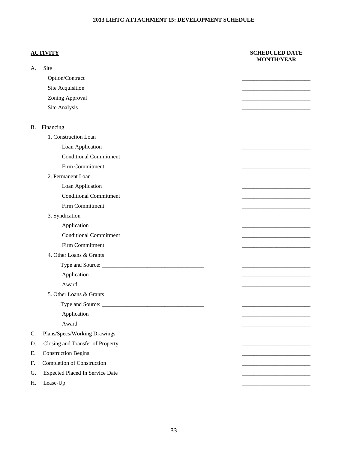#### **2013 LIHTC ATTACHMENT 15: DEVELOPMENT SCHEDULE**

#### **ACTIVITY SCHEDULED DATE MONTH/YEAR**

| A.        | Site                                   |  |
|-----------|----------------------------------------|--|
|           | Option/Contract                        |  |
|           | Site Acquisition                       |  |
|           | Zoning Approval                        |  |
|           | Site Analysis                          |  |
|           |                                        |  |
| <b>B.</b> | Financing                              |  |
|           | 1. Construction Loan                   |  |
|           | Loan Application                       |  |
|           | <b>Conditional Commitment</b>          |  |
|           | Firm Commitment                        |  |
|           | 2. Permanent Loan                      |  |
|           | Loan Application                       |  |
|           | <b>Conditional Commitment</b>          |  |
|           | Firm Commitment                        |  |
|           | 3. Syndication                         |  |
|           | Application                            |  |
|           | <b>Conditional Commitment</b>          |  |
|           | Firm Commitment                        |  |
|           | 4. Other Loans & Grants                |  |
|           |                                        |  |
|           | Application                            |  |
|           | Award                                  |  |
|           | 5. Other Loans & Grants                |  |
|           |                                        |  |
|           | Application                            |  |
|           | Award                                  |  |
| C.        | Plans/Specs/Working Drawings           |  |
| D.        | Closing and Transfer of Property       |  |
| Е.        | <b>Construction Begins</b>             |  |
| F.        | <b>Completion of Construction</b>      |  |
| G.        | <b>Expected Placed In Service Date</b> |  |
| Η.        | Lease-Up                               |  |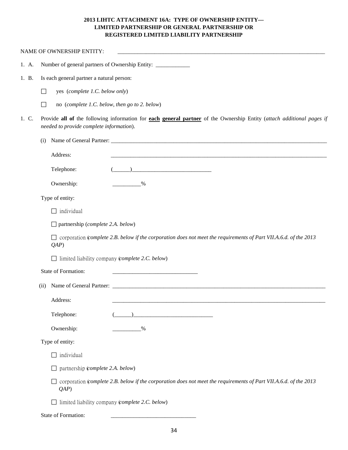#### **2013 LIHTC ATTACHMENT 16A: TYPE OF OWNERSHIP ENTITY— LIMITED PARTNERSHIP OR GENERAL PARTNERSHIP OR REGISTERED LIMITED LIABILITY PARTNERSHIP**

|       | NAME OF OWNERSHIP ENTITY:                                                                                                                                                                                                                                                                                                                                                         |  |  |  |  |
|-------|-----------------------------------------------------------------------------------------------------------------------------------------------------------------------------------------------------------------------------------------------------------------------------------------------------------------------------------------------------------------------------------|--|--|--|--|
| 1. A. | Number of general partners of Ownership Entity: _________________________________                                                                                                                                                                                                                                                                                                 |  |  |  |  |
| 1. B. | Is each general partner a natural person:                                                                                                                                                                                                                                                                                                                                         |  |  |  |  |
|       | yes (complete 1.C. below only)<br>П                                                                                                                                                                                                                                                                                                                                               |  |  |  |  |
|       | no (complete 1.C. below, then go to 2. below)<br>$\Box$                                                                                                                                                                                                                                                                                                                           |  |  |  |  |
| 1. C. | Provide all of the following information for each general partner of the Ownership Entity (attach additional pages if<br>needed to provide complete information).                                                                                                                                                                                                                 |  |  |  |  |
|       | (i)                                                                                                                                                                                                                                                                                                                                                                               |  |  |  |  |
|       | Address:                                                                                                                                                                                                                                                                                                                                                                          |  |  |  |  |
|       | $\begin{picture}(20,10) \put(0,0){\vector(1,0){100}} \put(15,0){\vector(1,0){100}} \put(15,0){\vector(1,0){100}} \put(15,0){\vector(1,0){100}} \put(15,0){\vector(1,0){100}} \put(15,0){\vector(1,0){100}} \put(15,0){\vector(1,0){100}} \put(15,0){\vector(1,0){100}} \put(15,0){\vector(1,0){100}} \put(15,0){\vector(1,0){100}} \put(15,0){\vector(1,0){100}} \$<br>Telephone: |  |  |  |  |
|       | Ownership:<br>$\%$                                                                                                                                                                                                                                                                                                                                                                |  |  |  |  |
|       | Type of entity:                                                                                                                                                                                                                                                                                                                                                                   |  |  |  |  |
|       | $\Box$ individual                                                                                                                                                                                                                                                                                                                                                                 |  |  |  |  |
|       | $\Box$ partnership (complete 2.A. below)                                                                                                                                                                                                                                                                                                                                          |  |  |  |  |
|       | $\Box$ corporation (complete 2.B. below if the corporation does not meet the requirements of Part VII.A.6.d. of the 2013<br>(QAP)                                                                                                                                                                                                                                                 |  |  |  |  |
|       | $\Box$ limited liability company (complete 2.C. below)                                                                                                                                                                                                                                                                                                                            |  |  |  |  |
|       | State of Formation:                                                                                                                                                                                                                                                                                                                                                               |  |  |  |  |
|       | (ii)                                                                                                                                                                                                                                                                                                                                                                              |  |  |  |  |
|       | Address:                                                                                                                                                                                                                                                                                                                                                                          |  |  |  |  |
|       | Telephone:                                                                                                                                                                                                                                                                                                                                                                        |  |  |  |  |
|       | Ownership:<br>$\%$                                                                                                                                                                                                                                                                                                                                                                |  |  |  |  |
|       | Type of entity:                                                                                                                                                                                                                                                                                                                                                                   |  |  |  |  |
|       | individual                                                                                                                                                                                                                                                                                                                                                                        |  |  |  |  |
|       | partnership (complete 2.A. below)                                                                                                                                                                                                                                                                                                                                                 |  |  |  |  |
|       | corporation (complete 2.B. below if the corporation does not meet the requirements of Part VII.A.6.d. of the 2013<br>(QAP)                                                                                                                                                                                                                                                        |  |  |  |  |
|       | limited liability company (complete 2.C. below)                                                                                                                                                                                                                                                                                                                                   |  |  |  |  |

State of Formation: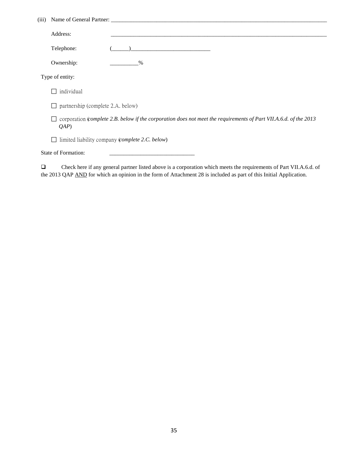| (iii) |                                                                                                                            |  |  |  |
|-------|----------------------------------------------------------------------------------------------------------------------------|--|--|--|
|       | Address:                                                                                                                   |  |  |  |
|       | Telephone:                                                                                                                 |  |  |  |
|       | Ownership:<br>$\%$                                                                                                         |  |  |  |
|       | Type of entity:                                                                                                            |  |  |  |
|       | individual                                                                                                                 |  |  |  |
|       | partnership (complete 2.A. below)                                                                                          |  |  |  |
|       | corporation (complete 2.B. below if the corporation does not meet the requirements of Part VII.A.6.d. of the 2013<br>(QAP) |  |  |  |
|       | limited liability company ( <i>complete 2.C. below</i> )                                                                   |  |  |  |
|       | State of Formation:                                                                                                        |  |  |  |
| ш     | Check here if any general partner listed above is a corporation which meets the requirements of Part VII.A.6.d. of         |  |  |  |

the 2013 QAP AND for which an opinion in the form of Attachment 28 is included as part of this Initial Application.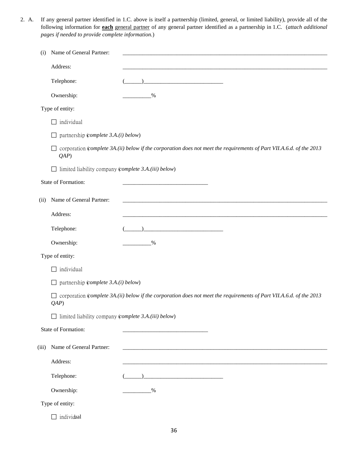2. A. If any general partner identified in 1.C. above is itself a partnership (limited, general, or limited liability), provide all of the following information for **each** general partner of any general partner identified as a partnership in 1.C. (*attach additional pages if needed to provide complete information.*)

| (i)             | Name of General Partner:                                       |                                                                                                                      |  |  |
|-----------------|----------------------------------------------------------------|----------------------------------------------------------------------------------------------------------------------|--|--|
|                 | Address:                                                       |                                                                                                                      |  |  |
|                 | Telephone:                                                     |                                                                                                                      |  |  |
|                 | Ownership:                                                     | $\%$                                                                                                                 |  |  |
|                 | Type of entity:                                                |                                                                                                                      |  |  |
|                 | individual<br>$\mathsf{L}$                                     |                                                                                                                      |  |  |
|                 | partnership (complete 3.A.(i) below)<br>$\Box$                 |                                                                                                                      |  |  |
|                 | (QAP)                                                          | corporation (complete 3A.(ii) below if the corporation does not meet the requirements of Part VII.A.6.d. of the 2013 |  |  |
|                 | limited liability company (complete 3.A.(iii) below)<br>$\Box$ |                                                                                                                      |  |  |
|                 | State of Formation:                                            |                                                                                                                      |  |  |
| (ii)            | Name of General Partner:                                       |                                                                                                                      |  |  |
|                 | Address:                                                       |                                                                                                                      |  |  |
|                 | Telephone:                                                     |                                                                                                                      |  |  |
|                 | Ownership:                                                     | $\%$                                                                                                                 |  |  |
| Type of entity: |                                                                |                                                                                                                      |  |  |
|                 | individual                                                     |                                                                                                                      |  |  |
|                 | partnership (complete 3.A.(i) below)<br>$\Box$                 |                                                                                                                      |  |  |
|                 | ⊔<br>(QAP)                                                     | corporation (complete 3A.(ii) below if the corporation does not meet the requirements of Part VII.A.6.d. of the 2013 |  |  |
|                 | $\Box$ limited liability company (complete 3.A.(iii) below)    |                                                                                                                      |  |  |
|                 | State of Formation:                                            |                                                                                                                      |  |  |
| (iii)           | Name of General Partner:                                       |                                                                                                                      |  |  |
|                 | Address:                                                       |                                                                                                                      |  |  |
|                 | Telephone:                                                     |                                                                                                                      |  |  |
|                 | Ownership:                                                     | %                                                                                                                    |  |  |
| Type of entity: |                                                                |                                                                                                                      |  |  |
|                 | individual<br>$\Box$                                           |                                                                                                                      |  |  |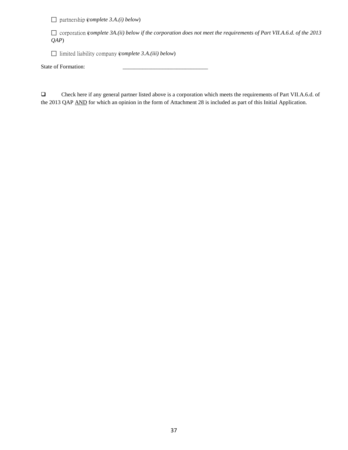partnership (*complete 3.A.(i) below*)

 corporation (*complete 3A.(ii) below if the corporation does not meet the requirements of Part VII.A.6.d. of the 2013 QAP*)

limited liability company (*complete 3.A.(iii) below*)

State of Formation: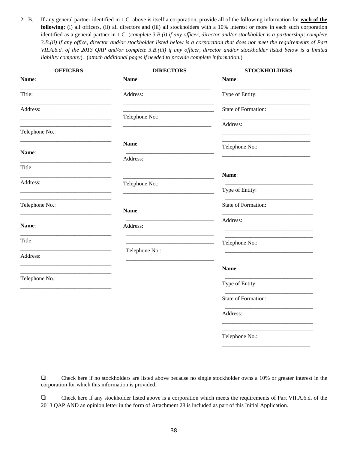2. B. If any general partner identified in 1.C. above is itself a corporation, provide all of the following information for **each of the following:** (i) all officers, (ii) all directors and (iii) all stockholders with a 10% interest or more in each such corporation identified as a general partner in 1.C. (*complete 3.B.(i) if any officer, director and/or stockholder is a partnership; complete 3.B.(ii) if any office, director and/or stockholder listed below is a corporation that does not meet the requirements of Part VII.A.6.d. of the 2013 QAP and/or complete 3.B.(iii) if any officer, director and/or stockholder listed below is a limited liability company*). (*attach additional pages if needed to provide complete information.*)

| Name:               |
|---------------------|
|                     |
| Type of Entity:     |
| State of Formation: |
| Address:            |
| Telephone No.:      |
|                     |
| Name:               |
| Type of Entity:     |
| State of Formation: |
| Address:            |
| Telephone No.:      |
|                     |
| Name:               |
| Type of Entity:     |
| State of Formation: |
| Address:            |
| Telephone No.:      |
|                     |
|                     |

 Check here if no stockholders are listed above because no single stockholder owns a 10% or greater interest in the corporation for which this information is provided.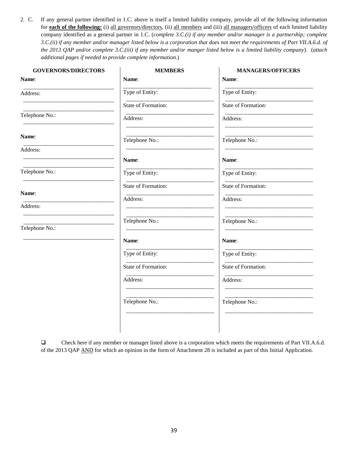2. C. If any general partner identified in 1.C. above is itself a limited liability company, provide all of the following information for **each of the following:** (i) all governors/directors, (ii) all members and (iii) all managers/officers of each limited liability company identified as a general partner in 1.C. (*complete 3.C.(i) if any member and/or manager is a partnership; complete 3.C.(ii) if any member and/or manager listed below is a corporation that does not meet the requirements of Part VII.A.6.d. of the 2013 QAP and/or complete 3.C.(iii) if any member and/or manger listed below is a limited liability company*). (*attach additional pages if needed to provide complete information.*)

| Name:<br>Type of Entity:<br>State of Formation: | Name:<br>Type of Entity: |
|-------------------------------------------------|--------------------------|
|                                                 |                          |
|                                                 |                          |
|                                                 | State of Formation:      |
| Address:                                        | Address:                 |
| Telephone No.:                                  | Telephone No.:           |
|                                                 |                          |
| Name:                                           | Name:                    |
| Type of Entity:                                 | Type of Entity:          |
| State of Formation:                             | State of Formation:      |
| Address:                                        | Address:                 |
|                                                 |                          |
| Telephone No.:                                  | Telephone No.:           |
| Name:                                           | Name:                    |
| Type of Entity:                                 | Type of Entity:          |
| State of Formation:                             | State of Formation:      |
| Address:                                        | Address:                 |
| Telephone No.:                                  | Telephone No.:           |
|                                                 |                          |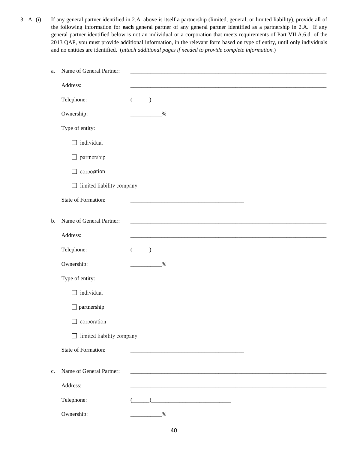3. A. (i) If any general partner identified in 2.A. above is itself a partnership (limited, general, or limited liability), provide all of the following information for **each** general partner of any general partner identified as a partnership in 2.A. If any general partner identified below is not an individual or a corporation that meets requirements of Part VII.A.6.d. of the 2013 QAP, you must provide additional information, in the relevant form based on type of entity, until only individuals and no entities are identified. (*attach additional pages if needed to provide complete information.*)

| a. | Name of General Partner:         |                                                                                                                                                                                                                                                                                                                                                                     |
|----|----------------------------------|---------------------------------------------------------------------------------------------------------------------------------------------------------------------------------------------------------------------------------------------------------------------------------------------------------------------------------------------------------------------|
|    | Address:                         |                                                                                                                                                                                                                                                                                                                                                                     |
|    | Telephone:                       |                                                                                                                                                                                                                                                                                                                                                                     |
|    | Ownership:                       | $^{0}/_{0}$                                                                                                                                                                                                                                                                                                                                                         |
|    | Type of entity:                  |                                                                                                                                                                                                                                                                                                                                                                     |
|    | individual                       |                                                                                                                                                                                                                                                                                                                                                                     |
|    | partnership<br>⊔                 |                                                                                                                                                                                                                                                                                                                                                                     |
|    | corporation                      |                                                                                                                                                                                                                                                                                                                                                                     |
|    | limited liability company        |                                                                                                                                                                                                                                                                                                                                                                     |
|    | State of Formation:              |                                                                                                                                                                                                                                                                                                                                                                     |
| b. | Name of General Partner:         |                                                                                                                                                                                                                                                                                                                                                                     |
|    |                                  |                                                                                                                                                                                                                                                                                                                                                                     |
|    | Address:                         |                                                                                                                                                                                                                                                                                                                                                                     |
|    | Telephone:                       | $\begin{picture}(20,10) \put(0,0){\vector(1,0){100}} \put(15,0){\vector(1,0){100}} \put(15,0){\vector(1,0){100}} \put(15,0){\vector(1,0){100}} \put(15,0){\vector(1,0){100}} \put(15,0){\vector(1,0){100}} \put(15,0){\vector(1,0){100}} \put(15,0){\vector(1,0){100}} \put(15,0){\vector(1,0){100}} \put(15,0){\vector(1,0){100}} \put(15,0){\vector(1,0){100}} \$ |
|    | Ownership:                       | $\frac{0}{6}$                                                                                                                                                                                                                                                                                                                                                       |
|    | Type of entity:                  |                                                                                                                                                                                                                                                                                                                                                                     |
|    | individual                       |                                                                                                                                                                                                                                                                                                                                                                     |
|    | $\Box$ partnership               |                                                                                                                                                                                                                                                                                                                                                                     |
|    | $\Box$ corporation               |                                                                                                                                                                                                                                                                                                                                                                     |
|    | $\Box$ limited liability company |                                                                                                                                                                                                                                                                                                                                                                     |
|    | State of Formation:              |                                                                                                                                                                                                                                                                                                                                                                     |
| c. | Name of General Partner:         |                                                                                                                                                                                                                                                                                                                                                                     |
|    |                                  |                                                                                                                                                                                                                                                                                                                                                                     |
|    | Address:                         |                                                                                                                                                                                                                                                                                                                                                                     |
|    | Telephone:                       |                                                                                                                                                                                                                                                                                                                                                                     |
|    | Ownership:                       | $\frac{0}{0}$                                                                                                                                                                                                                                                                                                                                                       |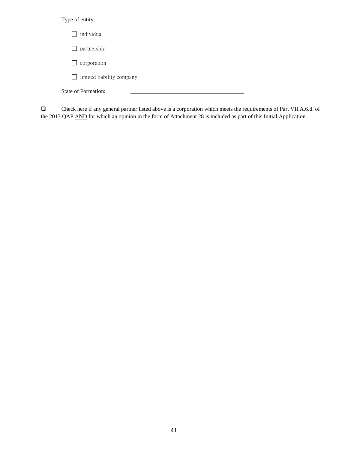## Type of entity:

| individual<br>$\Box$             |  |
|----------------------------------|--|
| partnership<br>$\perp$           |  |
| corporation<br>$\mathsf{L}$      |  |
| $\Box$ limited liability company |  |
| State of Formation:              |  |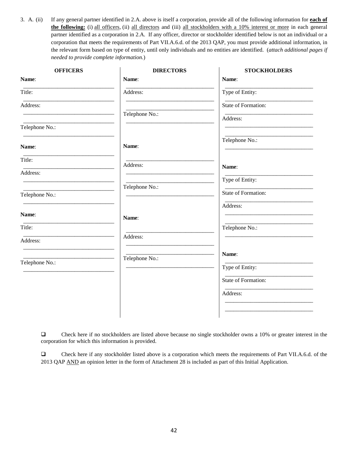3. A. (ii) If any general partner identified in 2.A. above is itself a corporation, provide all of the following information for **each of the following:** (i) all officers, (ii) all directors and (iii) all stockholders with a 10% interest or more in each general partner identified as a corporation in 2.A. If any officer, director or stockholder identified below is not an individual or a corporation that meets the requirements of Part VII.A.6.d. of the 2013 QAP, you must provide additional information, in the relevant form based on type of entity, until only individuals and no entities are identified. (*attach additional pages if needed to provide complete information.*)

| <b>OFFICERS</b> | <b>DIRECTORS</b> | <b>STOCKHOLDERS</b> |
|-----------------|------------------|---------------------|
| Name:           | Name:            | Name:               |
| Title:          | Address:         | Type of Entity:     |
| Address:        |                  | State of Formation: |
|                 | Telephone No.:   | Address:            |
| Telephone No.:  |                  |                     |
| Name:           | Name:            | Telephone No.:      |
| Title:          | Address:         | Name:               |
| Address:        |                  |                     |
|                 | Telephone No.:   | Type of Entity:     |
| Telephone No.:  |                  | State of Formation: |
| Name:           |                  | Address:            |
|                 | Name:            |                     |
| Title:          | Address:         | Telephone No.:      |
| Address:        |                  |                     |
|                 | Telephone No.:   | Name:               |
| Telephone No.:  |                  | Type of Entity:     |
|                 |                  | State of Formation: |
|                 |                  | Address:            |
|                 |                  |                     |
|                 |                  |                     |

 Check here if no stockholders are listed above because no single stockholder owns a 10% or greater interest in the corporation for which this information is provided.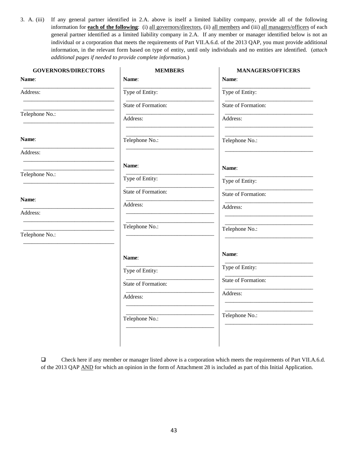3. A. (iii) If any general partner identified in 2.A. above is itself a limited liability company, provide all of the following information for **each of the following**: (i) all governors/directors, (ii) all members and (iii) all managers/officers of each general partner identified as a limited liability company in 2.A. If any member or manager identified below is not an individual or a corporation that meets the requirements of Part VII.A.6.d. of the 2013 QAP, you must provide additional information, in the relevant form based on type of entity, until only individuals and no entities are identified. (*attach additional pages if needed to provide complete information.*)

| <b>GOVERNORS/DIRECTORS</b> | <b>MEMBERS</b>      | <b>MANAGERS/OFFICERS</b> |
|----------------------------|---------------------|--------------------------|
| Name:                      | Name:               | Name:                    |
| Address:                   | Type of Entity:     | Type of Entity:          |
|                            | State of Formation: | State of Formation:      |
| Telephone No.:             | Address:            | Address:                 |
| Name:                      | Telephone No.:      | Telephone No.:           |
| Address:                   |                     |                          |
|                            | Name:               | Name:                    |
| Telephone No.:             | Type of Entity:     | Type of Entity:          |
|                            | State of Formation: | State of Formation:      |
| Name:<br>Address:          | Address:            | Address:                 |
|                            | Telephone No.:      |                          |
| Telephone No.:             |                     | Telephone No.:           |
|                            | Name:               | Name:                    |
|                            | Type of Entity:     | Type of Entity:          |
|                            | State of Formation: | State of Formation:      |
|                            | Address:            | Address:                 |
|                            | Telephone No.:      | Telephone No.:           |
|                            |                     |                          |

 Check here if any member or manager listed above is a corporation which meets the requirements of Part VII.A.6.d. of the 2013 QAP AND for which an opinion in the form of Attachment 28 is included as part of this Initial Application.

 $\mathbf{I}$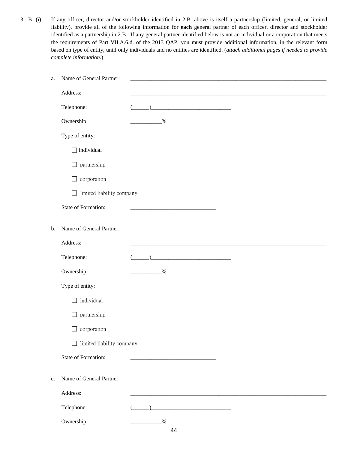3. B (i) If any officer, director and/or stockholder identified in 2.B. above is itself a partnership (limited, general, or limited liability), provide all of the following information for **each** general partner of each officer, director and stockholder identified as a partnership in 2.B. If any general partner identified below is not an individual or a corporation that meets the requirements of Part VII.A.6.d. of the 2013 QAP, you must provide additional information, in the relevant form based on type of entity, until only individuals and no entities are identified. (*attach additional pages if needed to provide complete information.*)

| a. | Name of General Partner:         |                                                                                                                       |
|----|----------------------------------|-----------------------------------------------------------------------------------------------------------------------|
|    | Address:                         |                                                                                                                       |
|    | Telephone:                       | <u> 2002 - Jan James James James James James James James James James James James James James James James James Ja</u> |
|    | Ownership:                       | $\frac{0}{6}$                                                                                                         |
|    | Type of entity:                  |                                                                                                                       |
|    | individual<br>П                  |                                                                                                                       |
|    | $\Box$ partnership               |                                                                                                                       |
|    | corporation<br>$\Box$            |                                                                                                                       |
|    | $\Box$ limited liability company |                                                                                                                       |
|    | State of Formation:              |                                                                                                                       |
| b. | Name of General Partner:         |                                                                                                                       |
|    |                                  | <u> 1980 - Jan James Barnett, fransk politik (d. 1980)</u>                                                            |
|    | Address:                         |                                                                                                                       |
|    | Telephone:                       |                                                                                                                       |
|    | Ownership:                       | $\frac{0}{6}$                                                                                                         |
|    | Type of entity:                  |                                                                                                                       |
|    | $\Box$ individual                |                                                                                                                       |
|    | $\Box$ partnership               |                                                                                                                       |
|    | $\Box$ corporation               |                                                                                                                       |
|    | $\Box$ limited liability company |                                                                                                                       |
|    |                                  |                                                                                                                       |
|    | State of Formation:              |                                                                                                                       |
| c. | Name of General Partner:         |                                                                                                                       |
|    | Address:                         |                                                                                                                       |
|    | Telephone:                       |                                                                                                                       |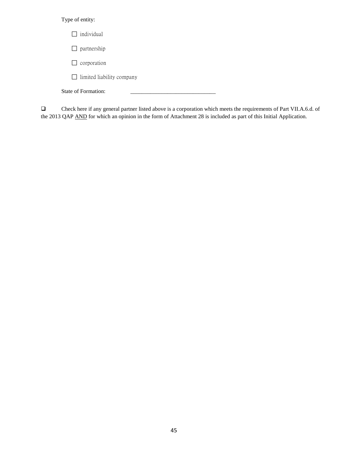## Type of entity:

| $\Box$ individual                |  |
|----------------------------------|--|
| $\Box$ partnership               |  |
| $\Box$ corporation               |  |
| $\Box$ limited liability company |  |
| State of Formation:              |  |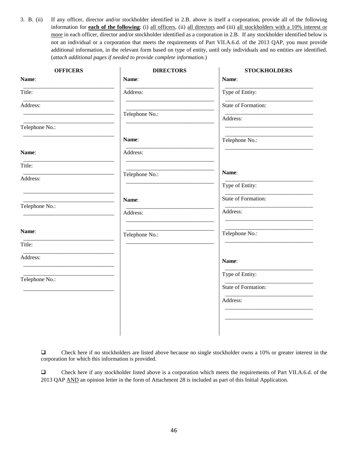3. B. (ii) If any officer, director and/or stockholder identified in 2.B. above is itself a corporation, provide all of the following information for **each of the following**: (i) all officers, (ii) all directors and (iii) all stockholders with a 10% interest or more in each officer, director and/or stockholder identified as a corporation in 2.B. If any stockholder identified below is not an individual or a corporation that meets the requirements of Part VII.A.6.d. of the 2013 QAP, you must provide additional information, in the relevant form based on type of entity, until only individuals and no entities are identified. (*attach additional pages if needed to provide complete information.*)

| <b>OFFICERS</b> | <b>DIRECTORS</b> | <b>STOCKHOLDERS</b> |
|-----------------|------------------|---------------------|
| Name:           | Name:            | Name:               |
| Title:          | Address:         | Type of Entity:     |
| Address:        |                  | State of Formation: |
|                 | Telephone No.:   | Address:            |
| Telephone No.:  |                  |                     |
|                 | Name:            | Telephone No.:      |
| Name:           | Address:         |                     |
| Title:          |                  |                     |
| Address:        | Telephone No.:   | Name:               |
|                 |                  | Type of Entity:     |
| Telephone No.:  | Name:            | State of Formation: |
|                 | Address:         | Address:            |
| Name:           | Telephone No.:   | Telephone No.:      |
| Title:          |                  |                     |
| Address:        |                  | Name:               |
|                 |                  | Type of Entity:     |
| Telephone No.:  |                  | State of Formation: |
|                 |                  | Address:            |
|                 |                  |                     |
|                 |                  |                     |
|                 |                  |                     |

 Check here if no stockholders are listed above because no single stockholder owns a 10% or greater interest in the corporation for which this information is provided.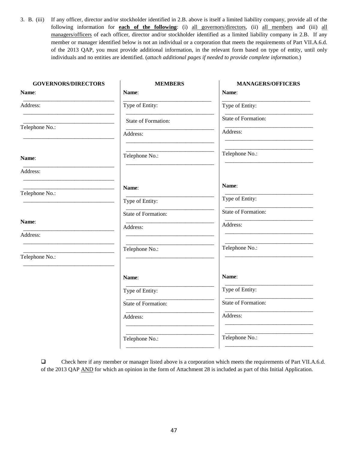3. B. (iii) If any officer, director and/or stockholder identified in 2.B. above is itself a limited liability company, provide all of the following information for **each of the following**: (i) all governors/directors, (ii) all members and (iii) all managers/officers of each officer, director and/or stockholder identified as a limited liability company in 2.B. If any member or manager identified below is not an individual or a corporation that meets the requirements of Part VII.A.6.d. of the 2013 QAP, you must provide additional information, in the relevant form based on type of entity, until only individuals and no entities are identified. (*attach additional pages if needed to provide complete information.*)

| <b>GOVERNORS/DIRECTORS</b> | <b>MEMBERS</b>      | <b>MANAGERS/OFFICERS</b> |
|----------------------------|---------------------|--------------------------|
| Name:                      | Name:               | Name:                    |
| Address:                   | Type of Entity:     | Type of Entity:          |
|                            | State of Formation: | State of Formation:      |
| Telephone No.:             | Address:            | Address:                 |
| Name:                      | Telephone No.:      | Telephone No.:           |
| Address:                   |                     |                          |
| Telephone No.:             | Name:               | Name:                    |
|                            | Type of Entity:     | Type of Entity:          |
|                            | State of Formation: | State of Formation:      |
| Name:<br>Address:          | Address:            | Address:                 |
|                            | Telephone No.:      | Telephone No.:           |
| Telephone No.:             |                     |                          |
|                            | Name:               | Name:                    |
|                            | Type of Entity:     | Type of Entity:          |
|                            | State of Formation: | State of Formation:      |
|                            | Address:            | Address:                 |
|                            | Telephone No.:      | Telephone No.:           |
|                            |                     |                          |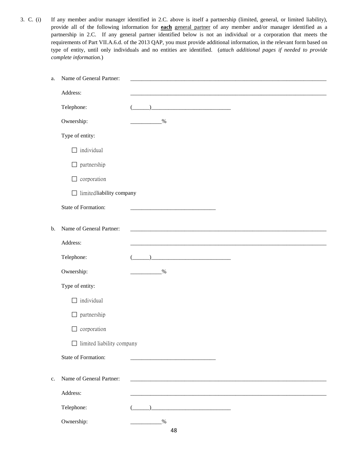3. C. (i) If any member and/or manager identified in 2.C. above is itself a partnership (limited, general, or limited liability), provide all of the following information for **each** general partner of any member and/or manager identified as a partnership in 2.C. If any general partner identified below is not an individual or a corporation that meets the requirements of Part VII.A.6.d. of the 2013 QAP, you must provide additional information, in the relevant form based on type of entity, until only individuals and no entities are identified. (*attach additional pages if needed to provide complete information.*)

| a. | Name of General Partner:         |               |
|----|----------------------------------|---------------|
|    | Address:                         |               |
|    | Telephone:                       |               |
|    | Ownership:                       | $\frac{0}{6}$ |
|    | Type of entity:                  |               |
|    | individual                       |               |
|    | $\Box$ partnership               |               |
|    | corporation<br>$\Box$            |               |
|    | $\Box$ limited liability company |               |
|    | State of Formation:              |               |
|    |                                  |               |
| b. | Name of General Partner:         |               |
|    | Address:                         |               |
|    | Telephone:                       |               |
|    | Ownership:                       | $\frac{0}{6}$ |
|    | Type of entity:                  |               |
|    | individual<br>$\Box$             |               |
|    | $\Box$ partnership               |               |
|    | $\Box$ corporation               |               |
|    | $\Box$ limited liability company |               |
|    | <b>State of Formation:</b>       |               |
| c. | Name of General Partner:         |               |
|    | Address:                         |               |
|    | Telephone:                       |               |
|    |                                  |               |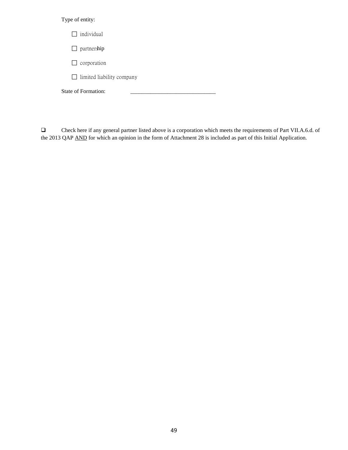## Type of entity:

| $\Box$ individual                |  |  |
|----------------------------------|--|--|
| $\Box$ partnership               |  |  |
| $\Box$ corporation               |  |  |
| $\Box$ limited liability company |  |  |
| State of Formation:              |  |  |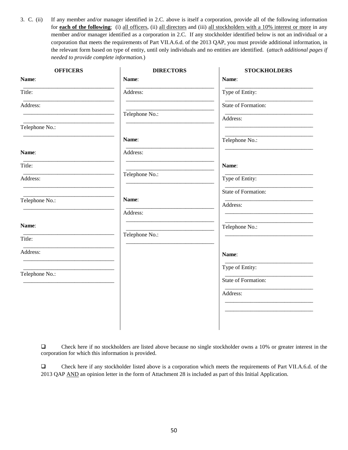3. C. (ii) If any member and/or manager identified in 2.C. above is itself a corporation, provide all of the following information for **each of the following**: (i) all officers, (ii) all directors and (iii) all stockholders with a 10% interest or more in any member and/or manager identified as a corporation in 2.C. If any stockholder identified below is not an individual or a corporation that meets the requirements of Part VII.A.6.d. of the 2013 QAP, you must provide additional information, in the relevant form based on type of entity, until only individuals and no entities are identified. (*attach additional pages if needed to provide complete information.*)

| <b>OFFICERS</b> | <b>DIRECTORS</b> | <b>STOCKHOLDERS</b> |
|-----------------|------------------|---------------------|
| Name:           | Name:            | Name:               |
| Title:          | Address:         | Type of Entity:     |
| Address:        |                  | State of Formation: |
|                 | Telephone No.:   | Address:            |
| Telephone No.:  |                  |                     |
|                 | Name:            | Telephone No.:      |
| Name:           | Address:         |                     |
| Title:          |                  | Name:               |
| Address:        | Telephone No.:   | Type of Entity:     |
|                 |                  | State of Formation: |
| Telephone No.:  | Name:            | Address:            |
|                 | Address:         |                     |
| Name:           |                  | Telephone No.:      |
| Title:          | Telephone No.:   |                     |
| Address:        |                  | Name:               |
| Telephone No.:  |                  | Type of Entity:     |
|                 |                  | State of Formation: |
|                 |                  | Address:            |
|                 |                  |                     |
|                 |                  |                     |
|                 |                  |                     |

 Check here if no stockholders are listed above because no single stockholder owns a 10% or greater interest in the corporation for which this information is provided.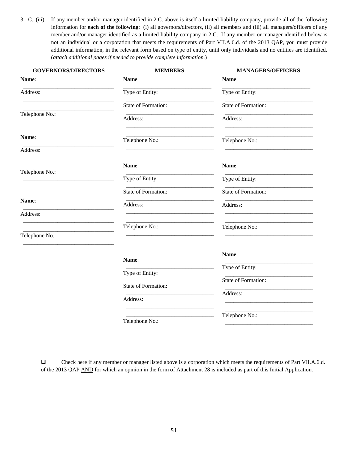3. C. (iii) If any member and/or manager identified in 2.C. above is itself a limited liability company, provide all of the following information for **each of the following**: (i) all governors/directors, (ii) all members and (iii) all managers/officers of any member and/or manager identified as a limited liability company in 2.C. If any member or manager identified below is not an individual or a corporation that meets the requirements of Part VII.A.6.d. of the 2013 QAP, you must provide additional information, in the relevant form based on type of entity, until only individuals and no entities are identified. (*attach additional pages if needed to provide complete information.*)

| <b>GOVERNORS/DIRECTORS</b> | <b>MEMBERS</b>      | <b>MANAGERS/OFFICERS</b> |
|----------------------------|---------------------|--------------------------|
| Name:                      | Name:               | Name:                    |
| Address:                   | Type of Entity:     | Type of Entity:          |
|                            | State of Formation: | State of Formation:      |
| Telephone No.:             | Address:            | Address:                 |
| Name:                      | Telephone No.:      | Telephone No.:           |
| Address:                   |                     |                          |
| Telephone No.:             | Name:               | Name:                    |
|                            | Type of Entity:     | Type of Entity:          |
|                            | State of Formation: | State of Formation:      |
| Name:                      | Address:            | Address:                 |
| Address:                   |                     |                          |
| Telephone No.:             | Telephone No.:      | Telephone No.:           |
|                            | Name:               | Name:                    |
|                            | Type of Entity:     | Type of Entity:          |
|                            | State of Formation: | State of Formation:      |
|                            | Address:            | Address:                 |
|                            |                     |                          |
|                            | Telephone No.:      | Telephone No.:           |
|                            |                     |                          |
|                            |                     |                          |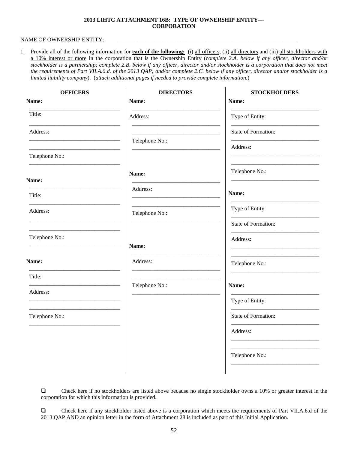### **2013 LIHTC ATTACHMENT 16B: TYPE OF OWNERSHIP ENTITY— CORPORATION**

### NAME OF OWNERSHIP ENTITY:

1. Provide all of the following information for **each of the following:** (i) all officers, (ii) all directors and (iii) all stockholders with a 10% interest or more in the corporation that is the Ownership Entity (c*omplete 2.A. below if any officer, director and/or stockholder is a partnership; complete 2.B. below if any officer, director and/or stockholder is a corporation that does not meet the requirements of Part VII.A.6.d. of the 2013 QAP; and/or complete 2.C. below if any officer, director and/or stockholder is a limited liability company*). (*attach additional pages if needed to provide complete information.*)

 $\mathbf{r}$ 

| <b>OFFICERS</b> | <b>DIRECTORS</b> | <b>STOCKHOLDERS</b> |
|-----------------|------------------|---------------------|
| Name:           | Name:            | Name:               |
| Title:          | Address:         | Type of Entity:     |
| Address:        |                  | State of Formation: |
|                 | Telephone No.:   | Address:            |
| Telephone No.:  |                  |                     |
| Name:           | Name:            | Telephone No.:      |
|                 | Address:         | Name:               |
| Title:          |                  |                     |
| Address:        | Telephone No.:   | Type of Entity:     |
|                 |                  | State of Formation: |
| Telephone No.:  | Name:            | Address:            |
| Name:           | Address:         | Telephone No.:      |
| Title:          |                  |                     |
| Address:        | Telephone No.:   | Name:               |
|                 |                  | Type of Entity:     |
| Telephone No.:  |                  | State of Formation: |
|                 |                  | Address:            |
|                 |                  | Telephone No.:      |
|                 |                  |                     |

 Check here if no stockholders are listed above because no single stockholder owns a 10% or greater interest in the corporation for which this information is provided.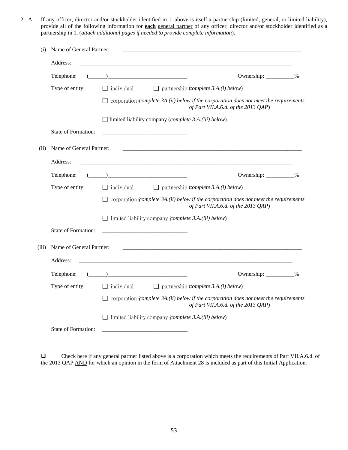2. A. If any officer, director and/or stockholder identified in 1. above is itself a partnership (limited, general, or limited liability), provide all of the following information for **each** general partner of any officer, director and/or stockholder identified as a partnership in 1. (*attach additional pages if needed to provide complete information*).

| (i)   | Name of General Partner:   |                                                                      |                                                                                                                                     |  |
|-------|----------------------------|----------------------------------------------------------------------|-------------------------------------------------------------------------------------------------------------------------------------|--|
|       | Address:                   |                                                                      |                                                                                                                                     |  |
|       | Telephone:                 |                                                                      | Ownership: ___________%                                                                                                             |  |
|       | Type of entity:            | $\Box$ individual                                                    | $\Box$ partnership (complete 3.A.(i) below)                                                                                         |  |
|       |                            |                                                                      | $\Box$ corporation (complete 3A.(ii) below if the corporation does not meet the requirements<br>of Part VII.A.6.d. of the 2013 QAP) |  |
|       |                            | $\Box$ limited liability company ( <i>complete 3.A.(iii) below</i> ) |                                                                                                                                     |  |
|       | <b>State of Formation:</b> |                                                                      |                                                                                                                                     |  |
| (ii)  | Name of General Partner:   |                                                                      |                                                                                                                                     |  |
|       | Address:                   |                                                                      |                                                                                                                                     |  |
|       | Telephone:                 |                                                                      | Ownership: ___________%                                                                                                             |  |
|       | Type of entity:            | $\Box$ individual                                                    | $\Box$ partnership ( <i>complete 3.A.(i) below</i> )                                                                                |  |
|       |                            |                                                                      | $\Box$ corporation (complete 3A.(ii) below if the corporation does not meet the requirements<br>of Part VII.A.6.d. of the 2013 QAP) |  |
|       |                            | $\Box$ limited liability company (complete 3.A.(iii) below)          |                                                                                                                                     |  |
|       | State of Formation:        |                                                                      |                                                                                                                                     |  |
| (iii) | Name of General Partner:   |                                                                      |                                                                                                                                     |  |
|       | Address:                   |                                                                      |                                                                                                                                     |  |
|       | Telephone:                 |                                                                      | Ownership: __________%                                                                                                              |  |
|       | Type of entity:            | $\Box$ individual                                                    | $\Box$ partnership ( <i>complete 3.A.(i) below</i> )                                                                                |  |
|       |                            |                                                                      | $\Box$ corporation (complete 3A.(ii) below if the corporation does not meet the requirements<br>of Part VII.A.6.d. of the 2013 QAP) |  |
|       |                            | $\Box$ limited liability company (complete 3.A.(iii) below)          |                                                                                                                                     |  |
|       | <b>State of Formation:</b> |                                                                      |                                                                                                                                     |  |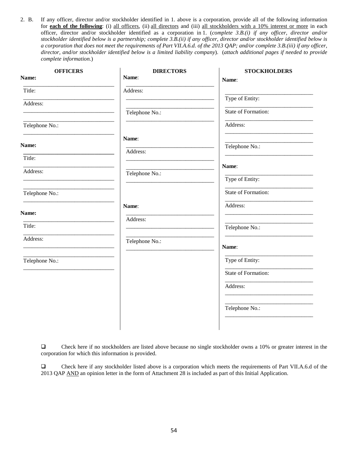2. B. If any officer, director and/or stockholder identified in 1. above is a corporation, provide all of the following information for **each of the following**: (i) all officers, (ii) all directors and (iii) all stockholders with a 10% interest or more in each officer, director and/or stockholder identified as a corporation in 1. (*complete 3.B.(i) if any officer, director and/or stockholder identified below is a partnership; complete 3.B.(ii) if any officer, director and/or stockholder identified below is a corporation that does not meet the requirements of Part VII.A.6.d. of the 2013 QAP; and/or complete 3.B.(iii) if any officer, director, and/or stockholder identified below is a limited liability company*). (*attach additional pages if needed to provide complete information.*)

| <b>OFFICERS</b><br>Name: | <b>DIRECTORS</b><br>Name: | <b>STOCKHOLDERS</b><br>Name: |
|--------------------------|---------------------------|------------------------------|
| Title:                   | Address:                  |                              |
| Address:                 |                           | Type of Entity:              |
|                          | Telephone No.:            | State of Formation:          |
| Telephone No.:           |                           | Address:                     |
|                          | Name:                     |                              |
| Name:                    | Address:                  | Telephone No.:               |
| Title:                   |                           | Name:                        |
| Address:                 | Telephone No.:            | Type of Entity:              |
| Telephone No.:           |                           | State of Formation:          |
|                          | Name:                     | Address:                     |
| Name:                    | Address:                  |                              |
| Title:                   |                           | Telephone No.:               |
| Address:                 | Telephone No.:            | Name:                        |
| Telephone No.:           |                           | Type of Entity:              |
|                          |                           | State of Formation:          |
|                          |                           | Address:                     |
|                          |                           | Telephone No.:               |
|                          |                           |                              |

 Check here if no stockholders are listed above because no single stockholder owns a 10% or greater interest in the corporation for which this information is provided.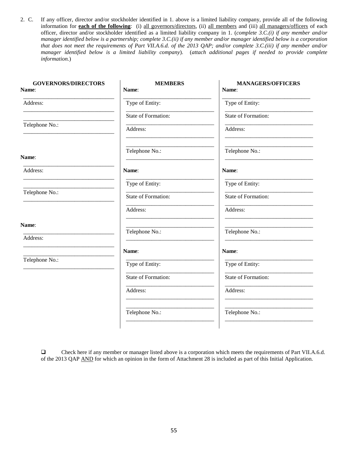2. C. If any officer, director and/or stockholder identified in 1. above is a limited liability company, provide all of the following information for **each of the following**: (i) all governors/directors, (ii) all members and (iii) all managers/officers of each officer, director and/or stockholder identified as a limited liability company in 1. (*complete 3.C.(i) if any member and/or manager identified below is a partnership; complete 3.C.(ii) if any member and/or manager identified below is a corporation that does not meet the requirements of Part VII.A.6.d. of the 2013 QAP; and/or complete 3.C.(iii) if any member and/or manager identified below is a limited liability company*). (*attach additional pages if needed to provide complete information.*)

| <b>GOVERNORS/DIRECTORS</b><br>Name: | <b>MEMBERS</b><br>Name: | <b>MANAGERS/OFFICERS</b><br>Name: |
|-------------------------------------|-------------------------|-----------------------------------|
|                                     |                         |                                   |
| Address:                            | Type of Entity:         | Type of Entity:                   |
|                                     | State of Formation:     | State of Formation:               |
| Telephone No.:                      | Address:                | Address:                          |
| Name:                               | Telephone No.:          | Telephone No.:                    |
| Address:                            | Name:                   | Name:                             |
|                                     | Type of Entity:         | Type of Entity:                   |
| Telephone No.:                      | State of Formation:     | State of Formation:               |
|                                     | Address:                | Address:                          |
| Name:                               | Telephone No.:          | Telephone No.:                    |
| Address:                            |                         |                                   |
|                                     | Name:                   | Name:                             |
| Telephone No.:                      | Type of Entity:         | Type of Entity:                   |
|                                     | State of Formation:     | State of Formation:               |
|                                     | Address:                | Address:                          |
|                                     | Telephone No.:          | Telephone No.:                    |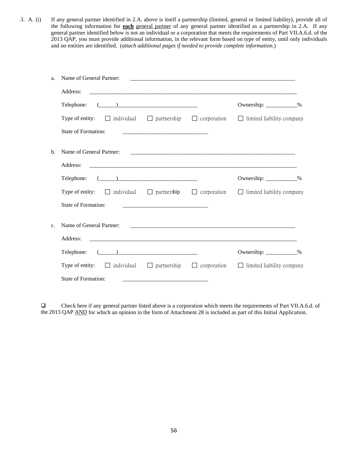3. A. (i) If any general partner identified in 2.A. above is itself a partnership (limited, general or limited liability), provide all of the following information for **each** general partner of any general partner identified as a partnership in 2.A. If any general partner identified below is not an individual or a corporation that meets the requirements of Part VII.A.6.d. of the 2013 QAP, you must provide additional information, in the relevant form based on type of entity, until only individuals and no entities are identified. (*attach additional pages if needed to provide complete information.*)

| a.             | Name of General Partner:                                                                                                                                                                                                                                                                                                                                                          |                                                                                                                                                                                                                                      |                                  |
|----------------|-----------------------------------------------------------------------------------------------------------------------------------------------------------------------------------------------------------------------------------------------------------------------------------------------------------------------------------------------------------------------------------|--------------------------------------------------------------------------------------------------------------------------------------------------------------------------------------------------------------------------------------|----------------------------------|
|                | Address:                                                                                                                                                                                                                                                                                                                                                                          |                                                                                                                                                                                                                                      |                                  |
|                | $\begin{picture}(20,10) \put(0,0){\vector(1,0){100}} \put(15,0){\vector(1,0){100}} \put(15,0){\vector(1,0){100}} \put(15,0){\vector(1,0){100}} \put(15,0){\vector(1,0){100}} \put(15,0){\vector(1,0){100}} \put(15,0){\vector(1,0){100}} \put(15,0){\vector(1,0){100}} \put(15,0){\vector(1,0){100}} \put(15,0){\vector(1,0){100}} \put(15,0){\vector(1,0){100}} \$<br>Telephone: |                                                                                                                                                                                                                                      | Ownership: ____________%         |
|                | Type of entity: $\Box$ individual $\Box$ partnership $\Box$ corporation $\Box$ limited liability company                                                                                                                                                                                                                                                                          |                                                                                                                                                                                                                                      |                                  |
|                | <b>State of Formation:</b>                                                                                                                                                                                                                                                                                                                                                        | <u> 1989 - Johann Harry Harry Harry Harry Harry Harry Harry Harry Harry Harry Harry Harry Harry Harry Harry Harry Harry Harry Harry Harry Harry Harry Harry Harry Harry Harry Harry Harry Harry Harry Harry Harry Harry Harry Ha</u> |                                  |
| b.             | Name of General Partner:                                                                                                                                                                                                                                                                                                                                                          |                                                                                                                                                                                                                                      |                                  |
|                | Address:                                                                                                                                                                                                                                                                                                                                                                          |                                                                                                                                                                                                                                      |                                  |
|                | $\begin{array}{c} \begin{array}{c} \begin{array}{c} \end{array} \end{array}$<br>Telephone:                                                                                                                                                                                                                                                                                        |                                                                                                                                                                                                                                      | Ownership: ____________%         |
|                | Type of entity: $\Box$ individual $\Box$ partnership $\Box$ corporation $\Box$ limited liability company                                                                                                                                                                                                                                                                          |                                                                                                                                                                                                                                      |                                  |
|                | State of Formation:                                                                                                                                                                                                                                                                                                                                                               |                                                                                                                                                                                                                                      |                                  |
| C <sub>1</sub> | Name of General Partner:                                                                                                                                                                                                                                                                                                                                                          |                                                                                                                                                                                                                                      |                                  |
|                | Address:                                                                                                                                                                                                                                                                                                                                                                          |                                                                                                                                                                                                                                      |                                  |
|                | $\begin{picture}(20,10) \put(0,0){\vector(1,0){100}} \put(15,0){\vector(1,0){100}} \put(15,0){\vector(1,0){100}} \put(15,0){\vector(1,0){100}} \put(15,0){\vector(1,0){100}} \put(15,0){\vector(1,0){100}} \put(15,0){\vector(1,0){100}} \put(15,0){\vector(1,0){100}} \put(15,0){\vector(1,0){100}} \put(15,0){\vector(1,0){100}} \put(15,0){\vector(1,0){100}} \$<br>Telephone: |                                                                                                                                                                                                                                      | Ownership: ____________%         |
|                | Type of entity: $\Box$ individual $\Box$ partnership $\Box$ corporation                                                                                                                                                                                                                                                                                                           |                                                                                                                                                                                                                                      | $\Box$ limited liability company |
|                | <b>State of Formation:</b>                                                                                                                                                                                                                                                                                                                                                        |                                                                                                                                                                                                                                      |                                  |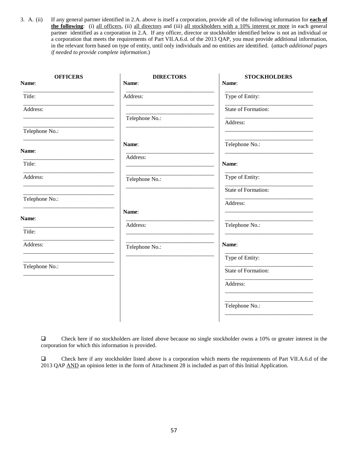3. A. (ii) If any general partner identified in 2.A. above is itself a corporation, provide all of the following information for **each of the following**: (i) all officers, (ii) all directors and (iii) all stockholders with a 10% interest or more in each general partner identified as a corporation in 2.A. If any officer, director or stockholder identified below is not an individual or a corporation that meets the requirements of Part VII.A.6.d. of the 2013 QAP, you must provide additional information, in the relevant form based on type of entity, until only individuals and no entities are identified. (*attach additional pages if needed to provide complete information.*)

| <b>OFFICERS</b><br>Name: | <b>DIRECTORS</b><br>Name: | <b>STOCKHOLDERS</b><br>Name: |
|--------------------------|---------------------------|------------------------------|
| Title:                   | Address:                  | Type of Entity:              |
| Address:                 |                           | State of Formation:          |
| Telephone No.:           | Telephone No.:            | Address:                     |
|                          | Name:                     | Telephone No.:               |
| Name:                    | Address:                  |                              |
| Title:                   |                           | Name:                        |
| Address:                 | Telephone No.:            | Type of Entity:              |
| Telephone No.:           |                           | State of Formation:          |
|                          | Name:                     | Address:                     |
| Name:                    | Address:                  | Telephone No.:               |
| Title:                   |                           |                              |
| Address:                 | Telephone No.:            | Name:                        |
| Telephone No.:           |                           | Type of Entity:              |
|                          |                           | State of Formation:          |
|                          |                           | Address:                     |
|                          |                           | Telephone No.:               |
|                          |                           |                              |

 Check here if no stockholders are listed above because no single stockholder owns a 10% or greater interest in the corporation for which this information is provided.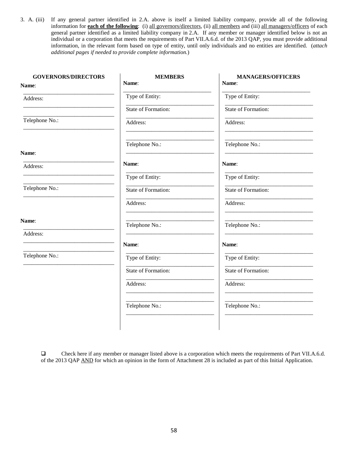3. A. (iii) If any general partner identified in 2.A. above is itself a limited liability company, provide all of the following information for **each of the following**: (i) all governors/directors, (ii) all members and (iii) all managers/officers of each general partner identified as a limited liability company in 2.A. If any member or manager identified below is not an individual or a corporation that meets the requirements of Part VII.A.6.d. of the 2013 QAP, you must provide additional information, in the relevant form based on type of entity, until only individuals and no entities are identified. (*attach additional pages if needed to provide complete information.*)

| <b>GOVERNORS/DIRECTORS</b> | <b>MEMBERS</b>      | <b>MANAGERS/OFFICERS</b> |
|----------------------------|---------------------|--------------------------|
| Name:                      | Name:               | Name:                    |
| Address:                   | Type of Entity:     | Type of Entity:          |
|                            | State of Formation: | State of Formation:      |
| Telephone No.:             | Address:            | Address:                 |
|                            | Telephone No.:      | Telephone No.:           |
| Name:                      |                     |                          |
| Address:                   | Name:               | Name:                    |
|                            | Type of Entity:     | Type of Entity:          |
| Telephone No.:             | State of Formation: | State of Formation:      |
|                            | Address:            | Address:                 |
| Name:                      | Telephone No.:      | Telephone No.:           |
| Address:                   |                     |                          |
|                            | Name:               | Name:                    |
| Telephone No.:             | Type of Entity:     | Type of Entity:          |
|                            | State of Formation: | State of Formation:      |
|                            | Address:            | Address:                 |
|                            | Telephone No.:      | Telephone No.:           |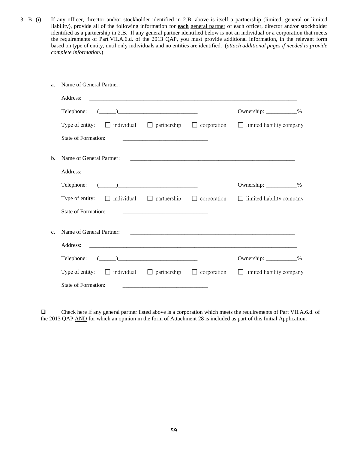3. B (i) If any officer, director and/or stockholder identified in 2.B. above is itself a partnership (limited, general or limited liability), provide all of the following information for **each** general partner of each officer, director and/or stockholder identified as a partnership in 2.B. If any general partner identified below is not an individual or a corporation that meets the requirements of Part VII.A.6.d. of the 2013 QAP, you must provide additional information, in the relevant form based on type of entity, until only individuals and no entities are identified. (*attach additional pages if needed to provide complete information.*)

| a.              | Name of General Partner:                                                                                                                                                                                                                                                                                                                                                          |  |                                  |
|-----------------|-----------------------------------------------------------------------------------------------------------------------------------------------------------------------------------------------------------------------------------------------------------------------------------------------------------------------------------------------------------------------------------|--|----------------------------------|
|                 | Address:                                                                                                                                                                                                                                                                                                                                                                          |  |                                  |
|                 | $\begin{picture}(20,10) \put(0,0){\vector(1,0){100}} \put(15,0){\vector(1,0){100}} \put(15,0){\vector(1,0){100}} \put(15,0){\vector(1,0){100}} \put(15,0){\vector(1,0){100}} \put(15,0){\vector(1,0){100}} \put(15,0){\vector(1,0){100}} \put(15,0){\vector(1,0){100}} \put(15,0){\vector(1,0){100}} \put(15,0){\vector(1,0){100}} \put(15,0){\vector(1,0){100}} \$<br>Telephone: |  | Ownership: ____________%         |
|                 | Type of entity: $\Box$ individual $\Box$ partnership $\Box$ corporation $\Box$ limited liability company                                                                                                                                                                                                                                                                          |  |                                  |
|                 | State of Formation:                                                                                                                                                                                                                                                                                                                                                               |  |                                  |
| b.              | Name of General Partner:                                                                                                                                                                                                                                                                                                                                                          |  |                                  |
|                 | Address:                                                                                                                                                                                                                                                                                                                                                                          |  |                                  |
|                 | $\begin{picture}(150,10) \put(0,0){\vector(1,0){100}} \put(15,0){\vector(1,0){100}} \put(15,0){\vector(1,0){100}} \put(15,0){\vector(1,0){100}} \put(15,0){\vector(1,0){100}} \put(15,0){\vector(1,0){100}} \put(15,0){\vector(1,0){100}} \put(15,0){\vector(1,0){100}} \put(15,0){\vector(1,0){100}} \put(15,0){\vector(1,0){100}} \put(15,0){\vector(1,0){100}}$<br>Telephone:  |  | Ownership: ___________%          |
|                 | <b>Type of entity:</b> $\Box$ individual $\Box$ partnership $\Box$ corporation $\Box$ limited liability company                                                                                                                                                                                                                                                                   |  |                                  |
|                 | State of Formation:                                                                                                                                                                                                                                                                                                                                                               |  |                                  |
| $\mathcal{C}$ . | Name of General Partner:                                                                                                                                                                                                                                                                                                                                                          |  |                                  |
|                 | Address:                                                                                                                                                                                                                                                                                                                                                                          |  |                                  |
|                 | $\begin{picture}(20,10) \put(0,0){\vector(1,0){100}} \put(15,0){\vector(1,0){100}} \put(15,0){\vector(1,0){100}} \put(15,0){\vector(1,0){100}} \put(15,0){\vector(1,0){100}} \put(15,0){\vector(1,0){100}} \put(15,0){\vector(1,0){100}} \put(15,0){\vector(1,0){100}} \put(15,0){\vector(1,0){100}} \put(15,0){\vector(1,0){100}} \put(15,0){\vector(1,0){100}} \$<br>Telephone: |  | Ownership: ___________%          |
|                 | Type of entity: $\Box$ individual $\Box$ partnership $\Box$ corporation                                                                                                                                                                                                                                                                                                           |  | $\Box$ limited liability company |
|                 | State of Formation:                                                                                                                                                                                                                                                                                                                                                               |  |                                  |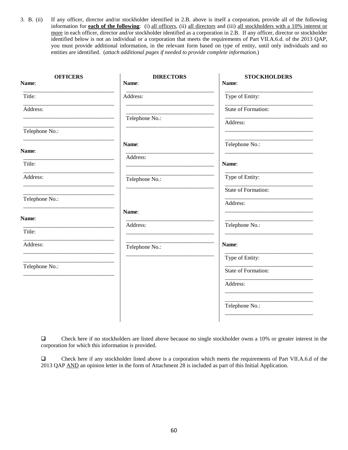3. B. (ii) If any officer, director and/or stockholder identified in 2.B. above is itself a corporation, provide all of the following information for **each of the following**: (i) all officers, (ii) all directors and (iii) all stockholders with a 10% interest or more in each officer, director and/or stockholder identified as a corporation in 2.B. If any officer, director or stockholder identified below is not an individual or a corporation that meets the requirements of Part VII.A.6.d. of the 2013 QAP, you must provide additional information, in the relevant form based on type of entity, until only individuals and no entities are identified. (*attach additional pages if needed to provide complete information.*)

| <b>OFFICERS</b><br>Name: | <b>DIRECTORS</b><br>Name: | <b>STOCKHOLDERS</b><br>Name: |
|--------------------------|---------------------------|------------------------------|
| Title:                   | Address:                  | Type of Entity:              |
| Address:                 |                           | State of Formation:          |
|                          | Telephone No.:            | Address:                     |
| Telephone No.:           |                           |                              |
| Name:                    | Name:                     | Telephone No.:               |
| Title:                   | Address:                  | Name:                        |
|                          |                           |                              |
| Address:                 | Telephone No.:            | Type of Entity:              |
|                          |                           | State of Formation:          |
| Telephone No.:           |                           | Address:                     |
|                          | Name:                     |                              |
| Name:                    | Address:                  | Telephone No.:               |
| Title:                   |                           |                              |
| Address:                 | Telephone No.:            | Name:                        |
|                          |                           | Type of Entity:              |
| Telephone No.:           |                           | State of Formation:          |
|                          |                           | Address:                     |
|                          |                           | Telephone No.:               |
|                          |                           |                              |

 Check here if no stockholders are listed above because no single stockholder owns a 10% or greater interest in the corporation for which this information is provided.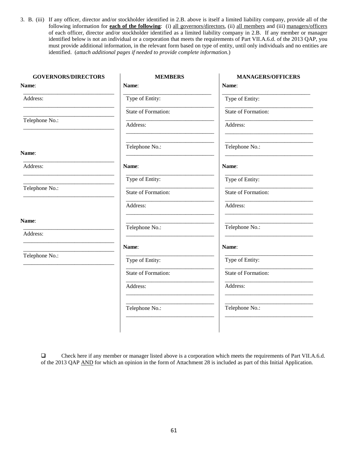3. B. (iii) If any officer, director and/or stockholder identified in 2.B. above is itself a limited liability company, provide all of the following information for **each of the following**: (i) all governors/directors, (ii) all members and (iii) managers/officers of each officer, director and/or stockholder identified as a limited liability company in 2.B. If any member or manager identified below is not an individual or a corporation that meets the requirements of Part VII.A.6.d. of the 2013 QAP, you must provide additional information, in the relevant form based on type of entity, until only individuals and no entities are identified. (*attach additional pages if needed to provide complete information.*)

| <b>MEMBERS</b>      | <b>MANAGERS/OFFICERS</b> |
|---------------------|--------------------------|
| Name:               | Name:                    |
| Type of Entity:     | Type of Entity:          |
| State of Formation: | State of Formation:      |
| Address:            | Address:                 |
| Telephone No.:      | Telephone No.:           |
| Name:               | Name:                    |
| Type of Entity:     | Type of Entity:          |
| State of Formation: | State of Formation:      |
| Address:            | Address:                 |
|                     | Telephone No.:           |
|                     |                          |
| Name:               | Name:                    |
| Type of Entity:     | Type of Entity:          |
| State of Formation: | State of Formation:      |
| Address:            | Address:                 |
| Telephone No.:      | Telephone No.:           |
|                     | Telephone No.:           |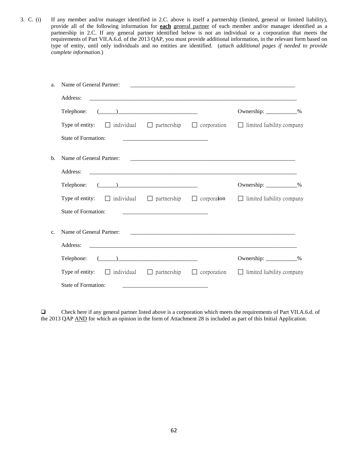3. C. (i) If any member and/or manager identified in 2.C. above is itself a partnership (limited, general or limited liability), provide all of the following information for **each** general partner of each member and/or manager identified as a partnership in 2.C. If any general partner identified below is not an individual or a corporation that meets the requirements of Part VII.A.6.d. of the 2013 QAP, you must provide additional information, in the relevant form based on type of entity, until only individuals and no entities are identified. (*attach additional pages if needed to provide complete information.*)

| a.             | Name of General Partner:                                                                                                                                                                                                                                                                                                                                                          |                                                                                                                      |                                  |
|----------------|-----------------------------------------------------------------------------------------------------------------------------------------------------------------------------------------------------------------------------------------------------------------------------------------------------------------------------------------------------------------------------------|----------------------------------------------------------------------------------------------------------------------|----------------------------------|
|                | Address:                                                                                                                                                                                                                                                                                                                                                                          |                                                                                                                      |                                  |
|                | $\begin{tabular}{c} \textbf{Telephone:} \end{tabular}$                                                                                                                                                                                                                                                                                                                            |                                                                                                                      | Ownership: ____________%         |
|                | Type of entity: $\Box$ individual $\Box$ partnership $\Box$ corporation $\Box$ limited liability company                                                                                                                                                                                                                                                                          |                                                                                                                      |                                  |
|                | State of Formation:                                                                                                                                                                                                                                                                                                                                                               | <u> 1989 - Johann Barn, mars eta bainar eta bainar eta baina eta baina eta baina eta baina eta baina eta baina e</u> |                                  |
| $\mathbf{b}$ . | Name of General Partner:                                                                                                                                                                                                                                                                                                                                                          |                                                                                                                      |                                  |
|                | Address:                                                                                                                                                                                                                                                                                                                                                                          |                                                                                                                      |                                  |
|                | $\begin{picture}(20,10) \put(0,0){\vector(1,0){100}} \put(15,0){\vector(1,0){100}} \put(15,0){\vector(1,0){100}} \put(15,0){\vector(1,0){100}} \put(15,0){\vector(1,0){100}} \put(15,0){\vector(1,0){100}} \put(15,0){\vector(1,0){100}} \put(15,0){\vector(1,0){100}} \put(15,0){\vector(1,0){100}} \put(15,0){\vector(1,0){100}} \put(15,0){\vector(1,0){100}} \$<br>Telephone: |                                                                                                                      | Ownership: ____________%         |
|                | Type of entity: $\Box$ individual $\Box$ partnership $\Box$ corporation $\Box$ limited liability company                                                                                                                                                                                                                                                                          |                                                                                                                      |                                  |
|                | State of Formation:                                                                                                                                                                                                                                                                                                                                                               |                                                                                                                      |                                  |
| C <sub>1</sub> | Name of General Partner:                                                                                                                                                                                                                                                                                                                                                          |                                                                                                                      |                                  |
|                | Address:                                                                                                                                                                                                                                                                                                                                                                          |                                                                                                                      |                                  |
|                | $\begin{picture}(20,10) \put(0,0){\vector(1,0){100}} \put(15,0){\vector(1,0){100}} \put(15,0){\vector(1,0){100}} \put(15,0){\vector(1,0){100}} \put(15,0){\vector(1,0){100}} \put(15,0){\vector(1,0){100}} \put(15,0){\vector(1,0){100}} \put(15,0){\vector(1,0){100}} \put(15,0){\vector(1,0){100}} \put(15,0){\vector(1,0){100}} \put(15,0){\vector(1,0){100}} \$<br>Telephone: |                                                                                                                      | Ownership: ___________%          |
|                | Type of entity: $\Box$ individual $\Box$ partnership $\Box$ corporation                                                                                                                                                                                                                                                                                                           |                                                                                                                      | $\Box$ limited liability company |
|                | State of Formation:                                                                                                                                                                                                                                                                                                                                                               |                                                                                                                      |                                  |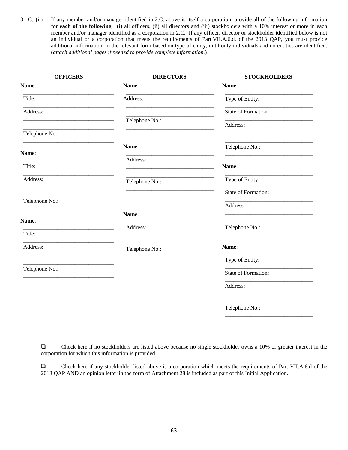3. C. (ii) If any member and/or manager identified in 2.C. above is itself a corporation, provide all of the following information for **each of the following**: (i) all officers, (ii) all directors and (iii) stockholders with a 10% interest or more in each member and/or manager identified as a corporation in 2.C. If any officer, director or stockholder identified below is not an individual or a corporation that meets the requirements of Part VII.A.6.d. of the 2013 QAP, you must provide additional information, in the relevant form based on type of entity, until only individuals and no entities are identified. (*attach additional pages if needed to provide complete information.*)

| <b>OFFICERS</b> | <b>DIRECTORS</b> | <b>STOCKHOLDERS</b> |
|-----------------|------------------|---------------------|
| Name:           | Name:            | Name:               |
| Title:          | Address:         | Type of Entity:     |
| Address:        |                  | State of Formation: |
|                 | Telephone No.:   | Address:            |
| Telephone No.:  |                  |                     |
| Name:           | Name:            | Telephone No.:      |
| Title:          | Address:         |                     |
|                 |                  | Name:               |
| Address:        | Telephone No.:   | Type of Entity:     |
|                 |                  | State of Formation: |
| Telephone No.:  |                  | Address:            |
| Name:           | Name:            |                     |
|                 | Address:         | Telephone No.:      |
| Title:          |                  |                     |
| Address:        | Telephone No.:   | Name:               |
|                 |                  | Type of Entity:     |
| Telephone No.:  |                  | State of Formation: |
|                 |                  | Address:            |
|                 |                  |                     |
|                 |                  | Telephone No.:      |
|                 |                  |                     |
|                 |                  |                     |

 Check here if no stockholders are listed above because no single stockholder owns a 10% or greater interest in the corporation for which this information is provided.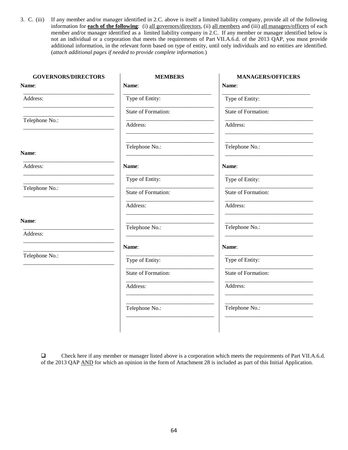3. C. (iii) If any member and/or manager identified in 2.C. above is itself a limited liability company, provide all of the following information for **each of the following**: (i) all governors/directors, (ii) all members and (iii) all managers/officers of each member and/or manager identified as a limited liability company in 2.C. If any member or manager identified below is not an individual or a corporation that meets the requirements of Part VII.A.6.d. of the 2013 QAP, you must provide additional information, in the relevant form based on type of entity, until only individuals and no entities are identified. (*attach additional pages if needed to provide complete information.*)

| <b>GOVERNORS/DIRECTORS</b> | <b>MEMBERS</b>      | <b>MANAGERS/OFFICERS</b> |
|----------------------------|---------------------|--------------------------|
| Name:                      | Name:               | Name:                    |
| Address:                   | Type of Entity:     | Type of Entity:          |
|                            | State of Formation: | State of Formation:      |
| Telephone No.:             | Address:            | Address:                 |
| Name:                      | Telephone No.:      | Telephone No.:           |
| Address:                   | Name:               | Name:                    |
|                            | Type of Entity:     | Type of Entity:          |
| Telephone No.:             | State of Formation: | State of Formation:      |
|                            | Address:            | Address:                 |
| Name:                      | Telephone No.:      | Telephone No.:           |
| Address:                   |                     |                          |
|                            | Name:               | Name:                    |
| Telephone No.:             | Type of Entity:     | Type of Entity:          |
|                            | State of Formation: | State of Formation:      |
|                            | Address:            | Address:                 |
|                            | Telephone No.:      | Telephone No.:           |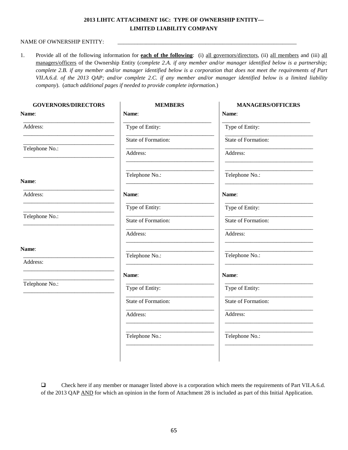# **2013 LIHTC ATTACHMENT 16C: TYPE OF OWNERSHIP ENTITY— LIMITED LIABILITY COMPANY**

#### NAME OF OWNERSHIP ENTITY:

1. Provide all of the following information for **each of the following**: (i) all governors/directors, (ii) all members and (iii) all managers/officers of the Ownership Entity (*complete 2.A. if any member and/or manager identified below is a partnership; complete 2.B. if any member and/or manager identified below is a corporation that does not meet the requirements of Part VII.A.6.d. of the 2013 QAP; and/or complete 2.C. if any member and/or manager identified below is a limited liability company*). (*attach additional pages if needed to provide complete information.*)

| <b>MEMBERS</b>      | <b>MANAGERS/OFFICERS</b> |
|---------------------|--------------------------|
| Name:               | Name:                    |
| Type of Entity:     | Type of Entity:          |
| State of Formation: | State of Formation:      |
| Address:            | Address:                 |
| Telephone No.:      | Telephone No.:           |
| Name:               | Name:                    |
| Type of Entity:     | Type of Entity:          |
| State of Formation: | State of Formation:      |
| Address:            | Address:                 |
|                     | Telephone No.:           |
|                     |                          |
| Name:               | Name:                    |
| Type of Entity:     | Type of Entity:          |
| State of Formation: | State of Formation:      |
| Address:            | Address:                 |
| Telephone No.:      | Telephone No.:           |
|                     | Telephone No.:           |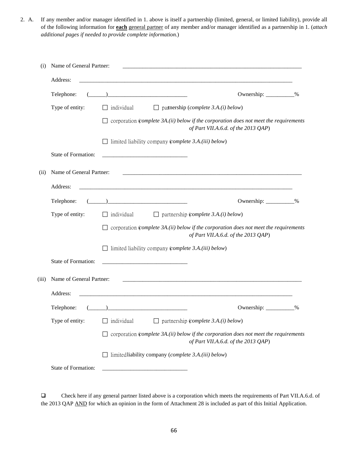2. A. If any member and/or manager identified in 1. above is itself a partnership (limited, general, or limited liability), provide all of the following information for **each** general partner of any member and/or manager identified as a partnership in 1. (*attach additional pages if needed to provide complete information.*)

| (i)   | Name of General Partner: |                                                                                                                                     |  |  |  |
|-------|--------------------------|-------------------------------------------------------------------------------------------------------------------------------------|--|--|--|
|       | Address:                 | <u> 1980 - Johann Stoff, deutscher Stoff, der Stoff, der Stoff, der Stoff, der Stoff, der Stoff, der Stoff, der S</u>               |  |  |  |
|       | Telephone:               | Ownership: ___________%                                                                                                             |  |  |  |
|       | Type of entity:          | individual<br>$\Box$ patnership ( <i>complete 3.A.(i) below</i> )                                                                   |  |  |  |
|       |                          | corporation (complete 3A.(ii) below if the corporation does not meet the requirements<br>of Part VII.A.6.d. of the 2013 QAP)        |  |  |  |
|       |                          | $\Box$ limited liability company (complete 3.A.(iii) below)                                                                         |  |  |  |
|       | State of Formation:      | <u> 1989 - Johann Barbara, martxa al III-lea (h. 1989).</u>                                                                         |  |  |  |
| (ii)  | Name of General Partner: |                                                                                                                                     |  |  |  |
|       | Address:                 |                                                                                                                                     |  |  |  |
|       | Telephone:               | $\overline{a}$ ) and the contract of the contract of $\overline{a}$<br>Ownership: ___________%                                      |  |  |  |
|       | Type of entity:          | $\Box$ individual<br>$\Box$ partnership (complete 3.A.(i) below)                                                                    |  |  |  |
|       |                          | $\Box$ corporation (complete 3A.(ii) below if the corporation does not meet the requirements<br>of Part VII.A.6.d. of the 2013 QAP) |  |  |  |
|       |                          | $\Box$ limited liability company (complete 3.A.(iii) below)                                                                         |  |  |  |
|       | State of Formation:      |                                                                                                                                     |  |  |  |
| (iii) | Name of General Partner: |                                                                                                                                     |  |  |  |
|       | Address:                 |                                                                                                                                     |  |  |  |
|       | Telephone:               | $\begin{pmatrix} 1 & 1 \\ 1 & 1 \end{pmatrix}$<br>$\%$                                                                              |  |  |  |
|       | Type of entity:          | individual<br>$\Box$ partnership (complete 3.A.(i) below)                                                                           |  |  |  |
|       |                          | $\Box$ corporation (complete 3A.(ii) below if the corporation does not meet the requirements<br>of Part VII.A.6.d. of the 2013 QAP) |  |  |  |
|       |                          | $\Box$ limited liability company (complete 3.A.(iii) below)                                                                         |  |  |  |
|       | State of Formation:      |                                                                                                                                     |  |  |  |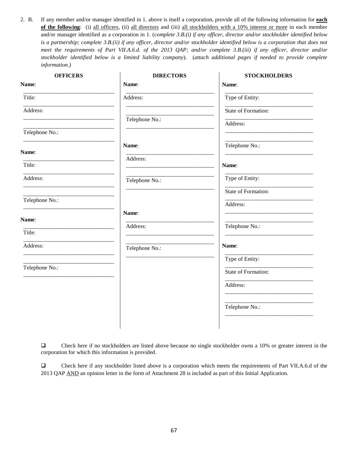2. B. If any member and/or manager identified in 1. above is itself a corporation, provide all of the following information for **each of the following**: (i) all officers, (ii) all directors and (iii) all stockholders with a 10% interest or more in each member and/or manager identified as a corporation in 1. (*complete 3.B.(i) if any officer, director and/or stockholder identified below is a partnership; complete 3.B.(ii) if any officer, director and/or stockholder identified below is a corporation that does not meet the requirements of Part VII.A.6.d. of the 2013 QAP; and/or complete 3.B.(iii) if any officer, director and/or stockholder identified below is a limited liability company*). (*attach additional pages if needed to provide complete information*.*)*

| <b>OFFICERS</b> | <b>DIRECTORS</b> | <b>STOCKHOLDERS</b> |
|-----------------|------------------|---------------------|
| Name:           | Name:            | Name:               |
| Title:          | Address:         | Type of Entity:     |
| Address:        |                  | State of Formation: |
|                 | Telephone No.:   | Address:            |
| Telephone No.:  |                  |                     |
| Name:           | Name:            | Telephone No.:      |
| Title:          | Address:         | Name:               |
|                 |                  |                     |
| Address:        | Telephone No.:   | Type of Entity:     |
|                 |                  | State of Formation: |
| Telephone No.:  |                  | Address:            |
| Name:           | Name:            |                     |
|                 | Address:         | Telephone No.:      |
| Title:          |                  |                     |
| Address:        | Telephone No.:   | Name:               |
|                 |                  | Type of Entity:     |
| Telephone No.:  |                  | State of Formation: |
|                 |                  | Address:            |
|                 |                  |                     |
|                 |                  | Telephone No.:      |
|                 |                  |                     |
|                 |                  |                     |

 Check here if no stockholders are listed above because no single stockholder owns a 10% or greater interest in the corporation for which this information is provided.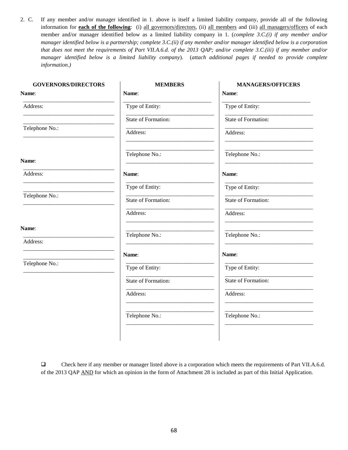2. C. If any member and/or manager identified in 1. above is itself a limited liability company, provide all of the following information for **each of the following**: (i) all governors/directors, (ii) all members and (iii) all managers/officers of each member and/or manager identified below as a limited liability company in 1. (*complete 3.C.(i) if any member and/or manager identified below is a partnership; complete 3.C.(ii) if any member and/or manager identified below is a corporation that does not meet the requirements of Part VII.A.6.d. of the 2013 QAP; and/or complete 3.C.(iii) if any member and/or manager identified below is a limited liability company*). (*attach additional pages if needed to provide complete information*.*)*

| <b>MEMBERS</b>      | <b>MANAGERS/OFFICERS</b>                                                  |
|---------------------|---------------------------------------------------------------------------|
| Name:               | Name:                                                                     |
| Type of Entity:     | Type of Entity:                                                           |
| State of Formation: | State of Formation:                                                       |
| Address:            | Address:                                                                  |
| Telephone No.:      | Telephone No.:                                                            |
| Name:               | Name:                                                                     |
| Type of Entity:     | Type of Entity:                                                           |
| State of Formation: | State of Formation:                                                       |
| Address:            | Address:                                                                  |
|                     | Telephone No.:                                                            |
|                     |                                                                           |
| Name:               | Name:                                                                     |
| Type of Entity:     | Type of Entity:                                                           |
| State of Formation: | State of Formation:                                                       |
| Address:            | Address:<br><u> 1980 - Johann Barn, fransk politik fotograf (d. 1980)</u> |
| Telephone No.:      | Telephone No.:                                                            |
|                     | Telephone No.:                                                            |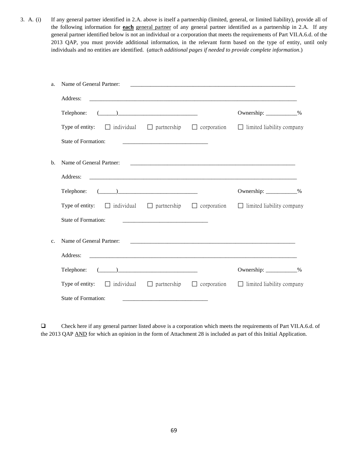3. A. (i) If any general partner identified in 2.A. above is itself a partnership (limited, general, or limited liability), provide all of the following information for **each** general partner of any general partner identified as a partnership in 2.A. If any general partner identified below is not an individual or a corporation that meets the requirements of Part VII.A.6.d. of the 2013 QAP, you must provide additional information, in the relevant form based on the type of entity, until only individuals and no entities are identified. (*attach additional pages if needed to provide complete information*.)

| a.             | Name of General Partner:                                                                                                                                                                                                                                                                                                                                                          |                                                                      |                         |  |
|----------------|-----------------------------------------------------------------------------------------------------------------------------------------------------------------------------------------------------------------------------------------------------------------------------------------------------------------------------------------------------------------------------------|----------------------------------------------------------------------|-------------------------|--|
|                | Address:                                                                                                                                                                                                                                                                                                                                                                          |                                                                      |                         |  |
|                | $\begin{picture}(20,10) \put(0,0){\vector(1,0){100}} \put(15,0){\vector(1,0){100}} \put(15,0){\vector(1,0){100}} \put(15,0){\vector(1,0){100}} \put(15,0){\vector(1,0){100}} \put(15,0){\vector(1,0){100}} \put(15,0){\vector(1,0){100}} \put(15,0){\vector(1,0){100}} \put(15,0){\vector(1,0){100}} \put(15,0){\vector(1,0){100}} \put(15,0){\vector(1,0){100}} \$<br>Telephone: |                                                                      | Ownership: ___________% |  |
|                | Type of entity: $\Box$ individual $\Box$ partnership $\Box$ corporation $\Box$ limited liability company                                                                                                                                                                                                                                                                          |                                                                      |                         |  |
|                | <b>State of Formation:</b>                                                                                                                                                                                                                                                                                                                                                        | <u> 1989 - Johann Barbara, martin da kasar Amerikaansk politik (</u> |                         |  |
| $\mathbf{b}$ . | Name of General Partner:                                                                                                                                                                                                                                                                                                                                                          |                                                                      |                         |  |
|                | Address:                                                                                                                                                                                                                                                                                                                                                                          |                                                                      |                         |  |
|                | Telephone: $(\_\_)$                                                                                                                                                                                                                                                                                                                                                               |                                                                      | Ownership: ___________% |  |
|                | Type of entity: $\Box$ individual $\Box$ partnership $\Box$ corporation $\Box$ limited liability company                                                                                                                                                                                                                                                                          |                                                                      |                         |  |
|                | State of Formation:                                                                                                                                                                                                                                                                                                                                                               |                                                                      |                         |  |
| $\mathbf{c}$ . | Name of General Partner:                                                                                                                                                                                                                                                                                                                                                          |                                                                      |                         |  |
|                | Address:                                                                                                                                                                                                                                                                                                                                                                          |                                                                      |                         |  |
|                | $\begin{tabular}{c} \textbf{Telephone:} \end{tabular}$                                                                                                                                                                                                                                                                                                                            |                                                                      | Ownership: ___________% |  |
|                | Type of entity: $\Box$ individual $\Box$ partnership $\Box$ corporation $\Box$ limited liability company                                                                                                                                                                                                                                                                          |                                                                      |                         |  |
|                | State of Formation:                                                                                                                                                                                                                                                                                                                                                               |                                                                      |                         |  |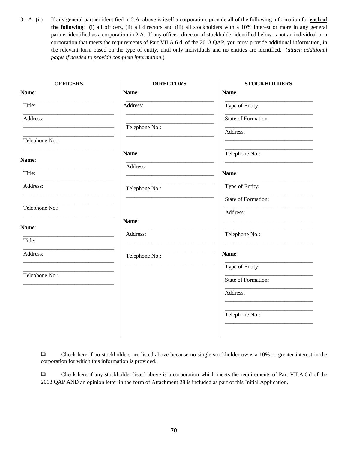3. A. (ii) If any general partner identified in 2.A. above is itself a corporation, provide all of the following information for **each of the following**: (i) all officers, (ii) all directors and (iii) all stockholders with a 10% interest or more in any general partner identified as a corporation in 2.A. If any officer, director of stockholder identified below is not an individual or a corporation that meets the requirements of Part VII.A.6.d. of the 2013 QAP, you must provide additional information, in the relevant form based on the type of entity, until only individuals and no entities are identified. (*attach additional pages if needed to provide complete information*.)

| <b>OFFICERS</b> | <b>DIRECTORS</b> | <b>STOCKHOLDERS</b> |
|-----------------|------------------|---------------------|
| Name:           | Name:            | Name:               |
| Title:          | Address:         | Type of Entity:     |
| Address:        |                  | State of Formation: |
|                 | Telephone No.:   | Address:            |
| Telephone No.:  |                  |                     |
| Name:           | Name:            | Telephone No.:      |
| Title:          | Address:         | Name:               |
| Address:        | Telephone No.:   | Type of Entity:     |
|                 |                  | State of Formation: |
| Telephone No.:  |                  | Address:            |
| Name:           | Name:            |                     |
| Title:          | Address:         | Telephone No.:      |
|                 |                  |                     |
| Address:        | Telephone No.:   | Name:               |
| Telephone No.:  |                  | Type of Entity:     |
|                 |                  | State of Formation: |
|                 |                  | Address:            |
|                 |                  |                     |
|                 |                  | Telephone No.:      |
|                 |                  |                     |

 Check here if no stockholders are listed above because no single stockholder owns a 10% or greater interest in the corporation for which this information is provided.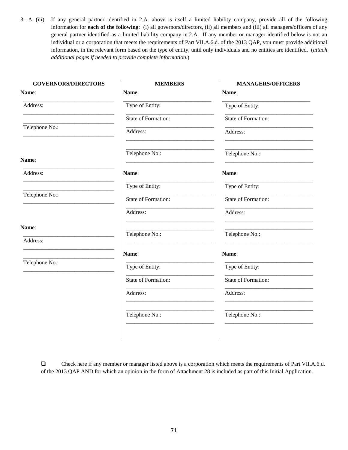3. A. (iii) If any general partner identified in 2.A. above is itself a limited liability company, provide all of the following information for **each of the following**: (i) all governors/directors, (ii) all members and (iii) all managers/officers of any general partner identified as a limited liability company in 2.A. If any member or manager identified below is not an individual or a corporation that meets the requirements of Part VII.A.6.d. of the 2013 QAP, you must provide additional information, in the relevant form based on the type of entity, until only individuals and no entities are identified. (*attach additional pages if needed to provide complete information*.)

| <b>MEMBERS</b>      | <b>MANAGERS/OFFICERS</b> |
|---------------------|--------------------------|
| Name:               | Name:                    |
| Type of Entity:     | Type of Entity:          |
| State of Formation: | State of Formation:      |
| Address:            | Address:                 |
| Telephone No.:      | Telephone No.:           |
| Name:               | Name:                    |
| Type of Entity:     | Type of Entity:          |
| State of Formation: | State of Formation:      |
| Address:            | Address:                 |
|                     | Telephone No.:           |
|                     |                          |
| Name:               | Name:                    |
| Type of Entity:     | Type of Entity:          |
| State of Formation: | State of Formation:      |
| Address:            | Address:                 |
| Telephone No.:      | Telephone No.:           |
|                     | Telephone No.:           |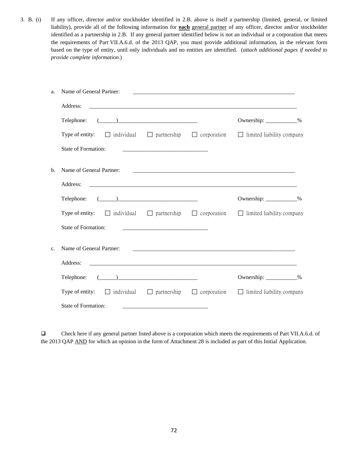3. B. (i) If any officer, director and/or stockholder identified in 2.B. above is itself a partnership (limited, general, or limited liability), provide all of the following information for **each** general partner of any officer, director and/or stockholder identified as a partnership in 2.B. If any general partner identified below is not an individual or a corporation that meets the requirements of Part VII.A.6.d. of the 2013 QAP, you must provide additional information, in the relevant form based on the type of entity, until only individuals and no entities are identified. (*attach additional pages if needed to provide complete information*.)

| Name of General Partner:<br>a.                                                                                  |                                                                                                                       |                                  |  |
|-----------------------------------------------------------------------------------------------------------------|-----------------------------------------------------------------------------------------------------------------------|----------------------------------|--|
| Address:                                                                                                        |                                                                                                                       |                                  |  |
| $\begin{tabular}{c} \textbf{Telephone:} \end{tabular}$                                                          |                                                                                                                       | Ownership: ____________%         |  |
| Type of entity: $\Box$ individual $\Box$ partnership $\Box$ corporation $\Box$ limited liability company        |                                                                                                                       |                                  |  |
| State of Formation:                                                                                             |                                                                                                                       |                                  |  |
| Name of General Partner:<br>b.                                                                                  |                                                                                                                       |                                  |  |
| Address:                                                                                                        |                                                                                                                       |                                  |  |
| Telephone: $(\_\_)$                                                                                             |                                                                                                                       | Ownership: ____________%         |  |
| <b>Type of entity:</b> $\Box$ individual $\Box$ partnership $\Box$ corporation $\Box$ limited liability company |                                                                                                                       |                                  |  |
| <b>State of Formation:</b>                                                                                      |                                                                                                                       |                                  |  |
| Name of General Partner:<br>$\mathbf{c}$ .                                                                      |                                                                                                                       |                                  |  |
| Address:                                                                                                        |                                                                                                                       |                                  |  |
| Telephone: $(\_\_)$                                                                                             |                                                                                                                       | Ownership: ____________%         |  |
| Type of entity: $\Box$ individual $\Box$ partnership $\Box$ corporation                                         |                                                                                                                       | $\Box$ limited liability company |  |
| State of Formation:                                                                                             | <u> 1989 - Johann Harry Harry Harry Harry Harry Harry Harry Harry Harry Harry Harry Harry Harry Harry Harry Harry</u> |                                  |  |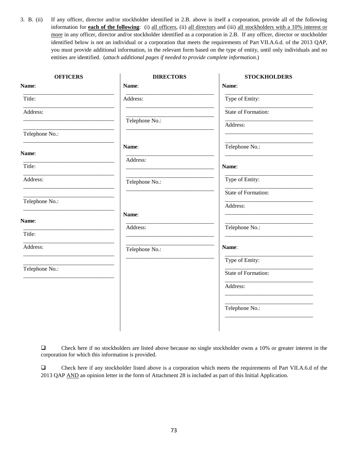3. B. (ii) If any officer, director and/or stockholder identified in 2.B. above is itself a corporation, provide all of the following information for **each of the following**: (i) all officers, (ii) all directors and (iii) all stockholders with a 10% interest or more in any officer, director and/or stockholder identified as a corporation in 2.B. If any officer, director or stockholder identified below is not an individual or a corporation that meets the requirements of Part VII.A.6.d. of the 2013 QAP, you must provide additional information, in the relevant form based on the type of entity, until only individuals and no entities are identified. (*attach additional pages if needed to provide complete information*.)

| <b>OFFICERS</b> | <b>DIRECTORS</b> | <b>STOCKHOLDERS</b> |
|-----------------|------------------|---------------------|
| Name:           | Name:            | Name:               |
| Title:          | Address:         | Type of Entity:     |
| Address:        |                  | State of Formation: |
|                 | Telephone No.:   | Address:            |
| Telephone No.:  |                  |                     |
| Name:           | Name:            | Telephone No.:      |
|                 | Address:         |                     |
| Title:          |                  | Name:               |
| Address:        | Telephone No.:   | Type of Entity:     |
|                 |                  | State of Formation: |
| Telephone No.:  |                  | Address:            |
|                 | Name:            |                     |
| Name:           | Address:         | Telephone No.:      |
| Title:          |                  |                     |
| Address:        | Telephone No.:   | Name:               |
|                 |                  | Type of Entity:     |
| Telephone No.:  |                  | State of Formation: |
|                 |                  | Address:            |
|                 |                  |                     |
|                 |                  | Telephone No.:      |
|                 |                  |                     |
|                 |                  |                     |

 Check here if no stockholders are listed above because no single stockholder owns a 10% or greater interest in the corporation for which this information is provided.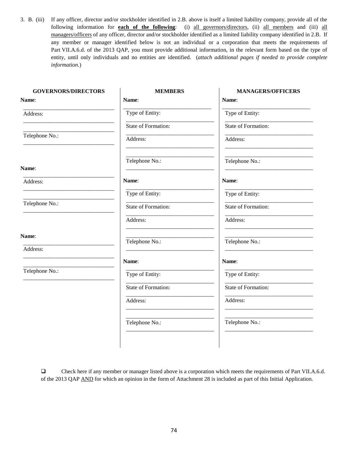3. B. (iii) If any officer, director and/or stockholder identified in 2.B. above is itself a limited liability company, provide all of the following information for **each of the following**: (i) all governors/directors, (ii) all members and (iii) all managers/officers of any officer, director and/or stockholder identified as a limited liability company identified in 2.B. If any member or manager identified below is not an individual or a corporation that meets the requirements of Part VII.A.6.d. of the 2013 QAP, you must provide additional information, in the relevant form based on the type of entity, until only individuals and no entities are identified. (*attach additional pages if needed to provide complete information*.)

| <b>GOVERNORS/DIRECTORS</b> | <b>MEMBERS</b>      | <b>MANAGERS/OFFICERS</b> |
|----------------------------|---------------------|--------------------------|
| Name:                      | Name:               | Name:                    |
| Address:                   | Type of Entity:     | Type of Entity:          |
|                            | State of Formation: | State of Formation:      |
| Telephone No.:             | Address:            | Address:                 |
| Name:                      | Telephone No.:      | Telephone No.:           |
| Address:                   | Name:               | Name:                    |
|                            | Type of Entity:     | Type of Entity:          |
| Telephone No.:             | State of Formation: | State of Formation:      |
|                            | Address:            | Address:                 |
| Name:                      | Telephone No.:      | Telephone No.:           |
| Address:                   |                     |                          |
|                            | Name:               | Name:                    |
| Telephone No.:             | Type of Entity:     | Type of Entity:          |
|                            | State of Formation: | State of Formation:      |
|                            | Address:            | Address:                 |
|                            | Telephone No.:      | Telephone No.:           |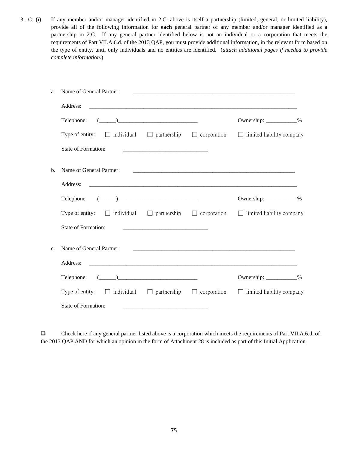3. C. (i) If any member and/or manager identified in 2.C. above is itself a partnership (limited, general, or limited liability), provide all of the following information for **each** general partner of any member and/or manager identified as a partnership in 2.C. If any general partner identified below is not an individual or a corporation that meets the requirements of Part VII.A.6.d. of the 2013 QAP, you must provide additional information, in the relevant form based on the type of entity, until only individuals and no entities are identified. (*attach additional pages if needed to provide complete information*.)

| a. | Name of General Partner:                                                                                 |                                                                                                                       |                                                                                                                     |  |
|----|----------------------------------------------------------------------------------------------------------|-----------------------------------------------------------------------------------------------------------------------|---------------------------------------------------------------------------------------------------------------------|--|
|    | Address:                                                                                                 |                                                                                                                       |                                                                                                                     |  |
|    | $\begin{tabular}{c} \textbf{Telephone:} \end{tabular} \begin{tabular}{c} \textbf{I} \end{tabular}$       |                                                                                                                       | Ownership: ____________%                                                                                            |  |
|    | Type of entity: $\Box$ individual $\Box$ partnership $\Box$ corporation $\Box$ limited liability company |                                                                                                                       |                                                                                                                     |  |
|    | State of Formation:                                                                                      |                                                                                                                       |                                                                                                                     |  |
| b. | Name of General Partner:                                                                                 |                                                                                                                       | <u> 2000 - Jan James James Jan James James James James James James James James James James James James James Ja</u> |  |
|    | Address:                                                                                                 |                                                                                                                       |                                                                                                                     |  |
|    |                                                                                                          |                                                                                                                       | Ownership: ___________%                                                                                             |  |
|    | Type of entity: $\Box$ individual $\Box$ partnership $\Box$ corporation $\Box$ limited liability company |                                                                                                                       |                                                                                                                     |  |
|    | <b>State of Formation:</b>                                                                               |                                                                                                                       |                                                                                                                     |  |
| c. | Name of General Partner:                                                                                 |                                                                                                                       |                                                                                                                     |  |
|    | Address:                                                                                                 |                                                                                                                       |                                                                                                                     |  |
|    |                                                                                                          |                                                                                                                       | Ownership: ___________%                                                                                             |  |
|    | Type of entity: $\Box$ individual $\Box$ partnership $\Box$ corporation                                  |                                                                                                                       | $\Box$ limited liability company                                                                                    |  |
|    | State of Formation:                                                                                      | <u> 1989 - Johann Harry Harry Harry Harry Harry Harry Harry Harry Harry Harry Harry Harry Harry Harry Harry Harry</u> |                                                                                                                     |  |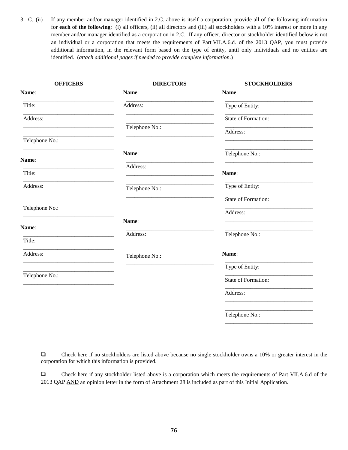3. C. (ii) If any member and/or manager identified in 2.C. above is itself a corporation, provide all of the following information for **each of the following**: (i) all officers, (ii) all directors and (iii) all stockholders with a 10% interest or more in any member and/or manager identified as a corporation in 2.C. If any officer, director or stockholder identified below is not an individual or a corporation that meets the requirements of Part VII.A.6.d. of the 2013 QAP, you must provide additional information, in the relevant form based on the type of entity, until only individuals and no entities are identified. (*attach additional pages if needed to provide complete information*.)

| <b>OFFICERS</b> | <b>DIRECTORS</b> | <b>STOCKHOLDERS</b> |
|-----------------|------------------|---------------------|
| Name:           | Name:            | Name:               |
| Title:          | Address:         | Type of Entity:     |
| Address:        |                  | State of Formation: |
|                 | Telephone No.:   | Address:            |
| Telephone No.:  |                  |                     |
| Name:           | Name:            | Telephone No.:      |
|                 | Address:         |                     |
| Title:          |                  | Name:               |
| Address:        | Telephone No.:   | Type of Entity:     |
|                 |                  | State of Formation: |
| Telephone No.:  |                  | Address:            |
| Name:           | Name:            |                     |
| Title:          | Address:         | Telephone No.:      |
|                 |                  |                     |
| Address:        | Telephone No.:   | Name:               |
|                 |                  | Type of Entity:     |
| Telephone No.:  |                  | State of Formation: |
|                 |                  | Address:            |
|                 |                  |                     |
|                 |                  | Telephone No.:      |
|                 |                  |                     |

 Check here if no stockholders are listed above because no single stockholder owns a 10% or greater interest in the corporation for which this information is provided.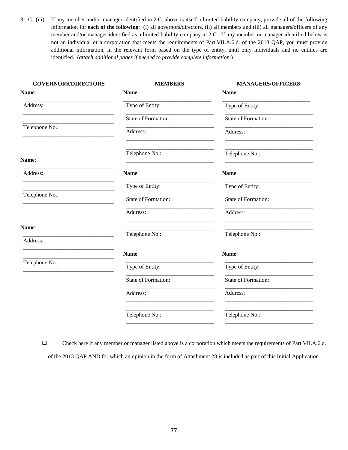3. C. (iii) If any member and/or manager identified in 2.C. above is itself a limited liability company, provide all of the following information for **each of the following**: (i) all governors/directors, (ii) all members and (iii) all managers/officers of any member and/or manager identified as a limited liability company in 2.C. If any member or manager identified below is not an individual or a corporation that meets the requirements of Part VII.A.6.d. of the 2013 QAP, you must provide additional information, in the relevant form based on the type of entity, until only individuals and no entities are identified. (*attach additional pages if needed to provide complete information*.)

| <b>MEMBERS</b>      | <b>MANAGERS/OFFICERS</b> |
|---------------------|--------------------------|
| Name:               | Name:                    |
| Type of Entity:     | Type of Entity:          |
| State of Formation: | State of Formation:      |
| Address:            | Address:                 |
| Telephone No.:      | Telephone No.:           |
| Name:               | Name:                    |
| Type of Entity:     | Type of Entity:          |
| State of Formation: | State of Formation:      |
| Address:            | Address:                 |
|                     | Telephone No.:           |
|                     |                          |
| Name:               | Name:                    |
| Type of Entity:     | Type of Entity:          |
| State of Formation: | State of Formation:      |
| Address:            | Address:                 |
| Telephone No.:      | Telephone No.:           |
|                     | Telephone No.:           |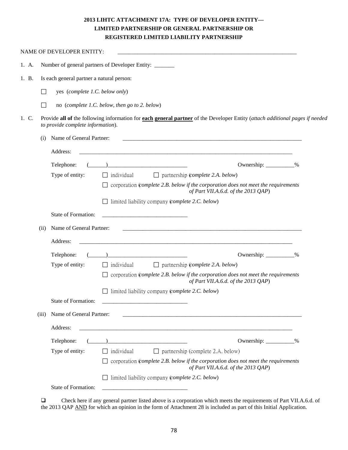# **2013 LIHTC ATTACHMENT 17A: TYPE OF DEVELOPER ENTITY— LIMITED PARTNERSHIP OR GENERAL PARTNERSHIP OR REGISTERED LIMITED LIABILITY PARTNERSHIP**

|       |        | NAME OF DEVELOPER ENTITY:                 |                                                                                                                                      |  |
|-------|--------|-------------------------------------------|--------------------------------------------------------------------------------------------------------------------------------------|--|
| 1. A. |        |                                           | Number of general partners of Developer Entity: _____                                                                                |  |
| 1. B. |        | Is each general partner a natural person: |                                                                                                                                      |  |
|       | П      | yes (complete 1.C. below only)            |                                                                                                                                      |  |
|       | $\Box$ |                                           | no (complete 1.C. below, then go to 2. below)                                                                                        |  |
| 1. C. |        | to provide complete information).         | Provide all of the following information for each general partner of the Developer Entity (attach additional pages if needed         |  |
|       | (i)    | Name of General Partner:                  |                                                                                                                                      |  |
|       |        | Address:                                  |                                                                                                                                      |  |
|       |        | Telephone:                                | Ownership: __________%                                                                                                               |  |
|       |        | Type of entity:                           | $\Box$ partnership (complete 2.A. below)<br>$\Box$ individual                                                                        |  |
|       |        |                                           | corporation (complete 2.B. below if the corporation does not meet the requirements<br>of Part VII.A.6.d. of the 2013 QAP)            |  |
|       |        |                                           | $\Box$ limited liability company (complete 2.C. below)                                                                               |  |
|       |        | State of Formation:                       |                                                                                                                                      |  |
|       | (ii)   | Name of General Partner:                  |                                                                                                                                      |  |
|       |        | Address:                                  |                                                                                                                                      |  |
|       |        | Telephone:                                | Ownership: __________%                                                                                                               |  |
|       |        | Type of entity:                           | $\Box$ individual<br>$\Box$ partnership (complete 2.A. below)                                                                        |  |
|       |        |                                           | corporation (complete 2.B. below if the corporation does not meet the requirements<br>of Part VII.A.6.d. of the 2013 QAP)            |  |
|       |        |                                           | limited liability company (complete 2.C. below)                                                                                      |  |
|       |        | State of Formation:                       |                                                                                                                                      |  |
|       | (iii)  | Name of General Partner:                  |                                                                                                                                      |  |
|       |        | Address:                                  |                                                                                                                                      |  |
|       |        | Telephone:                                | Ownership: __________%                                                                                                               |  |
|       |        | Type of entity:                           | individual<br>$\Box$ partnership (complete 2.A. below)                                                                               |  |
|       |        |                                           | corporation (complete 2.B. below if the corporation does not meet the requirements<br>$\perp$<br>of Part VII.A.6.d. of the 2013 QAP) |  |
|       |        |                                           | $\Box$ limited liability company (complete 2.C. below)                                                                               |  |
|       |        | State of Formation:                       |                                                                                                                                      |  |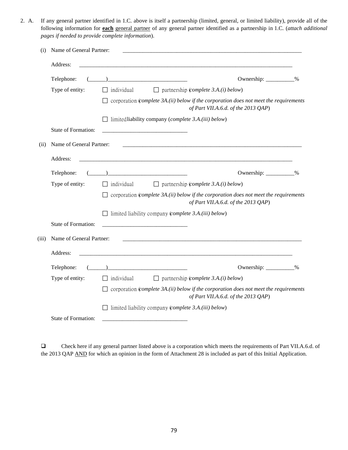2. A. If any general partner identified in 1.C. above is itself a partnership (limited, general, or limited liability), provide all of the following information for **each** general partner of any general partner identified as a partnership in 1.C. (*attach additional pages if needed to provide complete information*).

| (i)   | Name of General Partner:   |                                                                                                                                     |
|-------|----------------------------|-------------------------------------------------------------------------------------------------------------------------------------|
|       | Address:                   |                                                                                                                                     |
|       | Telephone:                 | Ownership: __________%                                                                                                              |
|       | Type of entity:            | $\Box$ partnership (complete 3.A.(i) below)<br>$\Box$ individual                                                                    |
|       |                            | $\Box$ corporation (complete 3A.(ii) below if the corporation does not meet the requirements<br>of Part VII.A.6.d. of the 2013 QAP) |
|       |                            | $\Box$ limited liability company ( <i>complete 3.A.(iii) below</i> )                                                                |
|       | State of Formation:        |                                                                                                                                     |
| (ii)  | Name of General Partner:   |                                                                                                                                     |
|       | Address:                   |                                                                                                                                     |
|       | Telephone:                 | Ownership: __________%                                                                                                              |
|       | Type of entity:            | $\Box$ partnership (complete 3.A.(i) below)<br>$\Box$ individual                                                                    |
|       |                            | $\Box$ corporation (complete 3A.(ii) below if the corporation does not meet the requirements<br>of Part VII.A.6.d. of the 2013 QAP) |
|       |                            | $\Box$ limited liability company (complete 3.A.(iii) below)                                                                         |
|       | <b>State of Formation:</b> |                                                                                                                                     |
| (iii) | Name of General Partner:   |                                                                                                                                     |
|       | Address:                   |                                                                                                                                     |
|       | Telephone:                 | Ownership: __________%                                                                                                              |
|       | Type of entity:            | $\Box$ individual<br>$\Box$ partnership ( <i>complete 3.A.(i) below</i> )                                                           |
|       |                            | $\Box$ corporation (complete 3A.(ii) below if the corporation does not meet the requirements<br>of Part VII.A.6.d. of the 2013 QAP) |
|       |                            | $\Box$ limited liability company (complete 3.A.(iii) below)                                                                         |
|       | <b>State of Formation:</b> |                                                                                                                                     |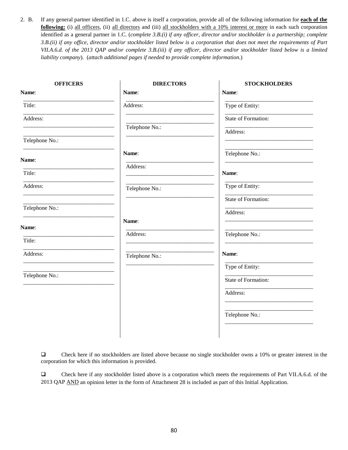2. B. If any general partner identified in 1.C. above is itself a corporation, provide all of the following information for **each of the following:** (i) all officers, (ii) all directors and (iii) all stockholders with a 10% interest or more in each such corporation identified as a general partner in 1.C. (*complete 3.B.(i) if any officer, director and/or stockholder is a partnership; complete 3.B.(ii) if any office, director and/or stockholder listed below is a corporation that does not meet the requirements of Part VII.A.6.d. of the 2013 QAP and/or complete 3.B.(iii) if any officer, director and/or stockholder listed below is a limited liability company*). (*attach additional pages if needed to provide complete information.*)

| <b>OFFICERS</b> | <b>DIRECTORS</b> | <b>STOCKHOLDERS</b> |
|-----------------|------------------|---------------------|
| Name:           | Name:            | Name:               |
| Title:          | Address:         | Type of Entity:     |
| Address:        |                  | State of Formation: |
|                 | Telephone No.:   | Address:            |
| Telephone No.:  |                  |                     |
| Name:           | Name:            | Telephone No.:      |
| Title:          | Address:         | Name:               |
|                 |                  |                     |
| Address:        | Telephone No.:   | Type of Entity:     |
|                 |                  | State of Formation: |
| Telephone No.:  |                  | Address:            |
| Name:           | Name:            |                     |
|                 | Address:         | Telephone No.:      |
| Title:          |                  |                     |
| Address:        | Telephone No.:   | Name:               |
|                 |                  | Type of Entity:     |
| Telephone No.:  |                  | State of Formation: |
|                 |                  | Address:            |
|                 |                  |                     |
|                 |                  | Telephone No.:      |
|                 |                  |                     |

 Check here if no stockholders are listed above because no single stockholder owns a 10% or greater interest in the corporation for which this information is provided.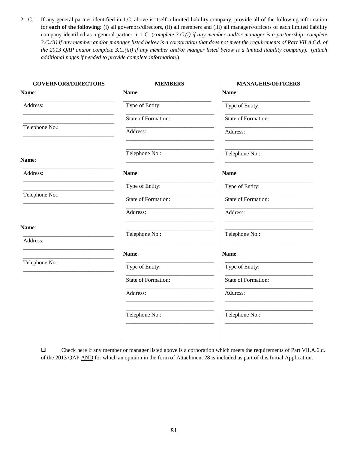2. C. If any general partner identified in 1.C. above is itself a limited liability company, provide all of the following information for **each of the following:** (i) all governors/directors, (ii) all members and (iii) all managers/officers of each limited liability company identified as a general partner in 1.C. (*complete 3.C.(i) if any member and/or manager is a partnership; complete 3.C.(ii) if any member and/or manager listed below is a corporation that does not meet the requirements of Part VII.A.6.d. of the 2013 QAP and/or complete 3.C.(iii) if any member and/or manger listed below is a limited liability company*). (*attach additional pages if needed to provide complete information.*)

| <b>GOVERNORS/DIRECTORS</b> | <b>MEMBERS</b>      | <b>MANAGERS/OFFICERS</b> |
|----------------------------|---------------------|--------------------------|
| Name:                      | Name:               | Name:                    |
| Address:                   | Type of Entity:     | Type of Entity:          |
|                            | State of Formation: | State of Formation:      |
| Telephone No.:             | Address:            | Address:                 |
|                            | Telephone No.:      | Telephone No.:           |
| Name:                      |                     |                          |
| Address:                   | Name:               | Name:                    |
|                            | Type of Entity:     | Type of Entity:          |
| Telephone No.:             | State of Formation: | State of Formation:      |
|                            | Address:            | Address:                 |
| Name:                      | Telephone No.:      | Telephone No.:           |
| Address:                   |                     |                          |
|                            | Name:               | Name:                    |
| Telephone No.:             | Type of Entity:     | Type of Entity:          |
|                            | State of Formation: | State of Formation:      |
|                            | Address:            | Address:                 |
|                            | Telephone No.:      | Telephone No.:           |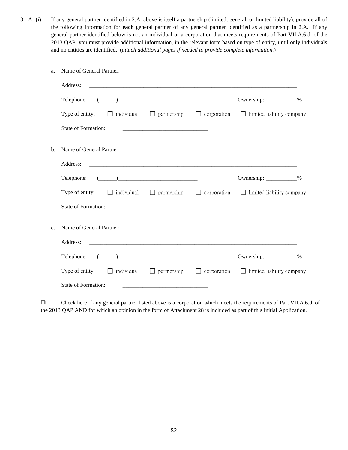3. A. (i) If any general partner identified in 2.A. above is itself a partnership (limited, general, or limited liability), provide all of the following information for **each** general partner of any general partner identified as a partnership in 2.A. If any general partner identified below is not an individual or a corporation that meets requirements of Part VII.A.6.d. of the 2013 QAP, you must provide additional information, in the relevant form based on type of entity, until only individuals and no entities are identified. (*attach additional pages if needed to provide complete information.*)

| Name of General Partner:<br>a.             |                                                                                                                                                                                                                                                                                                                                                                     |                                                                                                                 |  |
|--------------------------------------------|---------------------------------------------------------------------------------------------------------------------------------------------------------------------------------------------------------------------------------------------------------------------------------------------------------------------------------------------------------------------|-----------------------------------------------------------------------------------------------------------------|--|
| Address:                                   |                                                                                                                                                                                                                                                                                                                                                                     |                                                                                                                 |  |
| Telephone:                                 | $\begin{picture}(20,10) \put(0,0){\vector(1,0){100}} \put(15,0){\vector(1,0){100}} \put(15,0){\vector(1,0){100}} \put(15,0){\vector(1,0){100}} \put(15,0){\vector(1,0){100}} \put(15,0){\vector(1,0){100}} \put(15,0){\vector(1,0){100}} \put(15,0){\vector(1,0){100}} \put(15,0){\vector(1,0){100}} \put(15,0){\vector(1,0){100}} \put(15,0){\vector(1,0){100}} \$ | Ownership: ____________%                                                                                        |  |
|                                            |                                                                                                                                                                                                                                                                                                                                                                     | Type of entity: $\Box$ individual $\Box$ partnership $\Box$ corporation $\Box$ limited liability company        |  |
| State of Formation:                        |                                                                                                                                                                                                                                                                                                                                                                     |                                                                                                                 |  |
| Name of General Partner:<br>$\mathbf{b}$ . |                                                                                                                                                                                                                                                                                                                                                                     |                                                                                                                 |  |
| Address:                                   |                                                                                                                                                                                                                                                                                                                                                                     |                                                                                                                 |  |
| Telephone:                                 | $\begin{picture}(20,10) \put(0,0){\vector(1,0){100}} \put(15,0){\vector(1,0){100}} \put(15,0){\vector(1,0){100}} \put(15,0){\vector(1,0){100}} \put(15,0){\vector(1,0){100}} \put(15,0){\vector(1,0){100}} \put(15,0){\vector(1,0){100}} \put(15,0){\vector(1,0){100}} \put(15,0){\vector(1,0){100}} \put(15,0){\vector(1,0){100}} \put(15,0){\vector(1,0){100}} \$ | Ownership: ____________%                                                                                        |  |
|                                            |                                                                                                                                                                                                                                                                                                                                                                     | <b>Type of entity:</b> $\Box$ individual $\Box$ partnership $\Box$ corporation $\Box$ limited liability company |  |
| State of Formation:                        |                                                                                                                                                                                                                                                                                                                                                                     |                                                                                                                 |  |
| Name of General Partner:<br>$\mathbf{c}$ . |                                                                                                                                                                                                                                                                                                                                                                     |                                                                                                                 |  |
| Address:                                   |                                                                                                                                                                                                                                                                                                                                                                     |                                                                                                                 |  |
| Telephone:                                 | $\begin{picture}(20,10) \put(0,0){\vector(1,0){100}} \put(15,0){\vector(1,0){100}} \put(15,0){\vector(1,0){100}} \put(15,0){\vector(1,0){100}} \put(15,0){\vector(1,0){100}} \put(15,0){\vector(1,0){100}} \put(15,0){\vector(1,0){100}} \put(15,0){\vector(1,0){100}} \put(15,0){\vector(1,0){100}} \put(15,0){\vector(1,0){100}} \put(15,0){\vector(1,0){100}} \$ | Ownership: ____________%                                                                                        |  |
|                                            |                                                                                                                                                                                                                                                                                                                                                                     | <b>Type of entity:</b> $\Box$ individual $\Box$ partnership $\Box$ corporation $\Box$ limited liability company |  |
| State of Formation:                        |                                                                                                                                                                                                                                                                                                                                                                     |                                                                                                                 |  |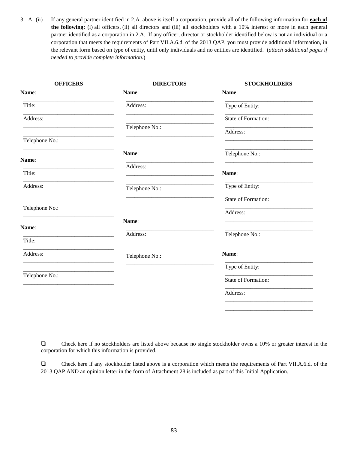3. A. (ii) If any general partner identified in 2.A. above is itself a corporation, provide all of the following information for **each of the following:** (i) all officers, (ii) all directors and (iii) all stockholders with a 10% interest or more in each general partner identified as a corporation in 2.A. If any officer, director or stockholder identified below is not an individual or a corporation that meets the requirements of Part VII.A.6.d. of the 2013 QAP, you must provide additional information, in the relevant form based on type of entity, until only individuals and no entities are identified. (*attach additional pages if needed to provide complete information.*)

| <b>DIRECTORS</b> | <b>STOCKHOLDERS</b>     |
|------------------|-------------------------|
| Name:            | Name:                   |
| Address:         | Type of Entity:         |
|                  | State of Formation:     |
| Telephone No.:   | Address:                |
|                  |                         |
| Name:            | Telephone No.:          |
| Address:         |                         |
|                  | Name:                   |
| Telephone No.:   | Type of Entity:         |
|                  | State of Formation:     |
|                  | Address:                |
|                  |                         |
| Address:         | Telephone No.:          |
|                  | Name:                   |
|                  | Type of Entity:         |
|                  |                         |
|                  | State of Formation:     |
|                  | Address:                |
|                  |                         |
|                  |                         |
|                  | Name:<br>Telephone No.: |

 Check here if no stockholders are listed above because no single stockholder owns a 10% or greater interest in the corporation for which this information is provided.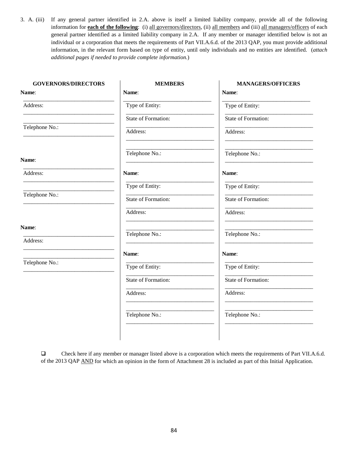3. A. (iii) If any general partner identified in 2.A. above is itself a limited liability company, provide all of the following information for **each of the following**: (i) all governors/directors, (ii) all members and (iii) all managers/officers of each general partner identified as a limited liability company in 2.A. If any member or manager identified below is not an individual or a corporation that meets the requirements of Part VII.A.6.d. of the 2013 QAP, you must provide additional information, in the relevant form based on type of entity, until only individuals and no entities are identified. (*attach additional pages if needed to provide complete information.*)

| <b>GOVERNORS/DIRECTORS</b> | <b>MEMBERS</b>      | <b>MANAGERS/OFFICERS</b>   |
|----------------------------|---------------------|----------------------------|
| Name:                      | Name:               | Name:                      |
| Address:                   | Type of Entity:     | Type of Entity:            |
|                            | State of Formation: | State of Formation:        |
| Telephone No.:             | Address:            | Address:                   |
|                            | Telephone No.:      | Telephone No.:             |
| Name:                      |                     |                            |
| Address:                   | Name:               | Name:                      |
|                            | Type of Entity:     | Type of Entity:            |
| Telephone No.:             | State of Formation: | State of Formation:        |
|                            | Address:            | Address:                   |
| Name:                      | Telephone No.:      | Telephone No.:             |
| Address:                   |                     |                            |
|                            | Name:               | Name:                      |
| Telephone No.:             | Type of Entity:     | Type of Entity:            |
|                            | State of Formation: | <b>State of Formation:</b> |
|                            | Address:            | Address:                   |
|                            | Telephone No.:      | Telephone No.:             |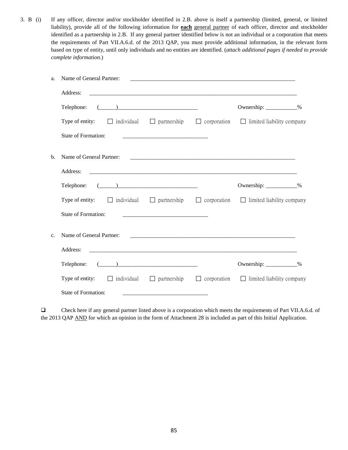3. B (i) If any officer, director and/or stockholder identified in 2.B. above is itself a partnership (limited, general, or limited liability), provide all of the following information for **each** general partner of each officer, director and stockholder identified as a partnership in 2.B. If any general partner identified below is not an individual or a corporation that meets the requirements of Part VII.A.6.d. of the 2013 QAP, you must provide additional information, in the relevant form based on type of entity, until only individuals and no entities are identified. (*attach additional pages if needed to provide complete information.*)

| a.             | Name of General Partner:                             |                                                                                                                                                                                                                                                                                                                                                                     |                                                                                                                 |  |
|----------------|------------------------------------------------------|---------------------------------------------------------------------------------------------------------------------------------------------------------------------------------------------------------------------------------------------------------------------------------------------------------------------------------------------------------------------|-----------------------------------------------------------------------------------------------------------------|--|
|                | Address:                                             |                                                                                                                                                                                                                                                                                                                                                                     |                                                                                                                 |  |
|                | Telephone:                                           | $\begin{picture}(20,10) \put(0,0){\vector(1,0){100}} \put(15,0){\vector(1,0){100}} \put(15,0){\vector(1,0){100}} \put(15,0){\vector(1,0){100}} \put(15,0){\vector(1,0){100}} \put(15,0){\vector(1,0){100}} \put(15,0){\vector(1,0){100}} \put(15,0){\vector(1,0){100}} \put(15,0){\vector(1,0){100}} \put(15,0){\vector(1,0){100}} \put(15,0){\vector(1,0){100}} \$ | Ownership: ____________%                                                                                        |  |
|                | Type of entity: $\Box$ individual $\Box$ partnership |                                                                                                                                                                                                                                                                                                                                                                     | $\Box$ corporation $\Box$ limited liability company                                                             |  |
|                | State of Formation:                                  |                                                                                                                                                                                                                                                                                                                                                                     |                                                                                                                 |  |
| b.             | Name of General Partner:                             |                                                                                                                                                                                                                                                                                                                                                                     |                                                                                                                 |  |
|                | Address:                                             |                                                                                                                                                                                                                                                                                                                                                                     |                                                                                                                 |  |
|                | Telephone: $(\_\_)$                                  |                                                                                                                                                                                                                                                                                                                                                                     | Ownership: ____________%                                                                                        |  |
|                |                                                      |                                                                                                                                                                                                                                                                                                                                                                     | <b>Type of entity:</b> $\Box$ individual $\Box$ partnership $\Box$ corporation $\Box$ limited liability company |  |
|                | <b>State of Formation:</b>                           |                                                                                                                                                                                                                                                                                                                                                                     |                                                                                                                 |  |
| $\mathbf{c}$ . | Name of General Partner:                             |                                                                                                                                                                                                                                                                                                                                                                     |                                                                                                                 |  |
|                | Address:                                             |                                                                                                                                                                                                                                                                                                                                                                     |                                                                                                                 |  |
|                | Telephone:                                           | $\begin{picture}(20,10) \put(0,0){\vector(1,0){100}} \put(15,0){\vector(1,0){100}} \put(15,0){\vector(1,0){100}} \put(15,0){\vector(1,0){100}} \put(15,0){\vector(1,0){100}} \put(15,0){\vector(1,0){100}} \put(15,0){\vector(1,0){100}} \put(15,0){\vector(1,0){100}} \put(15,0){\vector(1,0){100}} \put(15,0){\vector(1,0){100}} \put(15,0){\vector(1,0){100}} \$ | Ownership: ____________%                                                                                        |  |
|                |                                                      |                                                                                                                                                                                                                                                                                                                                                                     | Type of entity: $\Box$ individual $\Box$ partnership $\Box$ corporation $\Box$ limited liability company        |  |
|                | <b>State of Formation:</b>                           |                                                                                                                                                                                                                                                                                                                                                                     |                                                                                                                 |  |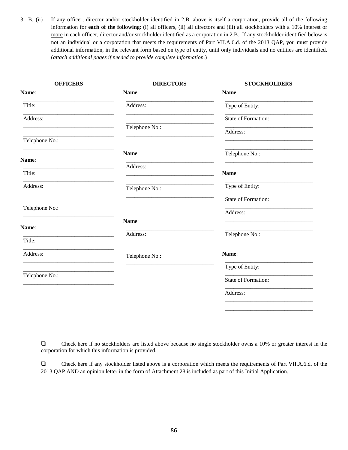3. B. (ii) If any officer, director and/or stockholder identified in 2.B. above is itself a corporation, provide all of the following information for **each of the following**: (i) all officers, (ii) all directors and (iii) all stockholders with a 10% interest or more in each officer, director and/or stockholder identified as a corporation in 2.B. If any stockholder identified below is not an individual or a corporation that meets the requirements of Part VII.A.6.d. of the 2013 QAP, you must provide additional information, in the relevant form based on type of entity, until only individuals and no entities are identified. (*attach additional pages if needed to provide complete information.*)

| <b>OFFICERS</b> | <b>DIRECTORS</b> | <b>STOCKHOLDERS</b> |
|-----------------|------------------|---------------------|
| Name:           | Name:            | Name:               |
| Title:          | Address:         | Type of Entity:     |
| Address:        |                  | State of Formation: |
|                 | Telephone No.:   | Address:            |
| Telephone No.:  |                  |                     |
|                 | Name:            | Telephone No.:      |
| Name:           | Address:         |                     |
| Title:          |                  | Name:               |
| Address:        | Telephone No.:   | Type of Entity:     |
|                 |                  | State of Formation: |
| Telephone No.:  |                  | Address:            |
| Name:           | Name:            |                     |
|                 | Address:         | Telephone No.:      |
| Title:          |                  |                     |
| Address:        | Telephone No.:   | Name:               |
|                 |                  | Type of Entity:     |
| Telephone No.:  |                  | State of Formation: |
|                 |                  | Address:            |
|                 |                  |                     |
|                 |                  |                     |
|                 |                  |                     |

 Check here if no stockholders are listed above because no single stockholder owns a 10% or greater interest in the corporation for which this information is provided.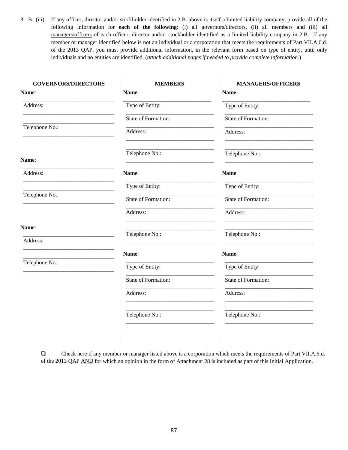3. B. (iii) If any officer, director and/or stockholder identified in 2.B. above is itself a limited liability company, provide all of the following information for **each of the following**: (i) all governors/directors, (ii) all members and (iii) all managers/officers of each officer, director and/or stockholder identified as a limited liability company in 2.B. If any member or manager identified below is not an individual or a corporation that meets the requirements of Part VII.A.6.d. of the 2013 QAP, you must provide additional information, in the relevant form based on type of entity, until only individuals and no entities are identified. (*attach additional pages if needed to provide complete information.*)

| <b>GOVERNORS/DIRECTORS</b> | <b>MEMBERS</b>      | <b>MANAGERS/OFFICERS</b> |
|----------------------------|---------------------|--------------------------|
| Name:                      | Name:               | Name:                    |
| Address:                   | Type of Entity:     | Type of Entity:          |
|                            | State of Formation: | State of Formation:      |
| Telephone No.:             | Address:            | Address:                 |
| Name:                      | Telephone No.:      | Telephone No.:           |
| Address:                   | Name:               | Name:                    |
|                            | Type of Entity:     | Type of Entity:          |
| Telephone No.:             | State of Formation: | State of Formation:      |
|                            | Address:            | Address:                 |
| Name:                      | Telephone No.:      | Telephone No.:           |
| Address:                   |                     |                          |
|                            | Name:               | Name:                    |
| Telephone No.:             | Type of Entity:     | Type of Entity:          |
|                            | State of Formation: | State of Formation:      |
|                            | Address:            | Address:                 |
|                            | Telephone No.:      | Telephone No.:           |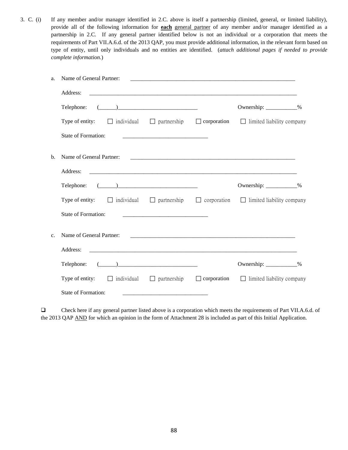3. C. (i) If any member and/or manager identified in 2.C. above is itself a partnership (limited, general, or limited liability), provide all of the following information for **each** general partner of any member and/or manager identified as a partnership in 2.C. If any general partner identified below is not an individual or a corporation that meets the requirements of Part VII.A.6.d. of the 2013 QAP, you must provide additional information, in the relevant form based on type of entity, until only individuals and no entities are identified. (*attach additional pages if needed to provide complete information.*)

| a.             | Name of General Partner: |                                                                                                                                                                                                                                                                                                                                                                     |                    |                                  |  |
|----------------|--------------------------|---------------------------------------------------------------------------------------------------------------------------------------------------------------------------------------------------------------------------------------------------------------------------------------------------------------------------------------------------------------------|--------------------|----------------------------------|--|
|                | Address:                 |                                                                                                                                                                                                                                                                                                                                                                     |                    |                                  |  |
|                | Telephone:               | $\begin{picture}(20,10) \put(0,0){\vector(1,0){100}} \put(15,0){\vector(1,0){100}} \put(15,0){\vector(1,0){100}} \put(15,0){\vector(1,0){100}} \put(15,0){\vector(1,0){100}} \put(15,0){\vector(1,0){100}} \put(15,0){\vector(1,0){100}} \put(15,0){\vector(1,0){100}} \put(15,0){\vector(1,0){100}} \put(15,0){\vector(1,0){100}} \put(15,0){\vector(1,0){100}} \$ |                    | Ownership: ____________%         |  |
|                | Type of entity:          | $\Box$ individual $\Box$ partnership                                                                                                                                                                                                                                                                                                                                | $\Box$ corporation | $\Box$ limited liability company |  |
|                | State of Formation:      |                                                                                                                                                                                                                                                                                                                                                                     |                    |                                  |  |
| b.             | Name of General Partner: |                                                                                                                                                                                                                                                                                                                                                                     |                    |                                  |  |
|                | Address:                 |                                                                                                                                                                                                                                                                                                                                                                     |                    |                                  |  |
|                | Telephone:               | $\begin{picture}(20,10) \put(0,0){\vector(1,0){100}} \put(15,0){\vector(1,0){100}} \put(15,0){\vector(1,0){100}} \put(15,0){\vector(1,0){100}} \put(15,0){\vector(1,0){100}} \put(15,0){\vector(1,0){100}} \put(15,0){\vector(1,0){100}} \put(15,0){\vector(1,0){100}} \put(15,0){\vector(1,0){100}} \put(15,0){\vector(1,0){100}} \put(15,0){\vector(1,0){100}} \$ |                    | Ownership: ___________%          |  |
|                | Type of entity:          | $\Box$ individual $\Box$ partnership                                                                                                                                                                                                                                                                                                                                | $\Box$ corporation | $\Box$ limited liability company |  |
|                | State of Formation:      |                                                                                                                                                                                                                                                                                                                                                                     |                    |                                  |  |
| C <sub>1</sub> | Name of General Partner: |                                                                                                                                                                                                                                                                                                                                                                     |                    |                                  |  |
|                | Address:                 |                                                                                                                                                                                                                                                                                                                                                                     |                    |                                  |  |
|                | Telephone:               | $\begin{picture}(20,10) \put(0,0){\vector(1,0){100}} \put(15,0){\vector(1,0){100}} \put(15,0){\vector(1,0){100}} \put(15,0){\vector(1,0){100}} \put(15,0){\vector(1,0){100}} \put(15,0){\vector(1,0){100}} \put(15,0){\vector(1,0){100}} \put(15,0){\vector(1,0){100}} \put(15,0){\vector(1,0){100}} \put(15,0){\vector(1,0){100}} \put(15,0){\vector(1,0){100}} \$ |                    | Ownership: ____________%         |  |
|                | Type of entity:          | $\Box$ individual $\Box$ partnership                                                                                                                                                                                                                                                                                                                                | $\Box$ corporation | $\Box$ limited liability company |  |
|                | State of Formation:      |                                                                                                                                                                                                                                                                                                                                                                     |                    |                                  |  |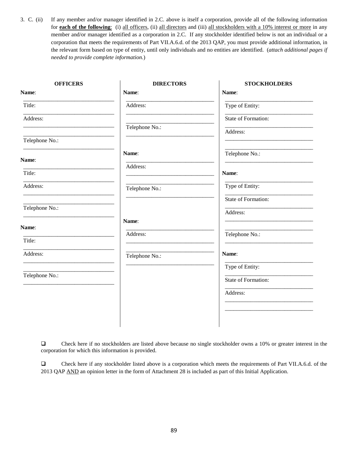3. C. (ii) If any member and/or manager identified in 2.C. above is itself a corporation, provide all of the following information for **each of the following**: (i) all officers, (ii) all directors and (iii) all stockholders with a 10% interest or more in any member and/or manager identified as a corporation in 2.C. If any stockholder identified below is not an individual or a corporation that meets the requirements of Part VII.A.6.d. of the 2013 QAP, you must provide additional information, in the relevant form based on type of entity, until only individuals and no entities are identified. (*attach additional pages if needed to provide complete information.*)

| <b>OFFICERS</b> | <b>DIRECTORS</b> | <b>STOCKHOLDERS</b> |
|-----------------|------------------|---------------------|
| Name:           | Name:            | Name:               |
| Title:          | Address:         | Type of Entity:     |
| Address:        |                  | State of Formation: |
|                 | Telephone No.:   | Address:            |
| Telephone No.:  |                  |                     |
|                 | Name:            | Telephone No.:      |
| Name:           | Address:         |                     |
| Title:          |                  | Name:               |
| Address:        | Telephone No.:   | Type of Entity:     |
|                 |                  | State of Formation: |
| Telephone No.:  |                  | Address:            |
| Name:           | Name:            |                     |
| Title:          | Address:         | Telephone No.:      |
|                 |                  |                     |
| Address:        | Telephone No.:   | Name:               |
|                 |                  | Type of Entity:     |
| Telephone No.:  |                  | State of Formation: |
|                 |                  | Address:            |
|                 |                  |                     |
|                 |                  |                     |
|                 |                  |                     |

 Check here if no stockholders are listed above because no single stockholder owns a 10% or greater interest in the corporation for which this information is provided.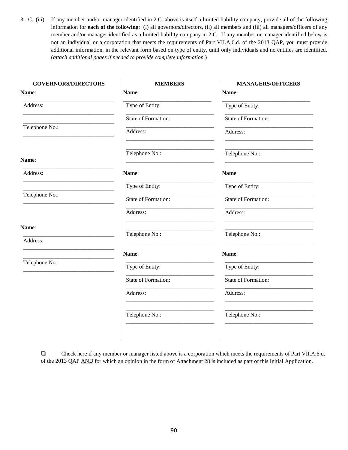3. C. (iii) If any member and/or manager identified in 2.C. above is itself a limited liability company, provide all of the following information for **each of the following**: (i) all governors/directors, (ii) all members and (iii) all managers/officers of any member and/or manager identified as a limited liability company in 2.C. If any member or manager identified below is not an individual or a corporation that meets the requirements of Part VII.A.6.d. of the 2013 QAP, you must provide additional information, in the relevant form based on type of entity, until only individuals and no entities are identified. (*attach additional pages if needed to provide complete information.*)

| <b>GOVERNORS/DIRECTORS</b> | <b>MEMBERS</b>      | <b>MANAGERS/OFFICERS</b> |
|----------------------------|---------------------|--------------------------|
| Name:                      | Name:               | Name:                    |
| Address:                   | Type of Entity:     | Type of Entity:          |
|                            | State of Formation: | State of Formation:      |
| Telephone No.:             | Address:            | Address:                 |
|                            | Telephone No.:      | Telephone No.:           |
| Name:                      |                     |                          |
| Address:                   | Name:               | Name:                    |
|                            | Type of Entity:     | Type of Entity:          |
| Telephone No.:             | State of Formation: | State of Formation:      |
|                            | Address:            | Address:                 |
| Name:                      | Telephone No.:      | Telephone No.:           |
| Address:                   |                     |                          |
|                            | Name:               | Name:                    |
| Telephone No.:             | Type of Entity:     | Type of Entity:          |
|                            | State of Formation: | State of Formation:      |
|                            | Address:            | Address:                 |
|                            | Telephone No.:      | Telephone No.:           |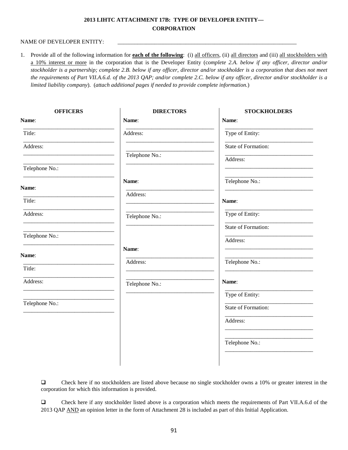## **2013 LIHTC ATTACHMENT 17B: TYPE OF DEVELOPER ENTITY— CORPORATION**

#### NAME OF DEVELOPER ENTITY:

1. Provide all of the following information for **each of the following**: (i) all officers, (ii) all directors and (iii) all stockholders with a 10% interest or more in the corporation that is the Developer Entity (c*omplete 2.A. below if any officer, director and/or stockholder is a partnership; complete 2.B. below if any officer, director and/or stockholder is a corporation that does not meet the requirements of Part VII.A.6.d. of the 2013 QAP; and/or complete 2.C. below if any officer, director and/or stockholder is a limited liability company*). (*attach additional pages if needed to provide complete information.*)

| <b>OFFICERS</b> | <b>DIRECTORS</b> | <b>STOCKHOLDERS</b> |
|-----------------|------------------|---------------------|
| Name:           | Name:            | Name:               |
| Title:          | Address:         | Type of Entity:     |
| Address:        |                  | State of Formation: |
|                 | Telephone No.:   | Address:            |
| Telephone No.:  |                  |                     |
| Name:           | Name:            | Telephone No.:      |
|                 | Address:         |                     |
| Title:          |                  | Name:               |
| Address:        | Telephone No.:   | Type of Entity:     |
|                 |                  | State of Formation: |
| Telephone No.:  |                  | Address:            |
| Name:           | Name:            |                     |
| Title:          | Address:         | Telephone No.:      |
| Address:        |                  | Name:               |
|                 | Telephone No.:   |                     |
| Telephone No.:  |                  | Type of Entity:     |
|                 |                  | State of Formation: |
|                 |                  | Address:            |
|                 |                  |                     |
|                 |                  | Telephone No.:      |
|                 |                  |                     |

 $\Box$  Check here if no stockholders are listed above because no single stockholder owns a 10% or greater interest in the corporation for which this information is provided.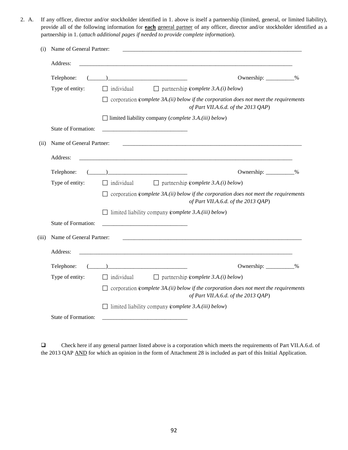2. A. If any officer, director and/or stockholder identified in 1. above is itself a partnership (limited, general, or limited liability), provide all of the following information for **each** general partner of any officer, director and/or stockholder identified as a partnership in 1. (*attach additional pages if needed to provide complete information*).

| (i)   | Name of General Partner:   |                                                                                                                                                                                                                                                                                                                                                                                               |
|-------|----------------------------|-----------------------------------------------------------------------------------------------------------------------------------------------------------------------------------------------------------------------------------------------------------------------------------------------------------------------------------------------------------------------------------------------|
|       | Address:                   |                                                                                                                                                                                                                                                                                                                                                                                               |
|       | Telephone:                 | Ownership: __________%                                                                                                                                                                                                                                                                                                                                                                        |
|       | Type of entity:            | $\Box$ partnership (complete 3.A.(i) below)<br>$\Box$ individual                                                                                                                                                                                                                                                                                                                              |
|       |                            | $\Box$ corporation (complete 3A.(ii) below if the corporation does not meet the requirements<br>of Part VII.A.6.d. of the 2013 QAP)                                                                                                                                                                                                                                                           |
|       |                            | $\Box$ limited liability company ( <i>complete 3.A.(iii) below</i> )                                                                                                                                                                                                                                                                                                                          |
|       | <b>State of Formation:</b> |                                                                                                                                                                                                                                                                                                                                                                                               |
| (ii)  | Name of General Partner:   |                                                                                                                                                                                                                                                                                                                                                                                               |
|       | Address:                   |                                                                                                                                                                                                                                                                                                                                                                                               |
|       | Telephone:                 | $\begin{picture}(20,10) \put(0,0){\vector(1,0){100}} \put(15,0){\vector(1,0){100}} \put(15,0){\vector(1,0){100}} \put(15,0){\vector(1,0){100}} \put(15,0){\vector(1,0){100}} \put(15,0){\vector(1,0){100}} \put(15,0){\vector(1,0){100}} \put(15,0){\vector(1,0){100}} \put(15,0){\vector(1,0){100}} \put(15,0){\vector(1,0){100}} \put(15,0){\vector(1,0){100}} \$<br>Ownership: __________% |
|       | Type of entity:            | $\Box$ individual<br>$\Box$ partnership (complete 3.A.(i) below)                                                                                                                                                                                                                                                                                                                              |
|       |                            | $\Box$ corporation (complete 3A.(ii) below if the corporation does not meet the requirements<br>of Part VII.A.6.d. of the 2013 QAP)                                                                                                                                                                                                                                                           |
|       |                            | $\Box$ limited liability company (complete 3.A.(iii) below)                                                                                                                                                                                                                                                                                                                                   |
|       | <b>State of Formation:</b> |                                                                                                                                                                                                                                                                                                                                                                                               |
| (iii) | Name of General Partner:   |                                                                                                                                                                                                                                                                                                                                                                                               |
|       | Address:                   |                                                                                                                                                                                                                                                                                                                                                                                               |
|       | Telephone:                 | Ownership: __________%                                                                                                                                                                                                                                                                                                                                                                        |
|       | Type of entity:            | $\Box$ individual<br>$\Box$ partnership (complete 3.A.(i) below)                                                                                                                                                                                                                                                                                                                              |
|       |                            | $\Box$ corporation (complete 3A.(ii) below if the corporation does not meet the requirements<br>of Part VII.A.6.d. of the 2013 QAP)                                                                                                                                                                                                                                                           |
|       |                            | $\Box$ limited liability company (complete 3.A.(iii) below)                                                                                                                                                                                                                                                                                                                                   |
|       | <b>State of Formation:</b> |                                                                                                                                                                                                                                                                                                                                                                                               |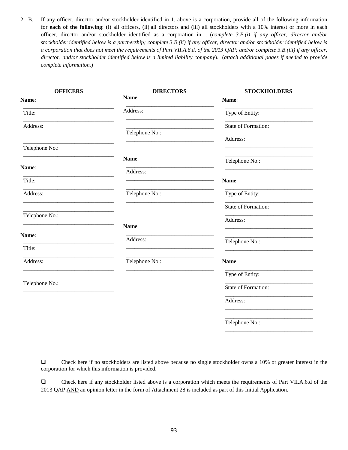2. B. If any officer, director and/or stockholder identified in 1. above is a corporation, provide all of the following information for **each of the following**: (i) all officers, (ii) all directors and (iii) all stockholders with a 10% interest or more in each officer, director and/or stockholder identified as a corporation in 1. (*complete 3.B.(i) if any officer, director and/or stockholder identified below is a partnership; complete 3.B.(ii) if any officer, director and/or stockholder identified below is a corporation that does not meet the requirements of Part VII.A.6.d. of the 2013 QAP; and/or complete 3.B.(iii) if any officer, director, and/or stockholder identified below is a limited liability company*). (*attach additional pages if needed to provide complete information.*)

| <b>OFFICERS</b> | <b>DIRECTORS</b> | <b>STOCKHOLDERS</b> |
|-----------------|------------------|---------------------|
| Name:           | Name:            | Name:               |
| Title:          | Address:         | Type of Entity:     |
| Address:        | Telephone No.:   | State of Formation: |
|                 |                  | Address:            |
| Telephone No.:  |                  |                     |
|                 | Name:            | Telephone No.:      |
| Name:           | Address:         |                     |
| Title:          |                  | Name:               |
| Address:        | Telephone No.:   | Type of Entity:     |
|                 |                  | State of Formation: |
| Telephone No.:  |                  | Address:            |
|                 | Name:            |                     |
| Name:           | Address:         | Telephone No.:      |
| Title:          |                  |                     |
| Address:        | Telephone No.:   | Name:               |
|                 |                  | Type of Entity:     |
| Telephone No.:  |                  | State of Formation: |
|                 |                  | Address:            |
|                 |                  |                     |
|                 |                  | Telephone No.:      |
|                 |                  |                     |
|                 |                  |                     |

 Check here if no stockholders are listed above because no single stockholder owns a 10% or greater interest in the corporation for which this information is provided.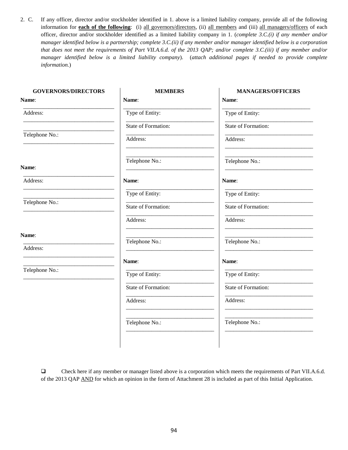2. C. If any officer, director and/or stockholder identified in 1. above is a limited liability company, provide all of the following information for **each of the following**: (i) all governors/directors, (ii) all members and (iii) all managers/officers of each officer, director and/or stockholder identified as a limited liability company in 1. (*complete 3.C.(i) if any member and/or manager identified below is a partnership; complete 3.C.(ii) if any member and/or manager identified below is a corporation that does not meet the requirements of Part VII.A.6.d. of the 2013 QAP; and/or complete 3.C.(iii) if any member and/or manager identified below is a limited liability company*). (*attach additional pages if needed to provide complete information.*)

| <b>MEMBERS</b>      | <b>MANAGERS/OFFICERS</b> |
|---------------------|--------------------------|
| Name:               | Name:                    |
| Type of Entity:     | Type of Entity:          |
| State of Formation: | State of Formation:      |
| Address:            | Address:                 |
| Telephone No.:      | Telephone No.:           |
| Name:               | Name:                    |
| Type of Entity:     | Type of Entity:          |
| State of Formation: | State of Formation:      |
| Address:            | Address:                 |
|                     | Telephone No.:           |
|                     |                          |
| Name:               | Name:                    |
| Type of Entity:     | Type of Entity:          |
| State of Formation: | State of Formation:      |
| Address:            | Address:                 |
| Telephone No.:      | Telephone No.:           |
|                     | Telephone No.:           |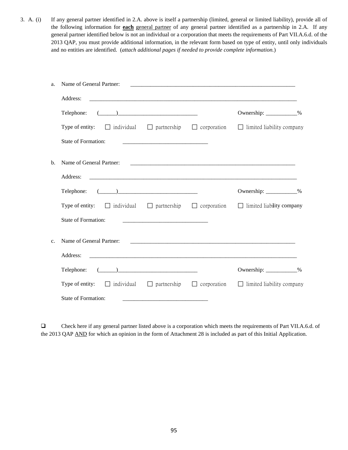3. A. (i) If any general partner identified in 2.A. above is itself a partnership (limited, general or limited liability), provide all of the following information for **each** general partner of any general partner identified as a partnership in 2.A. If any general partner identified below is not an individual or a corporation that meets the requirements of Part VII.A.6.d. of the 2013 QAP, you must provide additional information, in the relevant form based on type of entity, until only individuals and no entities are identified. (*attach additional pages if needed to provide complete information.*)

| a.  | Name of General Partner:                                                                                                                                                                                                                                                                                                                                                          |                                                                                                                        |                          |
|-----|-----------------------------------------------------------------------------------------------------------------------------------------------------------------------------------------------------------------------------------------------------------------------------------------------------------------------------------------------------------------------------------|------------------------------------------------------------------------------------------------------------------------|--------------------------|
|     | Address:                                                                                                                                                                                                                                                                                                                                                                          |                                                                                                                        |                          |
|     | $\begin{picture}(20,10) \put(0,0){\vector(1,0){100}} \put(15,0){\vector(1,0){100}} \put(15,0){\vector(1,0){100}} \put(15,0){\vector(1,0){100}} \put(15,0){\vector(1,0){100}} \put(15,0){\vector(1,0){100}} \put(15,0){\vector(1,0){100}} \put(15,0){\vector(1,0){100}} \put(15,0){\vector(1,0){100}} \put(15,0){\vector(1,0){100}} \put(15,0){\vector(1,0){100}} \$<br>Telephone: |                                                                                                                        | Ownership: ____________% |
|     | <b>Type of entity:</b> $\Box$ individual $\Box$ partnership $\Box$ corporation $\Box$ limited liability company                                                                                                                                                                                                                                                                   |                                                                                                                        |                          |
|     | <b>State of Formation:</b>                                                                                                                                                                                                                                                                                                                                                        | <u> 1989 - Johann Barn, mars ann an t-Amhainn an t-Amhainn an t-Amhainn an t-Amhainn an t-Amhainn an t-Amhainn an </u> |                          |
| $b$ | Name of General Partner:                                                                                                                                                                                                                                                                                                                                                          |                                                                                                                        |                          |
|     | Address:                                                                                                                                                                                                                                                                                                                                                                          |                                                                                                                        |                          |
|     | Telephone: $(\_\_)$                                                                                                                                                                                                                                                                                                                                                               |                                                                                                                        | Ownership: ___________%  |
|     | Type of entity: $\Box$ individual $\Box$ partnership $\Box$ corporation $\Box$ limited liability company                                                                                                                                                                                                                                                                          |                                                                                                                        |                          |
|     | State of Formation:                                                                                                                                                                                                                                                                                                                                                               | <u> 1980 - Jan Barnett, mars eta bainar eta bainar eta baina eta baina eta baina eta baina eta baina eta baina e</u>   |                          |
| c.  | Name of General Partner:                                                                                                                                                                                                                                                                                                                                                          |                                                                                                                        |                          |
|     | Address:                                                                                                                                                                                                                                                                                                                                                                          |                                                                                                                        |                          |
|     | Telephone: $(\_\_)$                                                                                                                                                                                                                                                                                                                                                               |                                                                                                                        | Ownership: ___________%  |
|     | <b>Type of entity:</b> $\Box$ individual $\Box$ partnership $\Box$ corporation $\Box$ limited liability company                                                                                                                                                                                                                                                                   |                                                                                                                        |                          |
|     | State of Formation:                                                                                                                                                                                                                                                                                                                                                               |                                                                                                                        |                          |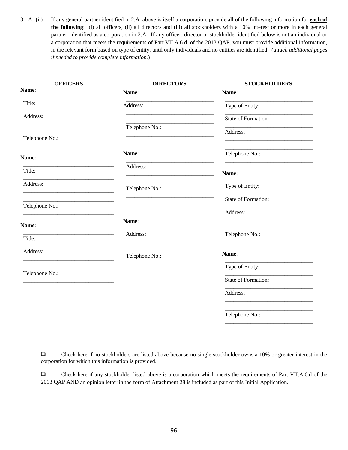3. A. (ii) If any general partner identified in 2.A. above is itself a corporation, provide all of the following information for **each of the following**: (i) all officers, (ii) all directors and (iii) all stockholders with a 10% interest or more in each general partner identified as a corporation in 2.A. If any officer, director or stockholder identified below is not an individual or a corporation that meets the requirements of Part VII.A.6.d. of the 2013 QAP, you must provide additional information, in the relevant form based on type of entity, until only individuals and no entities are identified. (*attach additional pages if needed to provide complete information.*)

| <b>OFFICERS</b> | <b>DIRECTORS</b> | <b>STOCKHOLDERS</b> |
|-----------------|------------------|---------------------|
| Name:           | Name:            | Name:               |
| Title:          | Address:         | Type of Entity:     |
| Address:        |                  | State of Formation: |
|                 | Telephone No.:   | Address:            |
| Telephone No.:  |                  |                     |
| Name:           | Name:            | Telephone No.:      |
| Title:          | Address:         | Name:               |
| Address:        | Telephone No.:   | Type of Entity:     |
|                 |                  | State of Formation: |
| Telephone No.:  |                  | Address:            |
| Name:           | Name:            |                     |
| Title:          | Address:         | Telephone No.:      |
| Address:        | Telephone No.:   | Name:               |
|                 |                  | Type of Entity:     |
| Telephone No.:  |                  | State of Formation: |
|                 |                  | Address:            |
|                 |                  | Telephone No.:      |
|                 |                  |                     |

 Check here if no stockholders are listed above because no single stockholder owns a 10% or greater interest in the corporation for which this information is provided.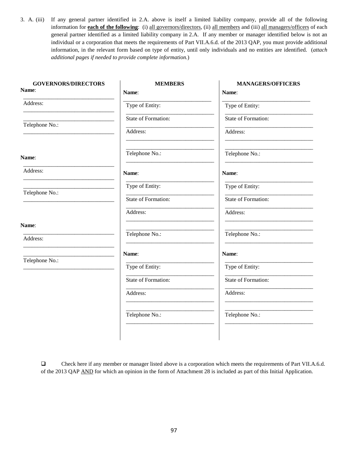3. A. (iii) If any general partner identified in 2.A. above is itself a limited liability company, provide all of the following information for **each of the following**: (i) all governors/directors, (ii) all members and (iii) all managers/officers of each general partner identified as a limited liability company in 2.A. If any member or manager identified below is not an individual or a corporation that meets the requirements of Part VII.A.6.d. of the 2013 QAP, you must provide additional information, in the relevant form based on type of entity, until only individuals and no entities are identified. (*attach additional pages if needed to provide complete information.*)

| <b>GOVERNORS/DIRECTORS</b> | <b>MEMBERS</b>      | <b>MANAGERS/OFFICERS</b> |
|----------------------------|---------------------|--------------------------|
| Name:                      | Name:               | Name:                    |
| Address:                   | Type of Entity:     | Type of Entity:          |
| Telephone No.:             | State of Formation: | State of Formation:      |
|                            | Address:            | Address:                 |
| Name:                      | Telephone No.:      | Telephone No.:           |
| Address:                   | Name:               | Name:                    |
|                            | Type of Entity:     | Type of Entity:          |
| Telephone No.:             | State of Formation: | State of Formation:      |
|                            | Address:            | Address:                 |
| Name:                      |                     |                          |
| Address:                   | Telephone No.:      | Telephone No.:           |
|                            | Name:               | Name:                    |
| Telephone No.:             | Type of Entity:     | Type of Entity:          |
|                            | State of Formation: | State of Formation:      |
|                            | Address:            | Address:                 |
|                            | Telephone No.:      | Telephone No.:           |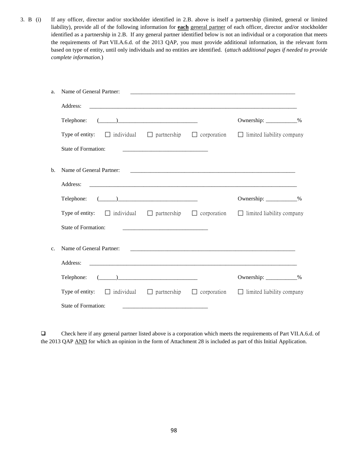3. B (i) If any officer, director and/or stockholder identified in 2.B. above is itself a partnership (limited, general or limited liability), provide all of the following information for **each** general partner of each officer, director and/or stockholder identified as a partnership in 2.B. If any general partner identified below is not an individual or a corporation that meets the requirements of Part VII.A.6.d. of the 2013 QAP, you must provide additional information, in the relevant form based on type of entity, until only individuals and no entities are identified. (*attach additional pages if needed to provide complete information.*)

| Name of General Partner:<br>a.                                                                                  |  |                                  |  |
|-----------------------------------------------------------------------------------------------------------------|--|----------------------------------|--|
| Address:                                                                                                        |  |                                  |  |
| $\begin{tabular}{c} \textbf{Telephone:} \end{tabular} \begin{tabular}{c} \textbf{I} \end{tabular}$              |  | Ownership: ____________%         |  |
| Type of entity: $\Box$ individual $\Box$ partnership $\Box$ corporation $\Box$ limited liability company        |  |                                  |  |
| State of Formation:                                                                                             |  |                                  |  |
| b.                                                                                                              |  |                                  |  |
| Address:                                                                                                        |  |                                  |  |
| $\begin{tabular}{c} \textbf{Telephone:} \end{tabular}$                                                          |  | Ownership: ___________%          |  |
| <b>Type of entity:</b> $\Box$ individual $\Box$ partnership $\Box$ corporation $\Box$ limited liability company |  |                                  |  |
| State of Formation:                                                                                             |  |                                  |  |
| Name of General Partner:<br>$\mathbf{c}$ .                                                                      |  |                                  |  |
| Address:                                                                                                        |  |                                  |  |
|                                                                                                                 |  | Ownership: ____________%         |  |
| Type of entity: $\Box$ individual $\Box$ partnership $\Box$ corporation                                         |  | $\Box$ limited liability company |  |
| State of Formation:                                                                                             |  |                                  |  |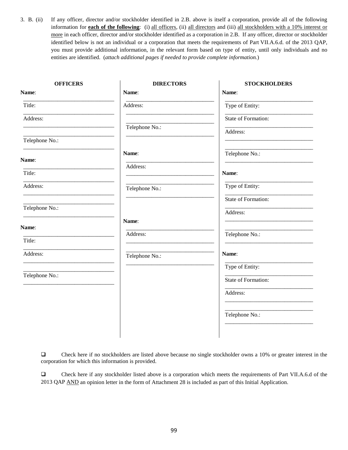3. B. (ii) If any officer, director and/or stockholder identified in 2.B. above is itself a corporation, provide all of the following information for **each of the following**: (i) all officers, (ii) all directors and (iii) all stockholders with a 10% interest or more in each officer, director and/or stockholder identified as a corporation in 2.B. If any officer, director or stockholder identified below is not an individual or a corporation that meets the requirements of Part VII.A.6.d. of the 2013 QAP, you must provide additional information, in the relevant form based on type of entity, until only individuals and no entities are identified. (*attach additional pages if needed to provide complete information.*)

| <b>OFFICERS</b> | <b>DIRECTORS</b> | <b>STOCKHOLDERS</b> |
|-----------------|------------------|---------------------|
| Name:           | Name:            | Name:               |
| Title:          | Address:         | Type of Entity:     |
| Address:        |                  | State of Formation: |
|                 | Telephone No.:   | Address:            |
| Telephone No.:  |                  |                     |
| Name:           | Name:            | Telephone No.:      |
|                 | Address:         |                     |
| Title:          |                  | Name:               |
| Address:        | Telephone No.:   | Type of Entity:     |
|                 |                  | State of Formation: |
| Telephone No.:  |                  | Address:            |
| Name:           | Name:            |                     |
| Title:          | Address:         | Telephone No.:      |
|                 |                  |                     |
| Address:        | Telephone No.:   | Name:               |
|                 |                  | Type of Entity:     |
| Telephone No.:  |                  | State of Formation: |
|                 |                  | Address:            |
|                 |                  |                     |
|                 |                  | Telephone No.:      |
|                 |                  |                     |

 Check here if no stockholders are listed above because no single stockholder owns a 10% or greater interest in the corporation for which this information is provided.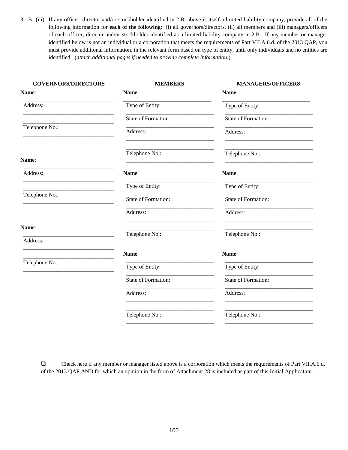3. B. (iii) If any officer, director and/or stockholder identified in 2.B. above is itself a limited liability company, provide all of the following information for **each of the following**: (i) all governors/directors, (ii) all members and (iii) managers/officers of each officer, director and/or stockholder identified as a limited liability company in 2.B. If any member or manager identified below is not an individual or a corporation that meets the requirements of Part VII.A.6.d. of the 2013 QAP, you must provide additional information, in the relevant form based on type of entity, until only individuals and no entities are identified. (*attach additional pages if needed to provide complete information.*)

| <b>MEMBERS</b>      | <b>MANAGERS/OFFICERS</b> |
|---------------------|--------------------------|
| Name:               | Name:                    |
| Type of Entity:     | Type of Entity:          |
| State of Formation: | State of Formation:      |
| Address:            | Address:                 |
| Telephone No.:      | Telephone No.:           |
| Name:               | Name:                    |
| Type of Entity:     | Type of Entity:          |
| State of Formation: | State of Formation:      |
| Address:            | Address:                 |
|                     | Telephone No.:           |
|                     |                          |
| Name:               | Name:                    |
| Type of Entity:     | Type of Entity:          |
| State of Formation: | State of Formation:      |
| Address:            | Address:                 |
| Telephone No.:      | Telephone No.:           |
|                     | Telephone No.:           |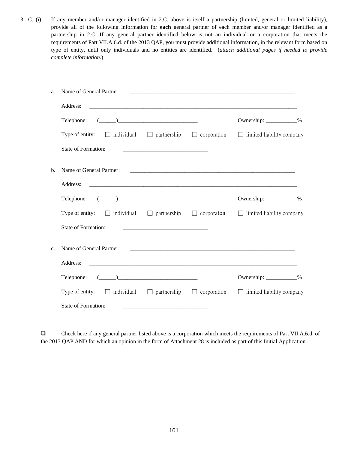3. C. (i) If any member and/or manager identified in 2.C. above is itself a partnership (limited, general or limited liability), provide all of the following information for **each** general partner of each member and/or manager identified as a partnership in 2.C. If any general partner identified below is not an individual or a corporation that meets the requirements of Part VII.A.6.d. of the 2013 QAP, you must provide additional information, in the relevant form based on type of entity, until only individuals and no entities are identified. (*attach additional pages if needed to provide complete information.*)

| a. | Name of General Partner:                                                                                 |                                                                                                                       |                                  |  |
|----|----------------------------------------------------------------------------------------------------------|-----------------------------------------------------------------------------------------------------------------------|----------------------------------|--|
|    | Address:                                                                                                 |                                                                                                                       |                                  |  |
|    | $\begin{tabular}{c} \textbf{Telephone:} \end{tabular} \begin{tabular}{c} \textbf{I} \end{tabular}$       |                                                                                                                       | Ownership: ____________%         |  |
|    | Type of entity: $\Box$ individual $\Box$ partnership $\Box$ corporation $\Box$ limited liability company |                                                                                                                       |                                  |  |
|    | State of Formation:                                                                                      |                                                                                                                       |                                  |  |
| b. |                                                                                                          |                                                                                                                       |                                  |  |
|    | Address:                                                                                                 |                                                                                                                       |                                  |  |
|    |                                                                                                          |                                                                                                                       | Ownership: ___________%          |  |
|    | Type of entity: $\Box$ individual $\Box$ partnership $\Box$ corporation $\Box$ limited liability company |                                                                                                                       |                                  |  |
|    | <b>State of Formation:</b>                                                                               |                                                                                                                       |                                  |  |
| c. | Name of General Partner:                                                                                 |                                                                                                                       |                                  |  |
|    | Address:                                                                                                 |                                                                                                                       |                                  |  |
|    | Telephone: $(\_\_)$                                                                                      |                                                                                                                       | Ownership: ___________%          |  |
|    | Type of entity: $\Box$ individual $\Box$ partnership $\Box$ corporation                                  |                                                                                                                       | $\Box$ limited liability company |  |
|    | State of Formation:                                                                                      | <u> 1989 - Johann Harry Harry Harry Harry Harry Harry Harry Harry Harry Harry Harry Harry Harry Harry Harry Harry</u> |                                  |  |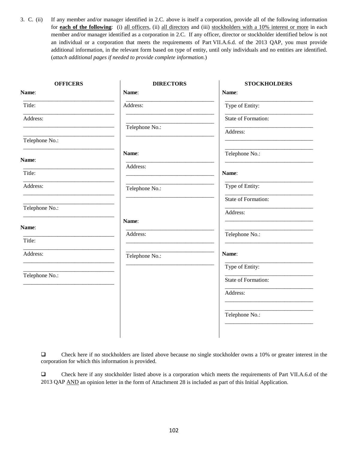3. C. (ii) If any member and/or manager identified in 2.C. above is itself a corporation, provide all of the following information for **each of the following**: (i) all officers, (ii) all directors and (iii) stockholders with a 10% interest or more in each member and/or manager identified as a corporation in 2.C. If any officer, director or stockholder identified below is not an individual or a corporation that meets the requirements of Part VII.A.6.d. of the 2013 QAP, you must provide additional information, in the relevant form based on type of entity, until only individuals and no entities are identified. (*attach additional pages if needed to provide complete information.*)

| <b>OFFICERS</b> | <b>DIRECTORS</b> | <b>STOCKHOLDERS</b> |
|-----------------|------------------|---------------------|
| Name:           | Name:            | Name:               |
| Title:          | Address:         | Type of Entity:     |
| Address:        |                  | State of Formation: |
|                 | Telephone No.:   | Address:            |
| Telephone No.:  |                  |                     |
| Name:           | Name:            | Telephone No.:      |
| Title:          | Address:         | Name:               |
| Address:        | Telephone No.:   | Type of Entity:     |
|                 |                  | State of Formation: |
| Telephone No.:  |                  | Address:            |
| Name:           | Name:            |                     |
| Title:          | Address:         | Telephone No.:      |
| Address:        | Telephone No.:   | Name:               |
|                 |                  | Type of Entity:     |
| Telephone No.:  |                  | State of Formation: |
|                 |                  | Address:            |
|                 |                  |                     |
|                 |                  | Telephone No.:      |
|                 |                  |                     |

 Check here if no stockholders are listed above because no single stockholder owns a 10% or greater interest in the corporation for which this information is provided.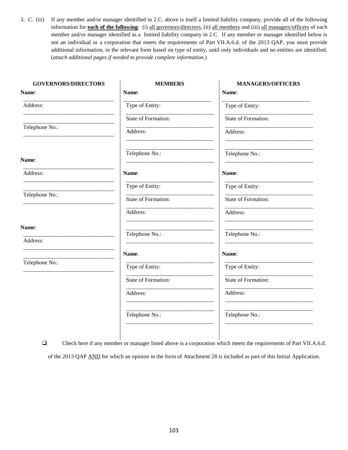3. C. (iii) If any member and/or manager identified in 2.C. above is itself a limited liability company, provide all of the following information for **each of the following**: (i) all governors/directors, (ii) all members and (iii) all managers/officers of each member and/or manager identified as a limited liability company in 2.C. If any member or manager identified below is not an individual or a corporation that meets the requirements of Part VII.A.6.d. of the 2013 QAP, you must provide additional information, in the relevant form based on type of entity, until only individuals and no entities are identified. (*attach additional pages if needed to provide complete information.*)

| <b>GOVERNORS/DIRECTORS</b> | <b>MEMBERS</b>      | <b>MANAGERS/OFFICERS</b>   |
|----------------------------|---------------------|----------------------------|
| Name:                      | Name:               | Name:                      |
| Address:                   | Type of Entity:     | Type of Entity:            |
|                            | State of Formation: | <b>State of Formation:</b> |
| Telephone No.:             | Address:            | Address:                   |
| Name:                      | Telephone No.:      | Telephone No.:             |
| Address:                   | Name:               | Name:                      |
|                            | Type of Entity:     | Type of Entity:            |
| Telephone No.:             | State of Formation: | State of Formation:        |
|                            | Address:            | Address:                   |
| Name:                      | Telephone No.:      | Telephone No.:             |
| Address:                   |                     |                            |
|                            | Name:               | Name:                      |
| Telephone No.:             | Type of Entity:     | Type of Entity:            |
|                            | State of Formation: | State of Formation:        |
|                            | Address:            | Address:                   |
|                            | Telephone No.:      | Telephone No.:             |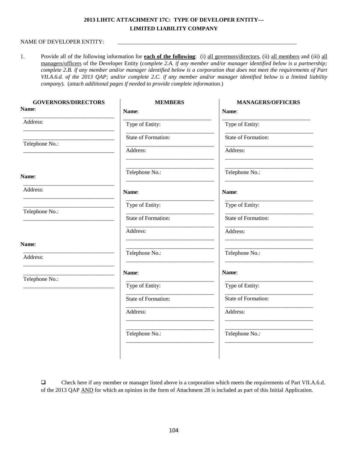### **2013 LIHTC ATTACHMENT 17C: TYPE OF DEVELOPER ENTITY— LIMITED LIABILITY COMPANY**

#### NAME OF DEVELOPER ENTITY:

1. Provide all of the following information for **each of the following**: (i) all governors/directors, (ii) all members and (iii) all managers/officers of the Developer Entity (*complete 2.A. if any member and/or manager identified below is a partnership; complete 2.B. if any member and/or manager identified below is a corporation that does not meet the requirements of Part VII.A.6.d. of the 2013 QAP; and/or complete 2.C. if any member and/or manager identified below is a limited liability company*). (*attach additional pages if needed to provide complete information.*)

| <b>GOVERNORS/DIRECTORS</b> | <b>MEMBERS</b>      | <b>MANAGERS/OFFICERS</b> |
|----------------------------|---------------------|--------------------------|
| Name:                      | Name:               | Name:                    |
| Address:                   | Type of Entity:     | Type of Entity:          |
|                            | State of Formation: | State of Formation:      |
| Telephone No.:             | Address:            | Address:                 |
| Name:                      | Telephone No.:      | Telephone No.:           |
| Address:                   | Name:               | Name:                    |
| Telephone No.:             | Type of Entity:     | Type of Entity:          |
|                            | State of Formation: | State of Formation:      |
|                            | Address:            | Address:                 |
| Name:<br>Address:          | Telephone No.:      | Telephone No.:           |
|                            | Name:               | Name:                    |
| Telephone No.:             | Type of Entity:     | Type of Entity:          |
|                            | State of Formation: | State of Formation:      |
|                            | Address:            | Address:                 |
|                            | Telephone No.:      | Telephone No.:           |
|                            |                     |                          |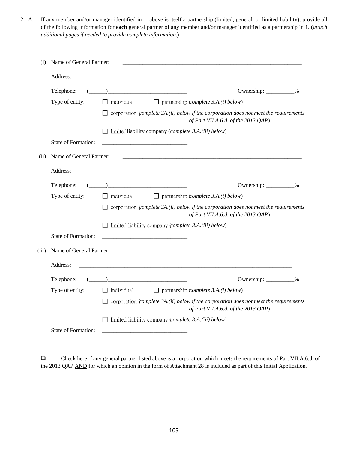2. A. If any member and/or manager identified in 1. above is itself a partnership (limited, general, or limited liability), provide all of the following information for **each** general partner of any member and/or manager identified as a partnership in 1. (*attach additional pages if needed to provide complete information.*)

| (i)   | Name of General Partner: |                                                                                                                                                |
|-------|--------------------------|------------------------------------------------------------------------------------------------------------------------------------------------|
|       | Address:                 |                                                                                                                                                |
|       | Telephone:               | $\begin{tabular}{ c c c c c } \hline \quad \quad & \quad \quad & \quad \quad & \quad \quad \\ \hline \end{tabular}$<br>Ownership: ___________% |
|       | Type of entity:          | $\Box$ partnership (complete 3.A.(i) below)<br>$\Box$ individual                                                                               |
|       |                          | corporation (complete 3A.(ii) below if the corporation does not meet the requirements<br>of Part VII.A.6.d. of the 2013 QAP)                   |
|       |                          | $\Box$ limited liability company (complete 3.A.(iii) below)                                                                                    |
|       | State of Formation:      |                                                                                                                                                |
| (ii)  | Name of General Partner: |                                                                                                                                                |
|       | Address:                 |                                                                                                                                                |
|       | Telephone:               | Ownership: ___________%                                                                                                                        |
|       | Type of entity:          | $\Box$ individual<br>$\Box$ partnership (complete 3.A.(i) below)                                                                               |
|       |                          | $\Box$ corporation (complete 3A.(ii) below if the corporation does not meet the requirements<br>of Part VII.A.6.d. of the 2013 QAP)            |
|       |                          | $\Box$ limited liability company (complete 3.A.(iii) below)                                                                                    |
|       | State of Formation:      |                                                                                                                                                |
| (iii) | Name of General Partner: |                                                                                                                                                |
|       | Address:                 |                                                                                                                                                |
|       | Telephone:               | Ownership: ___________%                                                                                                                        |
|       | Type of entity:          | $\Box$ individual<br>$\Box$ partnership ( <i>complete 3.A.(i) below</i> )                                                                      |
|       |                          | $\Box$ corporation (complete 3A.(ii) below if the corporation does not meet the requirements<br>of Part VII.A.6.d. of the 2013 QAP)            |
|       |                          | $\Box$ limited liability company (complete 3.A.(iii) below)                                                                                    |
|       | State of Formation:      |                                                                                                                                                |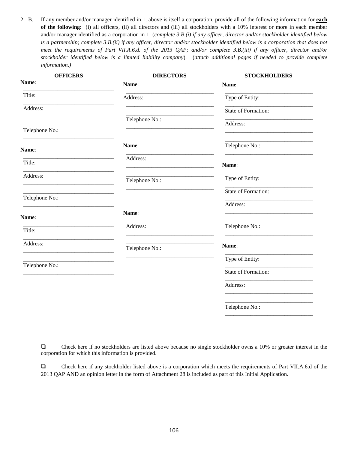2. B. If any member and/or manager identified in 1. above is itself a corporation, provide all of the following information for **each of the following**: (i) all officers, (ii) all directors and (iii) all stockholders with a 10% interest or more in each member and/or manager identified as a corporation in 1. (*complete 3.B.(i) if any officer, director and/or stockholder identified below is a partnership; complete 3.B.(ii) if any officer, director and/or stockholder identified below is a corporation that does not meet the requirements of Part VII.A.6.d. of the 2013 QAP; and/or complete 3.B.(iii) if any officer, director and/or stockholder identified below is a limited liability company*). (*attach additional pages if needed to provide complete information*.*)*

| <b>OFFICERS</b> | <b>DIRECTORS</b> | <b>STOCKHOLDERS</b> |
|-----------------|------------------|---------------------|
| Name:           | Name:            | Name:               |
| Title:          | Address:         | Type of Entity:     |
| Address:        |                  | State of Formation: |
|                 | Telephone No.:   | Address:            |
| Telephone No.:  |                  |                     |
| Name:           | Name:            | Telephone No.:      |
| Title:          | Address:         | Name:               |
| Address:        | Telephone No.:   | Type of Entity:     |
|                 |                  | State of Formation: |
| Telephone No.:  |                  | Address:            |
| Name:           | Name:            |                     |
| Title:          | Address:         | Telephone No.:      |
| Address:        | Telephone No.:   | Name:               |
|                 |                  | Type of Entity:     |
| Telephone No.:  |                  | State of Formation: |
|                 |                  | Address:            |
|                 |                  |                     |
|                 |                  | Telephone No.:      |
|                 |                  |                     |

 Check here if no stockholders are listed above because no single stockholder owns a 10% or greater interest in the corporation for which this information is provided.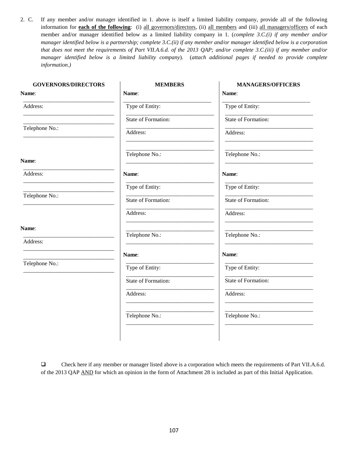2. C. If any member and/or manager identified in 1. above is itself a limited liability company, provide all of the following information for **each of the following**: (i) all governors/directors, (ii) all members and (iii) all managers/officers of each member and/or manager identified below as a limited liability company in 1. (*complete 3.C.(i) if any member and/or manager identified below is a partnership; complete 3.C.(ii) if any member and/or manager identified below is a corporation that does not meet the requirements of Part VII.A.6.d. of the 2013 QAP; and/or complete 3.C.(iii) if any member and/or manager identified below is a limited liability company*). (*attach additional pages if needed to provide complete information*.*)*

| <b>GOVERNORS/DIRECTORS</b> | <b>MEMBERS</b>      | <b>MANAGERS/OFFICERS</b> |
|----------------------------|---------------------|--------------------------|
| Name:                      | Name:               | Name:                    |
| Address:                   | Type of Entity:     | Type of Entity:          |
|                            | State of Formation: | State of Formation:      |
| Telephone No.:             | Address:            | Address:                 |
| Name:                      | Telephone No.:      | Telephone No.:           |
| Address:                   | Name:               | Name:                    |
|                            | Type of Entity:     | Type of Entity:          |
| Telephone No.:             | State of Formation: | State of Formation:      |
|                            | Address:            | Address:                 |
| Name:                      | Telephone No.:      | Telephone No.:           |
| Address:                   |                     |                          |
|                            | Name:               | Name:                    |
| Telephone No.:             | Type of Entity:     | Type of Entity:          |
|                            | State of Formation: | State of Formation:      |
|                            | Address:            | Address:                 |
|                            | Telephone No.:      | Telephone No.:           |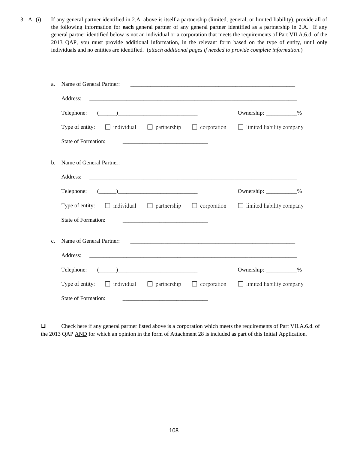3. A. (i) If any general partner identified in 2.A. above is itself a partnership (limited, general, or limited liability), provide all of the following information for **each** general partner of any general partner identified as a partnership in 2.A. If any general partner identified below is not an individual or a corporation that meets the requirements of Part VII.A.6.d. of the 2013 QAP, you must provide additional information, in the relevant form based on the type of entity, until only individuals and no entities are identified. (*attach additional pages if needed to provide complete information*.)

| Name of General Partner:<br>a. |                                                                                                                                                                                                                                                                                                                                                                                                                               |                                                                    |                                            |
|--------------------------------|-------------------------------------------------------------------------------------------------------------------------------------------------------------------------------------------------------------------------------------------------------------------------------------------------------------------------------------------------------------------------------------------------------------------------------|--------------------------------------------------------------------|--------------------------------------------|
|                                | Address:                                                                                                                                                                                                                                                                                                                                                                                                                      |                                                                    |                                            |
|                                | $\begin{picture}(20,10) \put(0,0){\vector(1,0){100}} \put(15,0){\vector(1,0){100}} \put(15,0){\vector(1,0){100}} \put(15,0){\vector(1,0){100}} \put(15,0){\vector(1,0){100}} \put(15,0){\vector(1,0){100}} \put(15,0){\vector(1,0){100}} \put(15,0){\vector(1,0){100}} \put(15,0){\vector(1,0){100}} \put(15,0){\vector(1,0){100}} \put(15,0){\vector(1,0){100}} \$<br>Telephone:                                             |                                                                    | Ownership: ____________%                   |
|                                | <b>Type of entity:</b> $\Box$ individual $\Box$ partnership $\Box$ corporation $\Box$ limited liability company                                                                                                                                                                                                                                                                                                               |                                                                    |                                            |
|                                | State of Formation:                                                                                                                                                                                                                                                                                                                                                                                                           |                                                                    |                                            |
| $\mathbf{b}$ .                 | Name of General Partner:                                                                                                                                                                                                                                                                                                                                                                                                      |                                                                    | <u> 2000 - Januar Alexander (h. 1888).</u> |
|                                | Address:                                                                                                                                                                                                                                                                                                                                                                                                                      |                                                                    |                                            |
|                                | $\begin{tabular}{c} \textbf{Telephone:} \end{tabular} \begin{tabular}{c} \textbf{1} & \textbf{2} & \textbf{3} & \textbf{4} & \textbf{5} & \textbf{6} & \textbf{6} & \textbf{7} & \textbf{8} & \textbf{9} & \textbf{10} & \textbf{10} & \textbf{10} & \textbf{10} & \textbf{10} & \textbf{10} & \textbf{10} & \textbf{10} & \textbf{10} & \textbf{10} & \textbf{10} & \textbf{10} & \textbf{10} & \textbf{10} & \textbf{10} &$ |                                                                    | Ownership: ___________%                    |
|                                | <b>Type of entity:</b> $\Box$ individual $\Box$ partnership $\Box$ corporation $\Box$ limited liability company                                                                                                                                                                                                                                                                                                               |                                                                    |                                            |
|                                | State of Formation:                                                                                                                                                                                                                                                                                                                                                                                                           |                                                                    |                                            |
| $\mathbf{c}$ .                 | Name of General Partner:                                                                                                                                                                                                                                                                                                                                                                                                      |                                                                    |                                            |
|                                | Address:                                                                                                                                                                                                                                                                                                                                                                                                                      |                                                                    |                                            |
|                                | $\begin{array}{c} \begin{array}{c} \begin{array}{c} \begin{array}{c} \end{array} \end{array} \end{array}$<br>Telephone:                                                                                                                                                                                                                                                                                                       |                                                                    | Ownership: ___________%                    |
|                                | Type of entity: $\Box$ individual $\Box$ partnership $\Box$ corporation $\Box$ limited liability company                                                                                                                                                                                                                                                                                                                      |                                                                    |                                            |
|                                | State of Formation:                                                                                                                                                                                                                                                                                                                                                                                                           | <u> 1980 - Jan James James Barbara, martin da kasar Indonesia.</u> |                                            |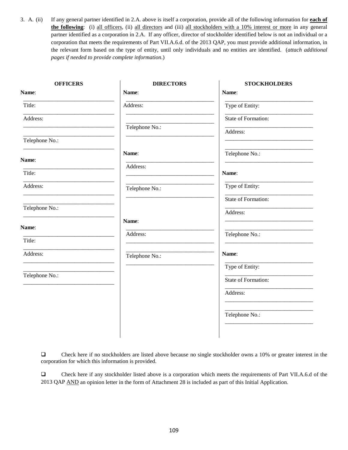3. A. (ii) If any general partner identified in 2.A. above is itself a corporation, provide all of the following information for **each of the following**: (i) all officers, (ii) all directors and (iii) all stockholders with a 10% interest or more in any general partner identified as a corporation in 2.A. If any officer, director of stockholder identified below is not an individual or a corporation that meets the requirements of Part VII.A.6.d. of the 2013 QAP, you must provide additional information, in the relevant form based on the type of entity, until only individuals and no entities are identified. (*attach additional pages if needed to provide complete information*.)

| <b>OFFICERS</b> | <b>DIRECTORS</b> | <b>STOCKHOLDERS</b> |
|-----------------|------------------|---------------------|
| Name:           | Name:            | Name:               |
| Title:          | Address:         | Type of Entity:     |
| Address:        |                  | State of Formation: |
|                 | Telephone No.:   | Address:            |
| Telephone No.:  |                  |                     |
| Name:           | Name:            | Telephone No.:      |
| Title:          | Address:         | Name:               |
| Address:        | Telephone No.:   | Type of Entity:     |
|                 |                  | State of Formation: |
| Telephone No.:  |                  | Address:            |
| Name:           | Name:            |                     |
| Title:          | Address:         | Telephone No.:      |
| Address:        | Telephone No.:   | Name:               |
|                 |                  | Type of Entity:     |
| Telephone No.:  |                  | State of Formation: |
|                 |                  | Address:            |
|                 |                  |                     |
|                 |                  | Telephone No.:      |
|                 |                  |                     |

 Check here if no stockholders are listed above because no single stockholder owns a 10% or greater interest in the corporation for which this information is provided.

 Check here if any stockholder listed above is a corporation which meets the requirements of Part VII.A.6.d of the 2013 QAP AND an opinion letter in the form of Attachment 28 is included as part of this Initial Application.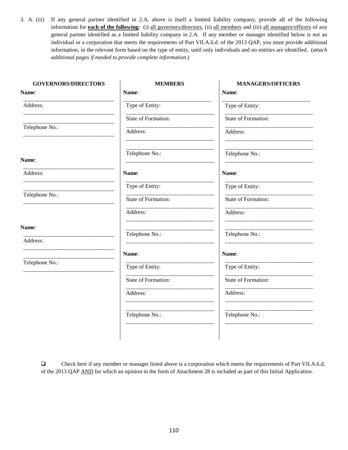3. A. (iii) If any general partner identified in 2.A. above is itself a limited liability company, provide all of the following information for **each of the following**: (i) all governors/directors, (ii) all members and (iii) all managers/officers of any general partner identified as a limited liability company in 2.A. If any member or manager identified below is not an individual or a corporation that meets the requirements of Part VII.A.6.d. of the 2013 QAP, you must provide additional information, in the relevant form based on the type of entity, until only individuals and no entities are identified. (*attach additional pages if needed to provide complete information*.)

| <b>MEMBERS</b>      | <b>MANAGERS/OFFICERS</b> |
|---------------------|--------------------------|
| Name:               | Name:                    |
| Type of Entity:     | Type of Entity:          |
| State of Formation: | State of Formation:      |
| Address:            | Address:                 |
| Telephone No.:      | Telephone No.:           |
| Name:               | Name:                    |
| Type of Entity:     | Type of Entity:          |
| State of Formation: | State of Formation:      |
| Address:            | Address:                 |
|                     | Telephone No.:           |
|                     |                          |
| Name:               | Name:                    |
| Type of Entity:     | Type of Entity:          |
| State of Formation: | State of Formation:      |
| Address:            | Address:                 |
| Telephone No.:      | Telephone No.:           |
|                     | Telephone No.:           |

 Check here if any member or manager listed above is a corporation which meets the requirements of Part VII.A.6.d. of the 2013 QAP AND for which an opinion in the form of Attachment 28 is included as part of this Initial Application.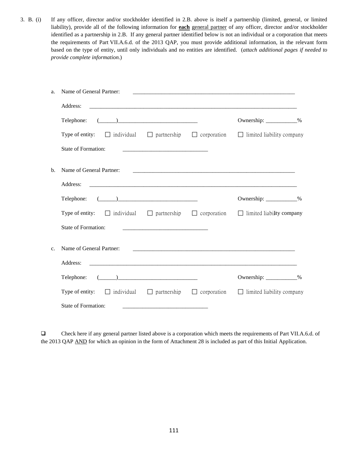3. B. (i) If any officer, director and/or stockholder identified in 2.B. above is itself a partnership (limited, general, or limited liability), provide all of the following information for **each** general partner of any officer, director and/or stockholder identified as a partnership in 2.B. If any general partner identified below is not an individual or a corporation that meets the requirements of Part VII.A.6.d. of the 2013 QAP, you must provide additional information, in the relevant form based on the type of entity, until only individuals and no entities are identified. (*attach additional pages if needed to provide complete information*.)

| a.       | Name of General Partner:                                                                                 |                                                                                                                       |                                                                                                                       |  |
|----------|----------------------------------------------------------------------------------------------------------|-----------------------------------------------------------------------------------------------------------------------|-----------------------------------------------------------------------------------------------------------------------|--|
| Address: |                                                                                                          |                                                                                                                       |                                                                                                                       |  |
|          | $\begin{tabular}{c} \textbf{Telephone:} \end{tabular} \begin{tabular}{c} \textbf{I} \end{tabular}$       |                                                                                                                       | Ownership: ____________%                                                                                              |  |
|          | Type of entity: $\Box$ individual $\Box$ partnership $\Box$ corporation $\Box$ limited liability company |                                                                                                                       |                                                                                                                       |  |
|          | State of Formation:                                                                                      |                                                                                                                       |                                                                                                                       |  |
| b.       | Name of General Partner:                                                                                 |                                                                                                                       |                                                                                                                       |  |
| Address: |                                                                                                          |                                                                                                                       |                                                                                                                       |  |
|          | Telephone: $(\_\_)$                                                                                      |                                                                                                                       | Ownership: ____________%                                                                                              |  |
|          | Type of entity: $\Box$ individual $\Box$ partnership $\Box$ corporation $\Box$ limited liability company |                                                                                                                       |                                                                                                                       |  |
|          | <b>State of Formation:</b>                                                                               |                                                                                                                       |                                                                                                                       |  |
| c.       | Name of General Partner:                                                                                 |                                                                                                                       | <u> 1980 - Johann John Stein, markin fan de Amerikaanske kommunister op de Amerikaanske kommunister op de Amerika</u> |  |
|          | Address:                                                                                                 |                                                                                                                       |                                                                                                                       |  |
|          | Telephone: $(\_\_)$                                                                                      |                                                                                                                       | Ownership: ____________%                                                                                              |  |
|          | Type of entity: $\Box$ individual $\Box$ partnership $\Box$ corporation                                  |                                                                                                                       | $\Box$ limited liability company                                                                                      |  |
|          | State of Formation:                                                                                      | <u> 1989 - Johann Harry Harry Harry Harry Harry Harry Harry Harry Harry Harry Harry Harry Harry Harry Harry Harry</u> |                                                                                                                       |  |

 Check here if any general partner listed above is a corporation which meets the requirements of Part VII.A.6.d. of the 2013 QAP AND for which an opinion in the form of Attachment 28 is included as part of this Initial Application.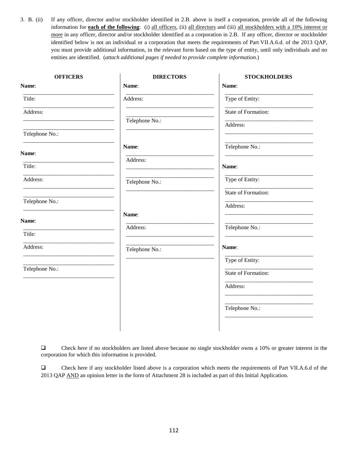3. B. (ii) If any officer, director and/or stockholder identified in 2.B. above is itself a corporation, provide all of the following information for **each of the following**: (i) all officers, (ii) all directors and (iii) all stockholders with a 10% interest or more in any officer, director and/or stockholder identified as a corporation in 2.B. If any officer, director or stockholder identified below is not an individual or a corporation that meets the requirements of Part VII.A.6.d. of the 2013 QAP, you must provide additional information, in the relevant form based on the type of entity, until only individuals and no entities are identified. (*attach additional pages if needed to provide complete information*.)

| <b>OFFICERS</b> | <b>DIRECTORS</b> | <b>STOCKHOLDERS</b> |
|-----------------|------------------|---------------------|
| Name:           | Name:            | Name:               |
| Title:          | Address:         | Type of Entity:     |
| Address:        |                  | State of Formation: |
|                 | Telephone No.:   | Address:            |
| Telephone No.:  |                  |                     |
| Name:           | Name:            | Telephone No.:      |
| Title:          | Address:         | Name:               |
|                 |                  |                     |
| Address:        | Telephone No.:   | Type of Entity:     |
|                 |                  | State of Formation: |
| Telephone No.:  |                  | Address:            |
| Name:           | Name:            |                     |
| Title:          | Address:         | Telephone No.:      |
|                 |                  |                     |
| Address:        | Telephone No.:   | Name:               |
|                 |                  | Type of Entity:     |
| Telephone No.:  |                  | State of Formation: |
|                 |                  | Address:            |
|                 |                  |                     |
|                 |                  | Telephone No.:      |
|                 |                  |                     |
|                 |                  |                     |

 Check here if no stockholders are listed above because no single stockholder owns a 10% or greater interest in the corporation for which this information is provided.

 Check here if any stockholder listed above is a corporation which meets the requirements of Part VII.A.6.d of the 2013 QAP AND an opinion letter in the form of Attachment 28 is included as part of this Initial Application.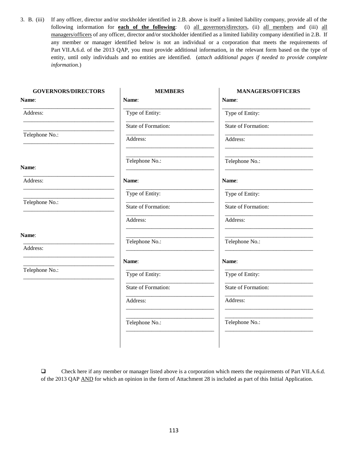3. B. (iii) If any officer, director and/or stockholder identified in 2.B. above is itself a limited liability company, provide all of the following information for **each of the following**: (i) all governors/directors, (ii) all members and (iii) all managers/officers of any officer, director and/or stockholder identified as a limited liability company identified in 2.B. If any member or manager identified below is not an individual or a corporation that meets the requirements of Part VII.A.6.d. of the 2013 QAP, you must provide additional information, in the relevant form based on the type of entity, until only individuals and no entities are identified. (*attach additional pages if needed to provide complete information*.)

| Name:<br>Type of Entity: | Name:               |
|--------------------------|---------------------|
|                          |                     |
|                          | Type of Entity:     |
| State of Formation:      | State of Formation: |
| Address:                 | Address:            |
| Telephone No.:           | Telephone No.:      |
| Name:                    | Name:               |
| Type of Entity:          | Type of Entity:     |
| State of Formation:      | State of Formation: |
| Address:                 | Address:            |
|                          | Telephone No.:      |
|                          |                     |
| Name:                    | Name:               |
| Type of Entity:          | Type of Entity:     |
| State of Formation:      | State of Formation: |
| Address:                 | Address:            |
| Telephone No.:           | Telephone No.:      |
|                          | Telephone No.:      |

 Check here if any member or manager listed above is a corporation which meets the requirements of Part VII.A.6.d. of the 2013 QAP AND for which an opinion in the form of Attachment 28 is included as part of this Initial Application.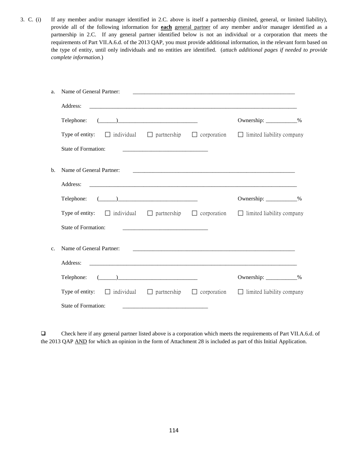3. C. (i) If any member and/or manager identified in 2.C. above is itself a partnership (limited, general, or limited liability), provide all of the following information for **each** general partner of any member and/or manager identified as a partnership in 2.C. If any general partner identified below is not an individual or a corporation that meets the requirements of Part VII.A.6.d. of the 2013 QAP, you must provide additional information, in the relevant form based on the type of entity, until only individuals and no entities are identified. (*attach additional pages if needed to provide complete information*.)

| a. | Name of General Partner:                                                                                 |                                                                                                                       |                                                                                                                     |  |
|----|----------------------------------------------------------------------------------------------------------|-----------------------------------------------------------------------------------------------------------------------|---------------------------------------------------------------------------------------------------------------------|--|
|    | Address:                                                                                                 |                                                                                                                       |                                                                                                                     |  |
|    | $\begin{tabular}{c} \textbf{Telephone:} \end{tabular} \begin{tabular}{c} \textbf{I} \end{tabular}$       |                                                                                                                       | Ownership: ____________%                                                                                            |  |
|    | Type of entity: $\Box$ individual $\Box$ partnership $\Box$ corporation $\Box$ limited liability company |                                                                                                                       |                                                                                                                     |  |
|    | State of Formation:                                                                                      |                                                                                                                       |                                                                                                                     |  |
| b. | Name of General Partner:                                                                                 |                                                                                                                       | <u> 2000 - Jan James James Jan James James James James James James James James James James James James James Ja</u> |  |
|    | Address:                                                                                                 |                                                                                                                       |                                                                                                                     |  |
|    |                                                                                                          |                                                                                                                       | Ownership: ___________%                                                                                             |  |
|    | Type of entity: $\Box$ individual $\Box$ partnership $\Box$ corporation $\Box$ limited liability company |                                                                                                                       |                                                                                                                     |  |
|    | <b>State of Formation:</b>                                                                               |                                                                                                                       |                                                                                                                     |  |
| c. | Name of General Partner:                                                                                 |                                                                                                                       |                                                                                                                     |  |
|    | Address:                                                                                                 |                                                                                                                       |                                                                                                                     |  |
|    |                                                                                                          |                                                                                                                       | Ownership: ___________%                                                                                             |  |
|    | Type of entity: $\Box$ individual $\Box$ partnership $\Box$ corporation                                  |                                                                                                                       | $\Box$ limited liability company                                                                                    |  |
|    | State of Formation:                                                                                      | <u> 1989 - Johann Harry Harry Harry Harry Harry Harry Harry Harry Harry Harry Harry Harry Harry Harry Harry Harry</u> |                                                                                                                     |  |

 Check here if any general partner listed above is a corporation which meets the requirements of Part VII.A.6.d. of the 2013 QAP AND for which an opinion in the form of Attachment 28 is included as part of this Initial Application.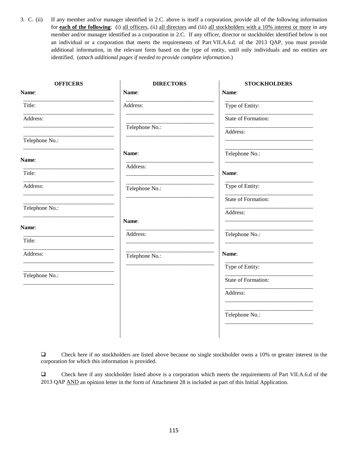3. C. (ii) If any member and/or manager identified in 2.C. above is itself a corporation, provide all of the following information for **each of the following**: (i) all officers, (ii) all directors and (iii) all stockholders with a 10% interest or more in any member and/or manager identified as a corporation in 2.C. If any officer, director or stockholder identified below is not an individual or a corporation that meets the requirements of Part VII.A.6.d. of the 2013 QAP, you must provide additional information, in the relevant form based on the type of entity, until only individuals and no entities are identified. (*attach additional pages if needed to provide complete information*.)

| <b>OFFICERS</b> | <b>DIRECTORS</b> | <b>STOCKHOLDERS</b> |
|-----------------|------------------|---------------------|
| Name:           | Name:            | Name:               |
| Title:          | Address:         | Type of Entity:     |
| Address:        |                  | State of Formation: |
|                 | Telephone No.:   | Address:            |
| Telephone No.:  |                  |                     |
| Name:           | Name:            | Telephone No.:      |
| Title:          | Address:         |                     |
|                 |                  | Name:               |
| Address:        | Telephone No.:   | Type of Entity:     |
|                 |                  | State of Formation: |
| Telephone No.:  |                  | Address:            |
| Name:           | Name:            |                     |
| Title:          | Address:         | Telephone No.:      |
| Address:        | Telephone No.:   | Name:               |
|                 |                  | Type of Entity:     |
| Telephone No.:  |                  | State of Formation: |
|                 |                  | Address:            |
|                 |                  |                     |
|                 |                  | Telephone No.:      |
|                 |                  |                     |

 Check here if no stockholders are listed above because no single stockholder owns a 10% or greater interest in the corporation for which this information is provided.

 Check here if any stockholder listed above is a corporation which meets the requirements of Part VII.A.6.d of the 2013 QAP AND an opinion letter in the form of Attachment 28 is included as part of this Initial Application.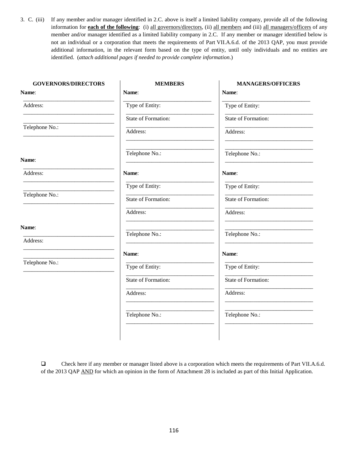3. C. (iii) If any member and/or manager identified in 2.C. above is itself a limited liability company, provide all of the following information for **each of the following**: (i) all governors/directors, (ii) all members and (iii) all managers/officers of any member and/or manager identified as a limited liability company in 2.C. If any member or manager identified below is not an individual or a corporation that meets the requirements of Part VII.A.6.d. of the 2013 QAP, you must provide additional information, in the relevant form based on the type of entity, until only individuals and no entities are identified. (*attach additional pages if needed to provide complete information*.)

| Name:<br>Type of Entity:<br>State of Formation:<br>Address:<br>Telephone No.:<br>Name:<br>Type of Entity:<br>State of Formation: |
|----------------------------------------------------------------------------------------------------------------------------------|
|                                                                                                                                  |
|                                                                                                                                  |
|                                                                                                                                  |
|                                                                                                                                  |
|                                                                                                                                  |
|                                                                                                                                  |
|                                                                                                                                  |
|                                                                                                                                  |
| Address:                                                                                                                         |
| Telephone No.:                                                                                                                   |
|                                                                                                                                  |
| Name:                                                                                                                            |
| Type of Entity:                                                                                                                  |
| State of Formation:                                                                                                              |
| Address:                                                                                                                         |
| Telephone No.:                                                                                                                   |
|                                                                                                                                  |

 Check here if any member or manager listed above is a corporation which meets the requirements of Part VII.A.6.d. of the 2013 QAP AND for which an opinion in the form of Attachment 28 is included as part of this Initial Application.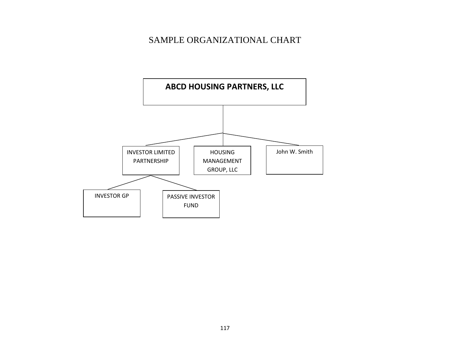# SAMPLE ORGANIZATIONAL CHART

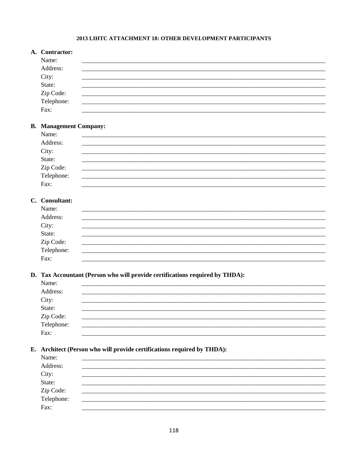## 2013 LIHTC ATTACHMENT 18: OTHER DEVELOPMENT PARTICIPANTS

| A. Contractor:          |  |  |
|-------------------------|--|--|
| Name:                   |  |  |
| Address:                |  |  |
| City:                   |  |  |
| State:                  |  |  |
|                         |  |  |
| Zip Code:<br>Telephone: |  |  |
| Fax:                    |  |  |

## **B.** Management Company:

## C. Consultant:

| Name:                                              |  |  |
|----------------------------------------------------|--|--|
| Address:                                           |  |  |
|                                                    |  |  |
|                                                    |  |  |
|                                                    |  |  |
|                                                    |  |  |
| City:<br>State:<br>Zip Code:<br>Telephone:<br>Fax: |  |  |

#### D. Tax Accountant (Person who will provide certifications required by THDA):

| Name:<br>Address:                          |  |
|--------------------------------------------|--|
|                                            |  |
|                                            |  |
|                                            |  |
|                                            |  |
| City:<br>State:<br>Zip Code:<br>Telephone: |  |
| Fax:                                       |  |

## E. Architect (Person who will provide certifications required by THDA):

| Name:<br>Address:                          |  |  |
|--------------------------------------------|--|--|
|                                            |  |  |
|                                            |  |  |
|                                            |  |  |
| City:<br>State:<br>Zip Code:<br>Telephone: |  |  |
| Fax:                                       |  |  |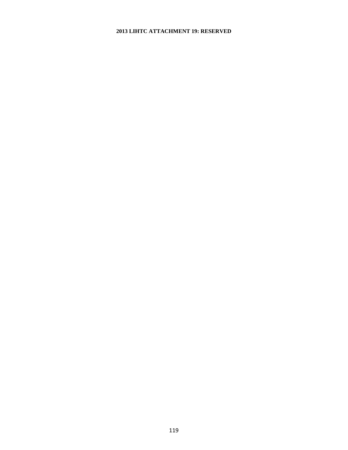### **2013 LIHTC ATTACHMENT 19: RESERVED**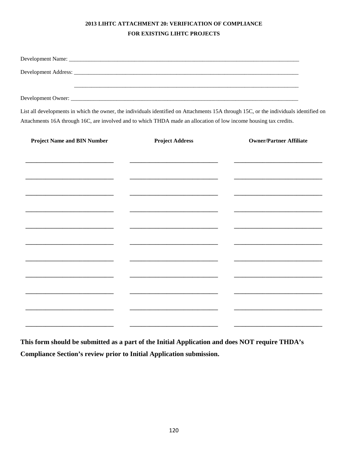## 2013 LIHTC ATTACHMENT 20: VERIFICATION OF COMPLIANCE FOR EXISTING LIHTC PROJECTS

List all developments in which the owner, the individuals identified on Attachments 15A through 15C, or the individuals identified on Attachments 16A through 16C, are involved and to which THDA made an allocation of low income housing tax credits.

| <b>Project Name and BIN Number</b> | <b>Project Address</b> | <b>Owner/Partner Affiliate</b> |  |  |
|------------------------------------|------------------------|--------------------------------|--|--|
|                                    |                        |                                |  |  |
|                                    |                        |                                |  |  |
|                                    |                        |                                |  |  |
|                                    |                        |                                |  |  |
|                                    |                        |                                |  |  |
|                                    |                        |                                |  |  |
|                                    |                        |                                |  |  |
|                                    |                        |                                |  |  |
|                                    |                        |                                |  |  |
|                                    |                        |                                |  |  |
|                                    |                        |                                |  |  |
|                                    |                        |                                |  |  |
|                                    |                        |                                |  |  |
|                                    |                        |                                |  |  |
|                                    |                        |                                |  |  |
|                                    |                        |                                |  |  |

This form should be submitted as a part of the Initial Application and does NOT require THDA's Compliance Section's review prior to Initial Application submission.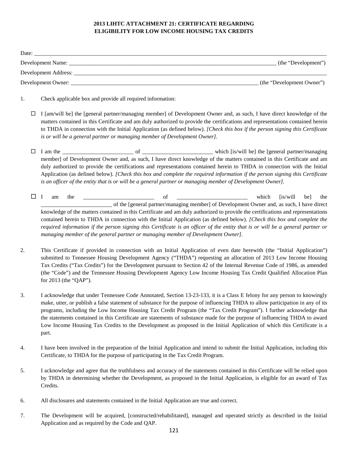#### **2013 LIHTC ATTACHMENT 21: CERTIFICATE REGARDING ELIGIBILITY FOR LOW INCOME HOUSING TAX CREDITS**

|        |                          |                                                                                                                                                                                                                                                                                                                                                                                                                                                                                                                                                                                       | (the "Development Owner")        |
|--------|--------------------------|---------------------------------------------------------------------------------------------------------------------------------------------------------------------------------------------------------------------------------------------------------------------------------------------------------------------------------------------------------------------------------------------------------------------------------------------------------------------------------------------------------------------------------------------------------------------------------------|----------------------------------|
| 1.     |                          | Check applicable box and provide all required information:                                                                                                                                                                                                                                                                                                                                                                                                                                                                                                                            |                                  |
| □      |                          | I [am/will be] the [general partner/managing member] of Development Owner and, as such, I have direct knowledge of the<br>matters contained in this Certificate and am duly authorized to provide the certifications and representations contained herein<br>to THDA in connection with the Initial Application (as defined below). [Check this box if the person signing this Certificate<br>is or will be a general partner or managing member of Development Owner].                                                                                                               |                                  |
| $\Box$ |                          | member] of Development Owner and, as such, I have direct knowledge of the matters contained in this Certificate and am<br>duly authorized to provide the certifications and representations contained herein to THDA in connection with the Initial<br>Application (as defined below). [Check this box and complete the required information if the person signing this Certificate<br>is an officer of the entity that is or will be a general partner or managing member of Development Owner].                                                                                     |                                  |
| $\Box$ | $\mathbf I$<br>am<br>the | of<br>of the [general partner/managing member] of Development Owner and, as such, I have direct<br>knowledge of the matters contained in this Certificate and am duly authorized to provide the certifications and representations<br>contained herein to THDA in connection with the Initial Application (as defined below). [Check this box and complete the<br>required information if the person signing this Certificate is an officer of the entity that is or will be a general partner or<br>managing member of the general partner or managing member of Development Owner]. | which<br>[is/will]<br>be]<br>the |
| 2.     | for 2013 (the "QAP").    | This Certificate if provided in connection with an Initial Application of even date herewith (the "Initial Application")<br>submitted to Tennessee Housing Development Agency ("THDA") requesting an allocation of 2013 Low Income Housing<br>Tax Credits ("Tax Credits") for the Development pursuant to Section 42 of the Internal Revenue Code of 1986, as amended<br>(the "Code") and the Tennessee Housing Development Agency Low Income Housing Tax Credit Qualified Allocation Plan                                                                                            |                                  |
| 3.     |                          | I acknowledge that under Tennessee Code Annotated, Section 13-23-133, it is a Class E felony for any person to knowingly                                                                                                                                                                                                                                                                                                                                                                                                                                                              |                                  |

- make, utter, or publish a false statement of substance for the purpose of influencing THDA to allow participation in any of its programs, including the Low Income Housing Tax Credit Program (the "Tax Credit Program"). I further acknowledge that the statements contained in this Certificate are statements of substance made for the purpose of influencing THDA to award Low Income Housing Tax Credits to the Development as proposed in the Initial Application of which this Certificate is a part.
- 4. I have been involved in the preparation of the Initial Application and intend to submit the Initial Application, including this Certificate, to THDA for the purpose of participating in the Tax Credit Program.
- 5. I acknowledge and agree that the truthfulness and accuracy of the statements contained in this Certificate will be relied upon by THDA in determining whether the Development, as proposed in the Initial Application, is eligible for an award of Tax Credits.
- 6. All disclosures and statements contained in the Initial Application are true and correct.
- 7. The Development will be acquired, [constructed/rehabilitated], managed and operated strictly as described in the Initial Application and as required by the Code and QAP.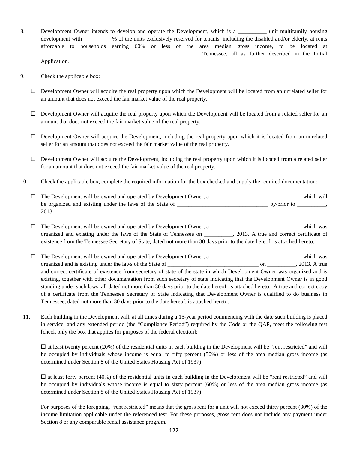8. Development Owner intends to develop and operate the Development, which is a zurit multifamily housing development with  $\frac{1}{2}$ % of the units exclusively reserved for tenants, including the disabled and/or elderly, at rents affordable to households earning 60% or less of the area median gross income, to be located at \_\_\_\_\_\_\_\_\_\_\_\_\_\_\_\_\_\_\_\_\_\_\_\_\_\_\_\_\_\_\_\_\_\_\_\_\_\_\_\_\_\_\_\_\_\_\_\_\_\_\_\_\_\_\_, Tennessee, all as further described in the Initial Application.

9. Check the applicable box:

- $\Box$  Development Owner will acquire the real property upon which the Development will be located from an unrelated seller for an amount that does not exceed the fair market value of the real property.
- $\Box$  Development Owner will acquire the real property upon which the Development will be located from a related seller for an amount that does not exceed the fair market value of the real property.
- $\square$  Development Owner will acquire the Development, including the real property upon which it is located from an unrelated seller for an amount that does not exceed the fair market value of the real property.
- $\Box$  Development Owner will acquire the Development, including the real property upon which it is located from a related seller for an amount that does not exceed the fair market value of the real property.
- 10. Check the applicable box, complete the required information for the box checked and supply the required documentation:

| $\Box$ The Development will be owned and operated by Development Owner, a | which will  |
|---------------------------------------------------------------------------|-------------|
| be organized and existing under the laws of the State of                  | by/prior to |
| 2013.                                                                     |             |

 The Development will be owned and operated by Development Owner, a \_\_\_\_\_\_\_\_\_\_\_\_\_\_\_\_\_\_\_\_\_\_\_\_\_\_\_\_\_\_\_\_ which was organized and existing under the laws of the State of Tennessee on \_\_\_\_\_\_\_\_\_\_, 2013. A true and correct certificate of existence from the Tennessee Secretary of State, dated not more than 30 days prior to the date hereof, is attached hereto.

- $\Box$  The Development will be owned and operated by Development Owner, a \_\_\_\_\_\_\_\_\_\_\_\_\_\_\_\_\_\_\_\_\_\_\_\_\_\_\_\_\_\_\_ which was organized and is existing under the laws of the State of \_\_\_\_\_\_\_\_\_\_\_\_\_\_\_\_\_\_\_\_\_\_\_\_\_\_\_\_\_\_\_\_ on \_\_\_\_\_\_\_\_\_\_, 2013. A true and correct certificate of existence from secretary of state of the state in which Development Owner was organized and is existing, together with other documentation from such secretary of state indicating that the Development Owner is in good standing under such laws, all dated not more than 30 days prior to the date hereof, is attached hereto. A true and correct copy of a certificate from the Tennessee Secretary of State indicating that Development Owner is qualified to do business in Tennessee, dated not more than 30 days prior to the date hereof, is attached hereto.
- 11. Each building in the Development will, at all times during a 15-year period commencing with the date such building is placed in service, and any extended period (the "Compliance Period") required by the Code or the QAP, meet the following test [check only the box that applies for purposes of the federal election]:

 $\square$  at least twenty percent (20%) of the residential units in each building in the Development will be "rent restricted" and will be occupied by individuals whose income is equal to fifty percent (50%) or less of the area median gross income (as determined under Section 8 of the United States Housing Act of 1937)

 $\square$  at least forty percent (40%) of the residential units in each building in the Development will be "rent restricted" and will be occupied by individuals whose income is equal to sixty percent (60%) or less of the area median gross income (as determined under Section 8 of the United States Housing Act of 1937)

For purposes of the foregoing, "rent restricted" means that the gross rent for a unit will not exceed thirty percent (30%) of the income limitation applicable under the referenced test. For these purposes, gross rent does not include any payment under Section 8 or any comparable rental assistance program.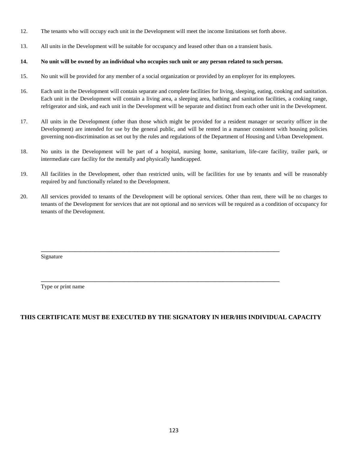- 12. The tenants who will occupy each unit in the Development will meet the income limitations set forth above.
- 13. All units in the Development will be suitable for occupancy and leased other than on a transient basis.

#### **14. No unit will be owned by an individual who occupies such unit or any person related to such person.**

- 15. No unit will be provided for any member of a social organization or provided by an employer for its employees.
- 16. Each unit in the Development will contain separate and complete facilities for living, sleeping, eating, cooking and sanitation. Each unit in the Development will contain a living area, a sleeping area, bathing and sanitation facilities, a cooking range, refrigerator and sink, and each unit in the Development will be separate and distinct from each other unit in the Development.
- 17. All units in the Development (other than those which might be provided for a resident manager or security officer in the Development) are intended for use by the general public, and will be rented in a manner consistent with housing policies governing non-discrimination as set out by the rules and regulations of the Department of Housing and Urban Development.
- 18. No units in the Development will be part of a hospital, nursing home, sanitarium, life-care facility, trailer park, or intermediate care facility for the mentally and physically handicapped.
- 19. All facilities in the Development, other than restricted units, will be facilities for use by tenants and will be reasonably required by and functionally related to the Development.
- 20. All services provided to tenants of the Development will be optional services. Other than rent, there will be no charges to tenants of the Development for services that are not optional and no services will be required as a condition of occupancy for tenants of the Development.

**\_\_\_\_\_\_\_\_\_\_\_\_\_\_\_\_\_\_\_\_\_\_\_\_\_\_\_\_\_\_\_\_\_\_\_\_\_\_\_\_\_\_\_\_\_\_\_\_\_\_\_\_\_\_\_\_\_\_\_\_\_\_\_\_\_\_\_\_\_\_\_\_\_\_\_\_\_\_\_\_\_\_\_\_**

**\_\_\_\_\_\_\_\_\_\_\_\_\_\_\_\_\_\_\_\_\_\_\_\_\_\_\_\_\_\_\_\_\_\_\_\_\_\_\_\_\_\_\_\_\_\_\_\_\_\_\_\_\_\_\_\_\_\_\_\_\_\_\_\_\_\_\_\_\_\_\_\_\_\_\_\_\_\_\_\_\_\_\_\_**

Signature

Type or print name

## **THIS CERTIFICATE MUST BE EXECUTED BY THE SIGNATORY IN HER/HIS INDIVIDUAL CAPACITY**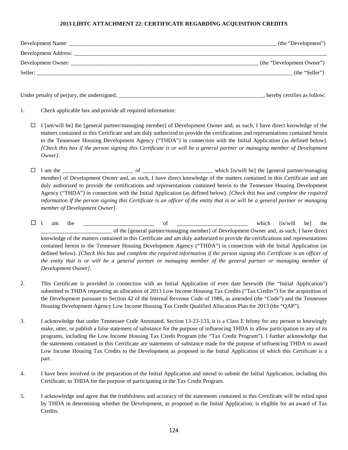#### **2013 LIHTC ATTACHMENT 22: CERTIFICATE REGARDING ACQUISITION CREDITS**

| Development Name: _     | (the "Development")       |
|-------------------------|---------------------------|
| Development Address: __ |                           |
|                         | (the "Development Owner") |
| Seller:                 | (the "Seller")            |
|                         |                           |

Under penalty of perjury, the undersigned, \_\_\_\_\_\_\_\_\_\_\_\_\_\_\_\_\_\_\_\_\_\_\_\_\_\_\_\_\_\_\_\_\_\_\_\_\_\_\_\_\_\_\_\_\_\_\_\_\_\_\_, hereby certifies as follow:

- 1. Check applicable box and provide all required information:
	- $\Box$  I [am/will be] the [general partner/managing member] of Development Owner and, as such, I have direct knowledge of the matters contained in this Certificate and am duly authorized to provide the certifications and representations contained herein to the Tennessee Housing Development Agency ("THDA") in connection with the Initial Application (as defined below). *[Check this box if the person signing this Certificate is or will be a general partner or managing member of Development Owner].*
	- I am the \_\_\_\_\_\_\_\_\_\_\_\_\_\_\_\_\_\_\_\_\_\_\_\_\_ of \_\_\_\_\_\_\_\_\_\_\_\_\_\_\_\_\_\_\_\_\_\_\_\_\_ which [is/will be] the [general partner/managing member] of Development Owner and, as such, I have direct knowledge of the matters contained in this Certificate and am duly authorized to provide the certifications and representations contained herein to the Tennessee Housing Development Agency ("THDA") in connection with the Initial Application (as defined below). *[Check this box and complete the required information if the person signing this Certificate is an officer of the entity that is or will be a general partner or managing member of Development Owner].*
	- $\square$  I am the  $\square$  is/will be the \_\_\_\_\_\_\_\_\_\_\_\_\_\_\_\_\_\_\_\_\_\_\_\_\_ of the [general partner/managing member] of Development Owner and, as such, I have direct knowledge of the matters contained in this Certificate and am duly authorized to provide the certifications and representations contained herein to the Tennessee Housing Development Agency ("THDA") in connection with the Initial Application (as defined below). *[Check this box and complete the required information if the person signing this Certificate is an officer of the entity that is or will be a general partner or managing member of the general partner or managing member of Development Owner].*
- 2. This Certificate is provided in connection with an Initial Application of even date herewith (the "Initial Application") submitted to THDA requesting an allocation of 2013 Low Income Housing Tax Credits ("Tax Credits") for the acquisition of the Development pursuant to Section 42 of the Internal Revenue Code of 1986, as amended (the "Code") and the Tennessee Housing Development Agency Low Income Housing Tax Credit Qualified Allocation Plan for 2013 (the "QAP").
- 3. I acknowledge that under Tennessee Code Annotated, Section 13-23-133, it is a Class E felony for any person to knowingly make, utter, or publish a false statement of substance for the purpose of influencing THDA to allow participation in any of its programs, including the Low Income Housing Tax Credit Program (the "Tax Credit Program"). I further acknowledge that the statements contained in this Certificate are statements of substance made for the purpose of influencing THDA to award Low Income Housing Tax Credits to the Development as proposed in the Initial Application of which this Certificate is a part.
- 4. I have been involved in the preparation of the Initial Application and intend to submit the Initial Application, including this Certificate, to THDA for the purpose of participating in the Tax Credit Program.
- 5. I acknowledge and agree that the truthfulness and accuracy of the statements contained in this Certificate will be relied upon by THDA in determining whether the Development, as proposed in the Initial Application, is eligible for an award of Tax Credits.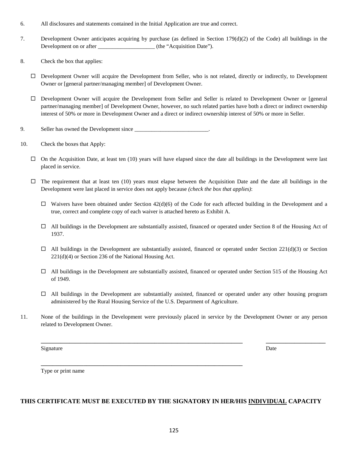- 6. All disclosures and statements contained in the Initial Application are true and correct.
- 7. Development Owner anticipates acquiring by purchase (as defined in Section 179(d)(2) of the Code) all buildings in the Development on or after  $(the "Acquisition Date").$
- 8. Check the box that applies:
	- $\Box$  Development Owner will acquire the Development from Seller, who is not related, directly or indirectly, to Development Owner or [general partner/managing member] of Development Owner.
	- Development Owner will acquire the Development from Seller and Seller is related to Development Owner or [general partner/managing member] of Development Owner, however, no such related parties have both a direct or indirect ownership interest of 50% or more in Development Owner and a direct or indirect ownership interest of 50% or more in Seller.
- 9. Seller has owned the Development since
- 10. Check the boxes that Apply:
	- $\Box$  On the Acquisition Date, at least ten (10) years will have elapsed since the date all buildings in the Development were last placed in service.
	- $\Box$  The requirement that at least ten (10) years must elapse between the Acquisition Date and the date all buildings in the Development were last placed in service does not apply because *(check the box that applies)*:
		- $\Box$  Waivers have been obtained under Section 42(d)(6) of the Code for each affected building in the Development and a true, correct and complete copy of each waiver is attached hereto as Exhibit A.
		- $\Box$  All buildings in the Development are substantially assisted, financed or operated under Section 8 of the Housing Act of 1937.
		- $\Box$  All buildings in the Development are substantially assisted, financed or operated under Section 221(d)(3) or Section 221(d)(4) or Section 236 of the National Housing Act.
		- $\Box$  All buildings in the Development are substantially assisted, financed or operated under Section 515 of the Housing Act of 1949.
		- $\Box$  All buildings in the Development are substantially assisted, financed or operated under any other housing program administered by the Rural Housing Service of the U.S. Department of Agriculture.

**\_\_\_\_\_\_\_\_\_\_\_\_\_\_\_\_\_\_\_\_\_\_\_\_\_\_\_\_\_\_\_\_\_\_\_\_\_\_\_\_\_\_\_\_\_\_\_\_\_\_\_\_\_\_\_\_\_\_\_\_\_\_\_\_\_\_\_\_\_\_\_ \_\_\_\_\_\_\_\_\_\_\_\_\_\_\_\_\_\_\_\_\_**

11. None of the buildings in the Development were previously placed in service by the Development Owner or any person related to Development Owner.

Signature Date Date of the Date of the United States of the Date of the Date of the Date of the Date of the Date of the Date of the Date of the Date of the Date of the Date of the Date of the Date of the Date of the United

Type or print name

## **THIS CERTIFICATE MUST BE EXECUTED BY THE SIGNATORY IN HER/HIS INDIVIDUAL CAPACITY**

**\_\_\_\_\_\_\_\_\_\_\_\_\_\_\_\_\_\_\_\_\_\_\_\_\_\_\_\_\_\_\_\_\_\_\_\_\_\_\_\_\_\_\_\_\_\_\_\_\_\_\_\_\_\_\_\_\_\_\_\_\_\_\_\_\_\_\_\_\_\_\_**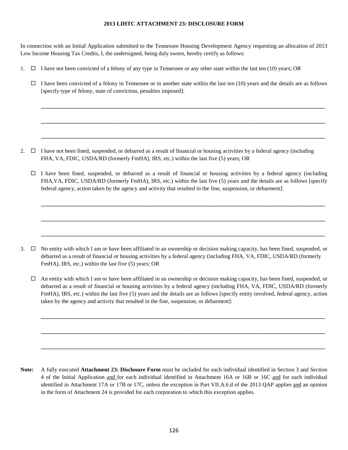#### **2013 LIHTC ATTACHMENT 23: DISCLOSURE FORM**

In connection with an Initial Application submitted to the Tennessee Housing Development Agency requesting an allocation of 2013 Low Income Housing Tax Credits, I, the undersigned, being duly sworn, hereby certify as follows:

- 1.  $\Box$  I have not been convicted of a felony of any type in Tennessee or any other state within the last ten (10) years; OR
	- $\Box$  I have been convicted of a felony in Tennessee or in another state within the last ten (10) years and the details are as follows [specify type of felony, state of conviction, penalties imposed]:

**\_\_\_\_\_\_\_\_\_\_\_\_\_\_\_\_\_\_\_\_\_\_\_\_\_\_\_\_\_\_\_\_\_\_\_\_\_\_\_\_\_\_\_\_\_\_\_\_\_\_\_\_\_\_\_\_\_\_\_\_\_\_\_\_\_\_\_\_\_\_\_\_\_\_\_\_\_\_\_\_\_\_\_\_\_\_\_\_\_\_\_\_\_\_\_\_\_\_\_\_**

**\_\_\_\_\_\_\_\_\_\_\_\_\_\_\_\_\_\_\_\_\_\_\_\_\_\_\_\_\_\_\_\_\_\_\_\_\_\_\_\_\_\_\_\_\_\_\_\_\_\_\_\_\_\_\_\_\_\_\_\_\_\_\_\_\_\_\_\_\_\_\_\_\_\_\_\_\_\_\_\_\_\_\_\_\_\_\_\_\_\_\_\_\_\_\_\_\_\_\_\_**

**\_\_\_\_\_\_\_\_\_\_\_\_\_\_\_\_\_\_\_\_\_\_\_\_\_\_\_\_\_\_\_\_\_\_\_\_\_\_\_\_\_\_\_\_\_\_\_\_\_\_\_\_\_\_\_\_\_\_\_\_\_\_\_\_\_\_\_\_\_\_\_\_\_\_\_\_\_\_\_\_\_\_\_\_\_\_\_\_\_\_\_\_\_\_\_\_\_\_\_\_**

- 2.  $\Box$  I have not been fined, suspended, or debarred as a result of financial or housing activities by a federal agency (including FHA, VA, FDIC, USDA/RD (formerly FmHA), IRS, etc.) within the last five (5) years; OR
	- $\Box$  I have been fined, suspended, or debarred as a result of financial or housing activities by a federal agency (including FHA,VA, FDIC, USDA/RD (formerly FmHA), IRS, etc.) within the last five (5) years and the details are as follows [specify federal agency, action taken by the agency and activity that resulted in the fine, suspension, or debarment]:

**\_\_\_\_\_\_\_\_\_\_\_\_\_\_\_\_\_\_\_\_\_\_\_\_\_\_\_\_\_\_\_\_\_\_\_\_\_\_\_\_\_\_\_\_\_\_\_\_\_\_\_\_\_\_\_\_\_\_\_\_\_\_\_\_\_\_\_\_\_\_\_\_\_\_\_\_\_\_\_\_\_\_\_\_\_\_\_\_\_\_\_\_\_\_\_\_\_\_\_\_**

**\_\_\_\_\_\_\_\_\_\_\_\_\_\_\_\_\_\_\_\_\_\_\_\_\_\_\_\_\_\_\_\_\_\_\_\_\_\_\_\_\_\_\_\_\_\_\_\_\_\_\_\_\_\_\_\_\_\_\_\_\_\_\_\_\_\_\_\_\_\_\_\_\_\_\_\_\_\_\_\_\_\_\_\_\_\_\_\_\_\_\_\_\_\_\_\_\_\_\_\_**

**\_\_\_\_\_\_\_\_\_\_\_\_\_\_\_\_\_\_\_\_\_\_\_\_\_\_\_\_\_\_\_\_\_\_\_\_\_\_\_\_\_\_\_\_\_\_\_\_\_\_\_\_\_\_\_\_\_\_\_\_\_\_\_\_\_\_\_\_\_\_\_\_\_\_\_\_\_\_\_\_\_\_\_\_\_\_\_\_\_\_\_\_\_\_\_\_\_\_\_\_**

- 3.  $\Box$  No entity with which I am or have been affiliated in an ownership or decision making capacity, has been fined, suspended, or debarred as a result of financial or housing activities by a federal agency (including FHA, VA, FDIC, USDA/RD (formerly FmHA), IRS, etc.) within the last five (5) years; OR
	- $\Box$  An entity with which I am or have been affiliated in an ownership or decision making capacity, has been fined, suspended, or debarred as a result of financial or housing activities by a federal agency (including FHA, VA, FDIC, USDA/RD (formerly FmHA), IRS, etc.) within the last five (5) years and the details are as follows [specify entity involved, federal agency, action taken by the agency and activity that resulted in the fine, suspension, or debarment]:

**\_\_\_\_\_\_\_\_\_\_\_\_\_\_\_\_\_\_\_\_\_\_\_\_\_\_\_\_\_\_\_\_\_\_\_\_\_\_\_\_\_\_\_\_\_\_\_\_\_\_\_\_\_\_\_\_\_\_\_\_\_\_\_\_\_\_\_\_\_\_\_\_\_\_\_\_\_\_\_\_\_\_\_\_\_\_\_\_\_\_\_\_\_\_\_\_\_\_\_\_**

**\_\_\_\_\_\_\_\_\_\_\_\_\_\_\_\_\_\_\_\_\_\_\_\_\_\_\_\_\_\_\_\_\_\_\_\_\_\_\_\_\_\_\_\_\_\_\_\_\_\_\_\_\_\_\_\_\_\_\_\_\_\_\_\_\_\_\_\_\_\_\_\_\_\_\_\_\_\_\_\_\_\_\_\_\_\_\_\_\_\_\_\_\_\_\_\_\_\_\_\_**

**\_\_\_\_\_\_\_\_\_\_\_\_\_\_\_\_\_\_\_\_\_\_\_\_\_\_\_\_\_\_\_\_\_\_\_\_\_\_\_\_\_\_\_\_\_\_\_\_\_\_\_\_\_\_\_\_\_\_\_\_\_\_\_\_\_\_\_\_\_\_\_\_\_\_\_\_\_\_\_\_\_\_\_\_\_\_\_\_\_\_\_\_\_\_\_\_\_\_\_\_**

**Note:** A fully executed **Attachment 23: Disclosure Form** must be included for each individual identified in Section 3 and Section 4 of the Initial Application and for each individual identified in Attachment 16A or 16B or 16C and for each individual identified in Attachment 17A or 17B or 17C, unless the exception in Part VII.A.6.d of the 2013 QAP applies and an opinion in the form of Attachment 24 is provided for each corporation to which this exception applies.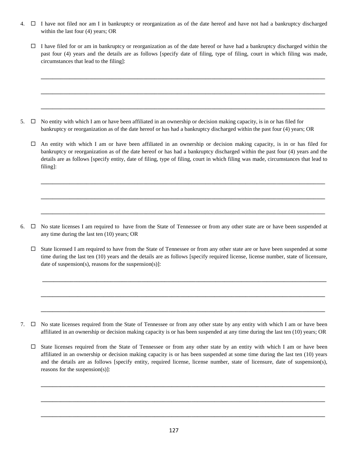- 4.  $\Box$  I have not filed nor am I in bankruptcy or reorganization as of the date hereof and have not had a bankruptcy discharged within the last four (4) years; OR
	- $\Box$  I have filed for or am in bankruptcy or reorganization as of the date hereof or have had a bankruptcy discharged within the past four (4) years and the details are as follows [specify date of filing, type of filing, court in which filing was made, circumstances that lead to the filing]:

**\_\_\_\_\_\_\_\_\_\_\_\_\_\_\_\_\_\_\_\_\_\_\_\_\_\_\_\_\_\_\_\_\_\_\_\_\_\_\_\_\_\_\_\_\_\_\_\_\_\_\_\_\_\_\_\_\_\_\_\_\_\_\_\_\_\_\_\_\_\_\_\_\_\_\_\_\_\_\_\_\_\_\_\_\_\_\_\_\_\_\_\_\_\_\_\_\_\_\_\_**

**\_\_\_\_\_\_\_\_\_\_\_\_\_\_\_\_\_\_\_\_\_\_\_\_\_\_\_\_\_\_\_\_\_\_\_\_\_\_\_\_\_\_\_\_\_\_\_\_\_\_\_\_\_\_\_\_\_\_\_\_\_\_\_\_\_\_\_\_\_\_\_\_\_\_\_\_\_\_\_\_\_\_\_\_\_\_\_\_\_\_\_\_\_\_\_\_\_\_\_\_**

**\_\_\_\_\_\_\_\_\_\_\_\_\_\_\_\_\_\_\_\_\_\_\_\_\_\_\_\_\_\_\_\_\_\_\_\_\_\_\_\_\_\_\_\_\_\_\_\_\_\_\_\_\_\_\_\_\_\_\_\_\_\_\_\_\_\_\_\_\_\_\_\_\_\_\_\_\_\_\_\_\_\_\_\_\_\_\_\_\_\_\_\_\_\_\_\_\_\_\_\_**

5.  $\Box$  No entity with which I am or have been affiliated in an ownership or decision making capacity, is in or has filed for bankruptcy or reorganization as of the date hereof or has had a bankruptcy discharged within the past four (4) years; OR

 $\Box$  An entity with which I am or have been affiliated in an ownership or decision making capacity, is in or has filed for bankruptcy or reorganization as of the date hereof or has had a bankruptcy discharged within the past four (4) years and the details are as follows [specify entity, date of filing, type of filing, court in which filing was made, circumstances that lead to filing]:

**\_\_\_\_\_\_\_\_\_\_\_\_\_\_\_\_\_\_\_\_\_\_\_\_\_\_\_\_\_\_\_\_\_\_\_\_\_\_\_\_\_\_\_\_\_\_\_\_\_\_\_\_\_\_\_\_\_\_\_\_\_\_\_\_\_\_\_\_\_\_\_\_\_\_\_\_\_\_\_\_\_\_\_\_\_\_\_\_\_\_\_\_\_\_\_\_\_\_\_\_**

**\_\_\_\_\_\_\_\_\_\_\_\_\_\_\_\_\_\_\_\_\_\_\_\_\_\_\_\_\_\_\_\_\_\_\_\_\_\_\_\_\_\_\_\_\_\_\_\_\_\_\_\_\_\_\_\_\_\_\_\_\_\_\_\_\_\_\_\_\_\_\_\_\_\_\_\_\_\_\_\_\_\_\_\_\_\_\_\_\_\_\_\_\_\_\_\_\_\_\_\_**

**\_\_\_\_\_\_\_\_\_\_\_\_\_\_\_\_\_\_\_\_\_\_\_\_\_\_\_\_\_\_\_\_\_\_\_\_\_\_\_\_\_\_\_\_\_\_\_\_\_\_\_\_\_\_\_\_\_\_\_\_\_\_\_\_\_\_\_\_\_\_\_\_\_\_\_\_\_\_\_\_\_\_\_\_\_\_\_\_\_\_\_\_\_\_\_\_\_\_\_\_**

6.  $\Box$  No state licenses I am required to have from the State of Tennessee or from any other state are or have been suspended at any time during the last ten (10) years; OR

 $\Box$  State licensed I am required to have from the State of Tennessee or from any other state are or have been suspended at some time during the last ten (10) years and the details are as follows [specify required license, license number, state of licensure, date of suspension(s), reasons for the suspension(s)]:

**\_\_\_\_\_\_\_\_\_\_\_\_\_\_\_\_\_\_\_\_\_\_\_\_\_\_\_\_\_\_\_\_\_\_\_\_\_\_\_\_\_\_\_\_\_\_\_\_\_\_\_\_\_\_\_\_\_\_\_\_\_\_\_\_\_\_\_\_\_\_\_\_\_\_\_\_\_\_\_\_\_\_\_\_\_\_\_\_\_\_\_\_\_\_\_\_\_\_\_\_**

**\_\_\_\_\_\_\_\_\_\_\_\_\_\_\_\_\_\_\_\_\_\_\_\_\_\_\_\_\_\_\_\_\_\_\_\_\_\_\_\_\_\_\_\_\_\_\_\_\_\_\_\_\_\_\_\_\_\_\_\_\_\_\_\_\_\_\_\_\_\_\_\_\_\_\_\_\_\_\_\_\_\_\_\_\_\_\_\_\_\_\_\_\_\_\_\_\_\_\_\_**

**\_\_\_\_\_\_\_\_\_\_\_\_\_\_\_\_\_\_\_\_\_\_\_\_\_\_\_\_\_\_\_\_\_\_\_\_\_\_\_\_\_\_\_\_\_\_\_\_\_\_\_\_\_\_\_\_\_\_\_\_\_\_\_\_\_\_\_\_\_\_\_\_\_\_\_\_\_\_\_\_\_\_\_\_\_\_\_\_\_\_\_\_\_\_\_\_\_\_\_\_**

- 7.  $\Box$  No state licenses required from the State of Tennessee or from any other state by any entity with which I am or have been affiliated in an ownership or decision making capacity is or has been suspended at any time during the last ten (10) years; OR
	- $\Box$  State licenses required from the State of Tennessee or from any other state by an entity with which I am or have been affiliated in an ownership or decision making capacity is or has been suspended at some time during the last ten (10) years and the details are as follows [specify entity, required license, license number, state of licensure, date of suspension(s), reasons for the suspension(s)]:

**\_\_\_\_\_\_\_\_\_\_\_\_\_\_\_\_\_\_\_\_\_\_\_\_\_\_\_\_\_\_\_\_\_\_\_\_\_\_\_\_\_\_\_\_\_\_\_\_\_\_\_\_\_\_\_\_\_\_\_\_\_\_\_\_\_\_\_\_\_\_\_\_\_\_\_\_\_\_\_\_\_\_\_\_\_\_\_\_\_\_\_\_\_\_\_\_\_\_\_\_**

**\_\_\_\_\_\_\_\_\_\_\_\_\_\_\_\_\_\_\_\_\_\_\_\_\_\_\_\_\_\_\_\_\_\_\_\_\_\_\_\_\_\_\_\_\_\_\_\_\_\_\_\_\_\_\_\_\_\_\_\_\_\_\_\_\_\_\_\_\_\_\_\_\_\_\_\_\_\_\_\_\_\_\_\_\_\_\_\_\_\_\_\_\_\_\_\_\_\_\_\_**

**\_\_\_\_\_\_\_\_\_\_\_\_\_\_\_\_\_\_\_\_\_\_\_\_\_\_\_\_\_\_\_\_\_\_\_\_\_\_\_\_\_\_\_\_\_\_\_\_\_\_\_\_\_\_\_\_\_\_\_\_\_\_\_\_\_\_\_\_\_\_\_\_\_\_\_\_\_\_\_\_\_\_\_\_\_\_\_\_\_\_\_\_\_\_\_\_\_\_\_\_**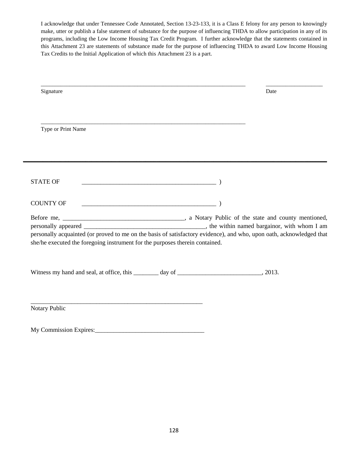I acknowledge that under Tennessee Code Annotated, Section 13-23-133, it is a Class E felony for any person to knowingly make, utter or publish a false statement of substance for the purpose of influencing THDA to allow participation in any of its programs, including the Low Income Housing Tax Credit Program. I further acknowledge that the statements contained in this Attachment 23 are statements of substance made for the purpose of influencing THDA to award Low Income Housing Tax Credits to the Initial Application of which this Attachment 23 is a part.

| Signature                                                                                                            |                                                       | Date |
|----------------------------------------------------------------------------------------------------------------------|-------------------------------------------------------|------|
|                                                                                                                      |                                                       |      |
| Type or Print Name                                                                                                   |                                                       |      |
|                                                                                                                      |                                                       |      |
| <b>STATE OF</b>                                                                                                      | $\overline{\phantom{a}}$ ( $\overline{\phantom{a}}$ ) |      |
| <b>COUNTY OF</b>                                                                                                     |                                                       |      |
| personally acquainted (or proved to me on the basis of satisfactory evidence), and who, upon oath, acknowledged that |                                                       |      |
| she/he executed the foregoing instrument for the purposes therein contained.                                         |                                                       |      |
|                                                                                                                      |                                                       |      |
|                                                                                                                      |                                                       |      |
| Notary Public                                                                                                        |                                                       |      |

My Commission Expires:\_\_\_\_\_\_\_\_\_\_\_\_\_\_\_\_\_\_\_\_\_\_\_\_\_\_\_\_\_\_\_\_\_\_\_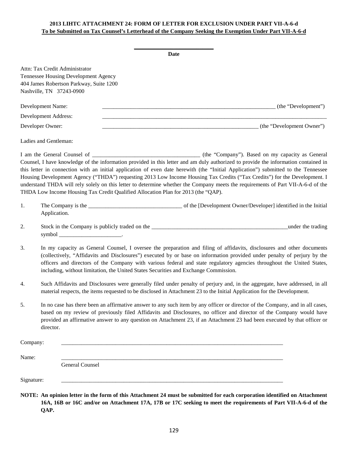## **2013 LIHTC ATTACHMENT 24: FORM OF LETTER FOR EXCLUSION UNDER PART VII-A-6-d To be Submitted on Tax Counsel's Letterhead of the Company Seeking the Exemption Under Part VII-A-6-d**

|            |                             |                                                                                                                                               |                                                                                                                                                                                                                                                                                                                                                                                                                                                                                                                                                                                                                                 | Date |                           |  |  |
|------------|-----------------------------|-----------------------------------------------------------------------------------------------------------------------------------------------|---------------------------------------------------------------------------------------------------------------------------------------------------------------------------------------------------------------------------------------------------------------------------------------------------------------------------------------------------------------------------------------------------------------------------------------------------------------------------------------------------------------------------------------------------------------------------------------------------------------------------------|------|---------------------------|--|--|
|            |                             | Attn: Tax Credit Administrator<br>Tennessee Housing Development Agency<br>404 James Robertson Parkway, Suite 1200<br>Nashville, TN 37243-0900 |                                                                                                                                                                                                                                                                                                                                                                                                                                                                                                                                                                                                                                 |      |                           |  |  |
|            | Development Name:           |                                                                                                                                               | (the "Development") (the "Development")                                                                                                                                                                                                                                                                                                                                                                                                                                                                                                                                                                                         |      |                           |  |  |
|            | <b>Development Address:</b> |                                                                                                                                               |                                                                                                                                                                                                                                                                                                                                                                                                                                                                                                                                                                                                                                 |      |                           |  |  |
|            | Developer Owner:            |                                                                                                                                               |                                                                                                                                                                                                                                                                                                                                                                                                                                                                                                                                                                                                                                 |      | (the "Development Owner") |  |  |
|            | Ladies and Gentleman:       |                                                                                                                                               |                                                                                                                                                                                                                                                                                                                                                                                                                                                                                                                                                                                                                                 |      |                           |  |  |
|            |                             |                                                                                                                                               | Counsel, I have knowledge of the information provided in this letter and am duly authorized to provide the information contained in<br>this letter in connection with an initial application of even date herewith (the "Initial Application") submitted to the Tennessee<br>Housing Development Agency ("THDA") requesting 2013 Low Income Housing Tax Credits ("Tax Credits") for the Development. I<br>understand THDA will rely solely on this letter to determine whether the Company meets the requirements of Part VII-A-6-d of the<br>THDA Low Income Housing Tax Credit Qualified Allocation Plan for 2013 (the "QAP). |      |                           |  |  |
| 1.         | Application.                |                                                                                                                                               |                                                                                                                                                                                                                                                                                                                                                                                                                                                                                                                                                                                                                                 |      |                           |  |  |
| 2.         |                             |                                                                                                                                               |                                                                                                                                                                                                                                                                                                                                                                                                                                                                                                                                                                                                                                 |      |                           |  |  |
| 3.         |                             |                                                                                                                                               | In my capacity as General Counsel, I oversee the preparation and filing of affidavits, disclosures and other documents<br>(collectively, "Affidavits and Disclosures") executed by or base on information provided under penalty of perjury by the<br>officers and directors of the Company with various federal and state regulatory agencies throughout the United States,<br>including, without limitation, the United States Securities and Exchange Commission.                                                                                                                                                            |      |                           |  |  |
| 4.         |                             |                                                                                                                                               | Such Affidavits and Disclosures were generally filed under penalty of perjury and, in the aggregate, have addressed, in all<br>material respects, the items requested to be disclosed in Attachment 23 to the Initial Application for the Development.                                                                                                                                                                                                                                                                                                                                                                          |      |                           |  |  |
| 5.         | director.                   |                                                                                                                                               | In no case has there been an affirmative answer to any such item by any officer or director of the Company, and in all cases,<br>based on my review of previously filed Affidavits and Disclosures, no officer and director of the Company would have<br>provided an affirmative answer to any question on Attachment 23, if an Attachment 23 had been executed by that officer or                                                                                                                                                                                                                                              |      |                           |  |  |
| Company:   |                             |                                                                                                                                               |                                                                                                                                                                                                                                                                                                                                                                                                                                                                                                                                                                                                                                 |      |                           |  |  |
| Name:      |                             |                                                                                                                                               |                                                                                                                                                                                                                                                                                                                                                                                                                                                                                                                                                                                                                                 |      |                           |  |  |
|            |                             | General Counsel                                                                                                                               |                                                                                                                                                                                                                                                                                                                                                                                                                                                                                                                                                                                                                                 |      |                           |  |  |
| Signature: |                             |                                                                                                                                               |                                                                                                                                                                                                                                                                                                                                                                                                                                                                                                                                                                                                                                 |      |                           |  |  |
|            |                             |                                                                                                                                               | NOTE: An opinion letter in the form of this Attachment 24 must be submitted for each corporation identified on Attachment<br>16A, 16B or 16C and/or on Attachment 17A, 17B or 17C seeking to meet the requirements of Part VII-A-6-d of the                                                                                                                                                                                                                                                                                                                                                                                     |      |                           |  |  |

**QAP.**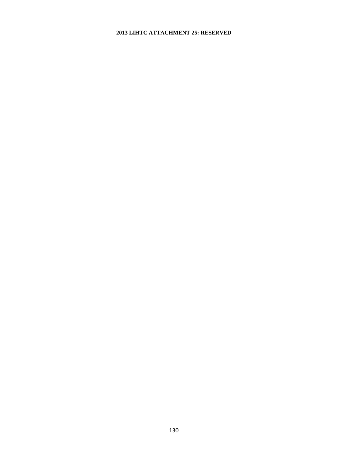#### **2013 LIHTC ATTACHMENT 25: RESERVED**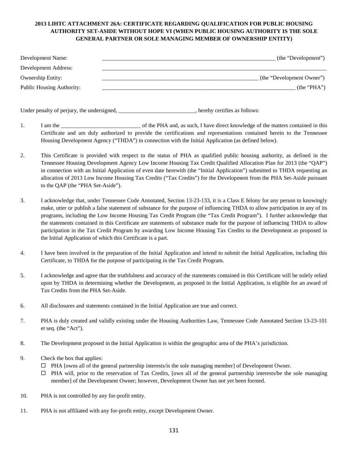### **2013 LIHTC ATTACHMENT 26A: CERTIFICATE REGARDING QUALIFICATION FOR PUBLIC HOUSING AUTHORITY SET-ASIDE WITHOUT HOPE VI (WHEN PUBLIC HOUSING AUTHORITY IS THE SOLE GENERAL PARTNER OR SOLE MANAGING MEMBER OF OWNERSHIP ENTITY)**

| Development Name:                | (the "Development")       |
|----------------------------------|---------------------------|
| Development Address:             |                           |
| <b>Ownership Entity:</b>         | (the "Development Owner") |
| <b>Public Housing Authority:</b> | (the "PHA")               |
|                                  |                           |

Under penalty of perjury, the undersigned, the same state of the state of the state of perjury, the undersigned,

- 1. I am the **IME and A am the Separate of the PHA** and, as such, I have direct knowledge of the matters contained in this Certificate and am duly authorized to provide the certifications and representations contained herein to the Tennessee Housing Development Agency ("THDA") in connection with the Initial Application (as defined below).
- 2. This Certificate is provided with respect to the status of PHA as qualified public housing authority, as defined in the Tennessee Housing Development Agency Low Income Housing Tax Credit Qualified Allocation Plan for 2013 (the "QAP") in connection with an Initial Application of even date herewith (the "Initial Application") submitted to THDA requesting an allocation of 2013 Low Income Housing Tax Credits ("Tax Credits") for the Development from the PHA Set-Aside pursuant to the QAP (the "PHA Set-Aside").
- 3. I acknowledge that, under Tennessee Code Annotated, Section 13-23-133, it is a Class E felony for any person to knowingly make, utter or publish a false statement of substance for the purpose of influencing THDA to allow participation in any of its programs, including the Low Income Housing Tax Credit Program (the "Tax Credit Program"). I further acknowledge that the statements contained in this Certificate are statements of substance made for the purpose of influencing THDA to allow participation in the Tax Credit Program by awarding Low Income Housing Tax Credits to the Development as proposed in the Initial Application of which this Certificate is a part.
- 4. I have been involved in the preparation of the Initial Application and intend to submit the Initial Application, including this Certificate, to THDA for the purpose of participating in the Tax Credit Program.
- 5. I acknowledge and agree that the truthfulness and accuracy of the statements contained in this Certificate will be solely relied upon by THDA in determining whether the Development, as proposed in the Initial Application, is eligible for an award of Tax Credits from the PHA Set-Aside.
- 6. All disclosures and statements contained in the Initial Application are true and correct.
- 7. PHA is duly created and validly existing under the Housing Authorities Law, Tennessee Code Annotated Section 13-23-101 et seq. (the "Act").
- 8. The Development proposed in the Initial Application is within the geographic area of the PHA's jurisdiction.
- 9. Check the box that applies:
	- $\Box$  PHA [owns all of the general partnership interests/is the sole managing member] of Development Owner.
	- $\Box$  PHA will, prior to the reservation of Tax Credits, [own all of the general partnership interests/be the sole managing member] of the Development Owner; however, Development Owner has not yet been formed.
- 10. PHA is not controlled by any for-profit entity.
- 11. PHA is not affiliated with any for-profit entity, except Development Owner.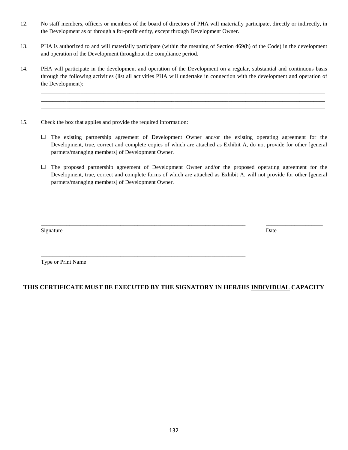- 12. No staff members, officers or members of the board of directors of PHA will materially participate, directly or indirectly, in the Development as or through a for-profit entity, except through Development Owner.
- 13. PHA is authorized to and will materially participate (within the meaning of Section 469(h) of the Code) in the development and operation of the Development throughout the compliance period.
- 14. PHA will participate in the development and operation of the Development on a regular, substantial and continuous basis through the following activities (list all activities PHA will undertake in connection with the development and operation of the Development):

**\_\_\_\_\_\_\_\_\_\_\_\_\_\_\_\_\_\_\_\_\_\_\_\_\_\_\_\_\_\_\_\_\_\_\_\_\_\_\_\_\_\_\_\_\_\_\_\_\_\_\_\_\_\_\_\_\_\_\_\_\_\_\_\_\_\_\_\_\_\_\_\_\_\_\_\_\_\_\_\_\_\_\_\_\_\_\_\_\_\_\_\_\_\_\_\_\_\_\_\_ \_\_\_\_\_\_\_\_\_\_\_\_\_\_\_\_\_\_\_\_\_\_\_\_\_\_\_\_\_\_\_\_\_\_\_\_\_\_\_\_\_\_\_\_\_\_\_\_\_\_\_\_\_\_\_\_\_\_\_\_\_\_\_\_\_\_\_\_\_\_\_\_\_\_\_\_\_\_\_\_\_\_\_\_\_\_\_\_\_\_\_\_\_\_\_\_\_\_\_\_ \_\_\_\_\_\_\_\_\_\_\_\_\_\_\_\_\_\_\_\_\_\_\_\_\_\_\_\_\_\_\_\_\_\_\_\_\_\_\_\_\_\_\_\_\_\_\_\_\_\_\_\_\_\_\_\_\_\_\_\_\_\_\_\_\_\_\_\_\_\_\_\_\_\_\_\_\_\_\_\_\_\_\_\_\_\_\_\_\_\_\_\_\_\_\_\_\_\_\_\_**

- 15. Check the box that applies and provide the required information:
	- $\Box$  The existing partnership agreement of Development Owner and/or the existing operating agreement for the Development, true, correct and complete copies of which are attached as Exhibit A, do not provide for other [general partners/managing members] of Development Owner.
	- $\Box$  The proposed partnership agreement of Development Owner and/or the proposed operating agreement for the Development, true, correct and complete forms of which are attached as Exhibit A, will not provide for other [general partners/managing members] of Development Owner.

\_\_\_\_\_\_\_\_\_\_\_\_\_\_\_\_\_\_\_\_\_\_\_\_\_\_\_\_\_\_\_\_\_\_\_\_\_\_\_\_\_\_\_\_\_\_\_\_\_\_\_\_\_\_\_\_\_\_\_\_\_\_\_\_\_\_\_\_\_\_\_\_ \_\_\_\_\_\_\_\_\_\_\_\_\_\_\_\_\_\_\_\_

Signature Date Date of the Date of the United States of the Date of the Date of the Date of the Date of the Date of the Date of the Date of the Date of the Date of the Date of the Date of the Date of the Date of the United

Type or Print Name

## **THIS CERTIFICATE MUST BE EXECUTED BY THE SIGNATORY IN HER/HIS INDIVIDUAL CAPACITY**

\_\_\_\_\_\_\_\_\_\_\_\_\_\_\_\_\_\_\_\_\_\_\_\_\_\_\_\_\_\_\_\_\_\_\_\_\_\_\_\_\_\_\_\_\_\_\_\_\_\_\_\_\_\_\_\_\_\_\_\_\_\_\_\_\_\_\_\_\_\_\_\_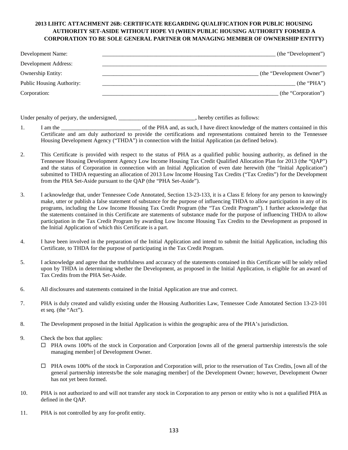### **2013 LIHTC ATTACHMENT 26B: CERTIFICATE REGARDING QUALIFICATION FOR PUBLIC HOUSING AUTHORITY SET-ASIDE WITHOUT HOPE VI (WHEN PUBLIC HOUSING AUTHORITY FORMED A CORPORATION TO BE SOLE GENERAL PARTNER OR MANAGING MEMBER OF OWNERSHIP ENTITY)**

| Development Name:         | (the "Development")       |
|---------------------------|---------------------------|
| Development Address:      |                           |
| <b>Ownership Entity:</b>  | (the "Development Owner") |
| Public Housing Authority: | (the "PHA")               |
| Corporation:              | (the "Corporation")       |

Under penalty of perjury, the undersigned, \_\_\_\_\_\_\_\_\_\_\_\_\_\_\_\_\_\_\_\_\_\_\_\_, hereby certifies as follows:

- 1. I am the the same of the PHA and, as such, I have direct knowledge of the matters contained in this Certificate and am duly authorized to provide the certifications and representations contained herein to the Tennessee Housing Development Agency ("THDA") in connection with the Initial Application (as defined below).
- 2. This Certificate is provided with respect to the status of PHA as a qualified public housing authority, as defined in the Tennessee Housing Development Agency Low Income Housing Tax Credit Qualified Allocation Plan for 2013 (the "QAP") and the status of Corporation in connection with an Initial Application of even date herewith (the "Initial Application") submitted to THDA requesting an allocation of 2013 Low Income Housing Tax Credits ("Tax Credits") for the Development from the PHA Set-Aside pursuant to the QAP (the "PHA Set-Aside").
- 3. I acknowledge that, under Tennessee Code Annotated, Section 13-23-133, it is a Class E felony for any person to knowingly make, utter or publish a false statement of substance for the purpose of influencing THDA to allow participation in any of its programs, including the Low Income Housing Tax Credit Program (the "Tax Credit Program"). I further acknowledge that the statements contained in this Certificate are statements of substance made for the purpose of influencing THDA to allow participation in the Tax Credit Program by awarding Low Income Housing Tax Credits to the Development as proposed in the Initial Application of which this Certificate is a part.
- 4. I have been involved in the preparation of the Initial Application and intend to submit the Initial Application, including this Certificate, to THDA for the purpose of participating in the Tax Credit Program.
- 5. I acknowledge and agree that the truthfulness and accuracy of the statements contained in this Certificate will be solely relied upon by THDA in determining whether the Development, as proposed in the Initial Application, is eligible for an award of Tax Credits from the PHA Set-Aside.
- 6. All disclosures and statements contained in the Initial Application are true and correct.
- 7. PHA is duly created and validly existing under the Housing Authorities Law, Tennessee Code Annotated Section 13-23-101 et seq. (the "Act").
- 8. The Development proposed in the Initial Application is within the geographic area of the PHA's jurisdiction.
- 9. Check the box that applies:
	- PHA owns 100% of the stock in Corporation and Corporation [owns all of the general partnership interests/is the sole managing member] of Development Owner.
	- $\Box$  PHA owns 100% of the stock in Corporation and Corporation will, prior to the reservation of Tax Credits, [own all of the general partnership interests/be the sole managing member] of the Development Owner; however, Development Owner has not yet been formed.
- 10. PHA is not authorized to and will not transfer any stock in Corporation to any person or entity who is not a qualified PHA as defined in the QAP.
- 11. PHA is not controlled by any for-profit entity.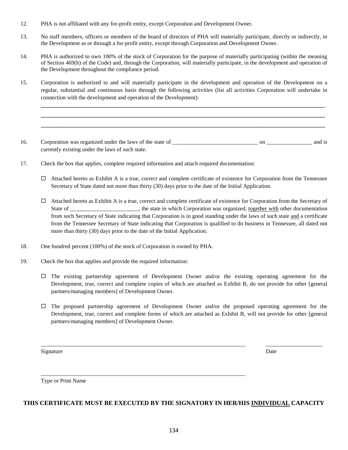- 12. PHA is not affiliated with any for-profit entity, except Corporation and Development Owner.
- 13. No staff members, officers or members of the board of directors of PHA will materially participate, directly or indirectly, in the Development as or through a for-profit entity, except through Corporation and Development Owner.
- 14. PHA is authorized to own 100% of the stock of Corporation for the purpose of materially participating (within the meaning of Section 469(h) of the Code) and, through the Corporation, will materially participate, in the development and operation of the Development throughout the compliance period.
- 15. Corporation is authorized to and will materially participate in the development and operation of the Development on a regular, substantial and continuous basis through the following activities (list all activities Corporation will undertake in connection with the development and operation of the Development):

**\_\_\_\_\_\_\_\_\_\_\_\_\_\_\_\_\_\_\_\_\_\_\_\_\_\_\_\_\_\_\_\_\_\_\_\_\_\_\_\_\_\_\_\_\_\_\_\_\_\_\_\_\_\_\_\_\_\_\_\_\_\_\_\_\_\_\_\_\_\_\_\_\_\_\_\_\_\_\_\_\_\_\_\_\_\_\_\_\_\_\_\_\_\_\_\_\_\_\_\_ \_\_\_\_\_\_\_\_\_\_\_\_\_\_\_\_\_\_\_\_\_\_\_\_\_\_\_\_\_\_\_\_\_\_\_\_\_\_\_\_\_\_\_\_\_\_\_\_\_\_\_\_\_\_\_\_\_\_\_\_\_\_\_\_\_\_\_\_\_\_\_\_\_\_\_\_\_\_\_\_\_\_\_\_\_\_\_\_\_\_\_\_\_\_\_\_\_\_\_\_ \_\_\_\_\_\_\_\_\_\_\_\_\_\_\_\_\_\_\_\_\_\_\_\_\_\_\_\_\_\_\_\_\_\_\_\_\_\_\_\_\_\_\_\_\_\_\_\_\_\_\_\_\_\_\_\_\_\_\_\_\_\_\_\_\_\_\_\_\_\_\_\_\_\_\_\_\_\_\_\_\_\_\_\_\_\_\_\_\_\_\_\_\_\_\_\_\_\_\_\_**

- 16. Corporation was organized under the laws of the state of \_\_\_\_\_\_\_\_\_\_\_\_\_\_\_\_\_\_\_\_\_\_\_\_\_\_\_\_\_\_ on \_\_\_\_\_\_\_\_\_\_\_\_\_\_\_\_ and is currently existing under the laws of such state.
- 17. Check the box that applies, complete required information and attach required documentation:
	- $\Box$  Attached hereto as Exhibit A is a true, correct and complete certificate of existence for Corporation from the Tennessee Secretary of State dated not more than thirty (30) days prior to the date of the Initial Application.
	- $\Box$  Attached hereto as Exhibit A is a true, correct and complete certificate of existence for Corporation from the Secretary of State of \_\_\_\_\_\_\_\_\_\_\_\_\_\_\_\_\_\_\_\_, the state in which Corporation was organized, <u>together with</u> other documentation from such Secretary of State indicating that Corporation is in good standing under the laws of such state and a certificate from the Tennessee Secretary of State indicating that Corporation is qualified to do business in Tennessee, all dated not more than thirty (30) days prior to the date of the Initial Application.
- 18. One hundred percent (100%) of the stock of Corporation is owned by PHA.
- 19. Check the box that applies and provide the required information:
	- $\Box$  The existing partnership agreement of Development Owner and/or the existing operating agreement for the Development, true, correct and complete copies of which are attached as Exhibit B, do not provide for other [general partners/managing members] of Development Owner.
	- The proposed partnership agreement of Development Owner and/or the proposed operating agreement for the Development, true, correct and complete forms of which are attached as Exhibit B, will not provide for other [general partners/managing members] of Development Owner.

\_\_\_\_\_\_\_\_\_\_\_\_\_\_\_\_\_\_\_\_\_\_\_\_\_\_\_\_\_\_\_\_\_\_\_\_\_\_\_\_\_\_\_\_\_\_\_\_\_\_\_\_\_\_\_\_\_\_\_\_\_\_\_\_\_\_\_\_\_\_\_\_ \_\_\_\_\_\_\_\_\_\_\_\_\_\_\_\_\_\_\_\_

Signature Date Date of the Date of the United States of the Date of the Date of the Date of the Date of the Date of the Date of the Date of the Date of the Date of the Date of the Date of the Date of the Date of the United

Type or Print Name

#### **THIS CERTIFICATE MUST BE EXECUTED BY THE SIGNATORY IN HER/HIS INDIVIDUAL CAPACITY**

\_\_\_\_\_\_\_\_\_\_\_\_\_\_\_\_\_\_\_\_\_\_\_\_\_\_\_\_\_\_\_\_\_\_\_\_\_\_\_\_\_\_\_\_\_\_\_\_\_\_\_\_\_\_\_\_\_\_\_\_\_\_\_\_\_\_\_\_\_\_\_\_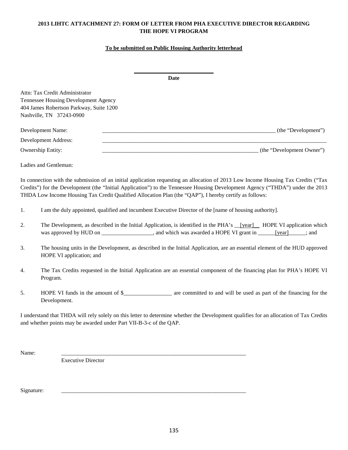### **2013 LIHTC ATTACHMENT 27: FORM OF LETTER FROM PHA EXECUTIVE DIRECTOR REGARDING THE HOPE VI PROGRAM**

#### **To be submitted on Public Housing Authority letterhead**

| Date                                                                                                                                                                                                                                                                 |                           |
|----------------------------------------------------------------------------------------------------------------------------------------------------------------------------------------------------------------------------------------------------------------------|---------------------------|
| Attn: Tax Credit Administrator                                                                                                                                                                                                                                       |                           |
| Tennessee Housing Development Agency                                                                                                                                                                                                                                 |                           |
| 404 James Robertson Parkway, Suite 1200                                                                                                                                                                                                                              |                           |
| Nashville, TN 37243-0900                                                                                                                                                                                                                                             |                           |
| Development Name:                                                                                                                                                                                                                                                    | (the "Development")       |
| Development Address:                                                                                                                                                                                                                                                 |                           |
| <b>Ownership Entity:</b>                                                                                                                                                                                                                                             | (the "Development Owner") |
| Ladies and Gentleman:                                                                                                                                                                                                                                                |                           |
| In connection with the submission of an initial application requesting an allocation of 2013 Low Income Housing Tax Credits ("Tax")<br>Credits") for the Development (the "Initial Application") to the Tennessee Housing Development Agency ("THDA") under the 2013 |                           |

THDA Low Income Housing Tax Credit Qualified Allocation Plan (the "QAP"), I hereby certify as follows:

- 1. I am the duly appointed, qualified and incumbent Executive Director of the [name of housing authority].
- 2. The Development, as described in the Initial Application, is identified in the PHA's \_\_[year]\_\_\_ HOPE VI application which was approved by HUD on \_\_\_\_\_\_\_\_\_\_\_\_, and which was awarded a HOPE VI grant in \_\_\_\_\_\_\_\_\_; and
- 3. The housing units in the Development, as described in the Initial Application, are an essential element of the HUD approved HOPE VI application; and
- 4. The Tax Credits requested in the Initial Application are an essential component of the financing plan for PHA's HOPE VI Program.
- 5. HOPE VI funds in the amount of \$\_\_\_\_\_\_\_\_\_\_\_\_\_\_\_\_\_ are committed to and will be used as part of the financing for the Development.

I understand that THDA will rely solely on this letter to determine whether the Development qualifies for an allocation of Tax Credits and whether points may be awarded under Part VII-B-3-c of the QAP.

Name: \_\_\_\_\_\_\_\_\_\_\_\_\_\_\_\_\_\_\_\_\_\_\_\_\_\_\_\_\_\_\_\_\_\_\_\_\_\_\_\_\_\_\_\_\_\_\_\_\_\_\_\_\_\_\_\_\_\_\_\_\_\_\_\_\_

Executive Director

Signature: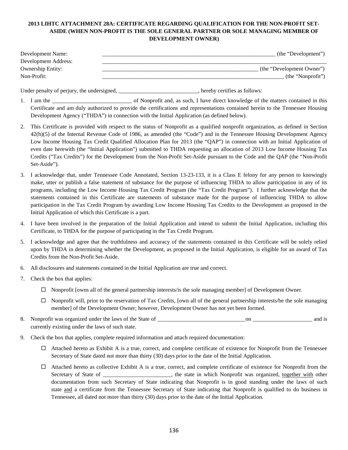## **2013 LIHTC ATTACHMENT 28A: CERTIFICATE REGARDING QUALIFICATION FOR THE NON-PROFIT SET-ASIDE (WHEN NON-PROFIT IS THE SOLE GENERAL PARTNER OR SOLE MANAGING MEMBER OF DEVELOPMENT OWNER)**

| Development Name:        | (the "Development")       |
|--------------------------|---------------------------|
| Development Address:     |                           |
| <b>Ownership Entity:</b> | (the "Development Owner") |
| Non-Profit:              | (the "Nonprofit")         |

Under penalty of perjury, the undersigned, \_\_\_\_\_\_\_\_\_\_\_\_\_\_\_\_\_\_\_\_\_\_\_\_\_\_, hereby certifies as follows:

- 1. I am the \_\_\_\_\_\_\_\_\_\_\_\_\_\_\_\_\_\_\_\_\_\_\_\_\_\_\_\_\_\_\_ of Nonprofit and, as such, I have direct knowledge of the matters contained in this Certificate and am duly authorized to provide the certifications and representations contained herein to the Tennessee Housing Development Agency ("THDA") in connection with the Initial Application (as defined below).
- 2. This Certificate is provided with respect to the status of Nonprofit as a qualified nonprofit organization, as defined in Section 42(h)(5) of the Internal Revenue Code of 1986, as amended (the "Code") and in the Tennessee Housing Development Agency Low Income Housing Tax Credit Qualified Allocation Plan for 2013 (the "QAP") in connection with an Initial Application of even date herewith (the "Initial Application") submitted to THDA requesting an allocation of 2013 Low Income Housing Tax Credits ("Tax Credits") for the Development from the Non-Profit Set-Aside pursuant to the Code and the QAP (the "Non-Profit Set-Aside").
- 3. I acknowledge that, under Tennessee Code Annotated, Section 13-23-133, it is a Class E felony for any person to knowingly make, utter or publish a false statement of substance for the purpose of influencing THDA to allow participation in any of its programs, including the Low Income Housing Tax Credit Program (the "Tax Credit Program"). I further acknowledge that the statements contained in this Certificate are statements of substance made for the purpose of influencing THDA to allow participation in the Tax Credit Program by awarding Low Income Housing Tax Credits to the Development as proposed in the Initial Application of which this Certificate is a part.
- 4. I have been involved in the preparation of the Initial Application and intend to submit the Initial Application, including this Certificate, to THDA for the purpose of participating in the Tax Credit Program.
- 5. I acknowledge and agree that the truthfulness and accuracy of the statements contained in this Certificate will be solely relied upon by THDA in determining whether the Development, as proposed in the Initial Application, is eligible for an award of Tax Credits from the Non-Profit Set-Aside.
- 6. All disclosures and statements contained in the Initial Application are true and correct.
- 7. Check the box that applies:
	- $\Box$  Nonprofit [owns all of the general partnership interests/is the sole managing member] of Development Owner.
	- $\Box$  Nonprofit will, prior to the reservation of Tax Credits, [own all of the general partnership interests/be the sole managing member] of the Development Owner; however, Development Owner has not yet been formed.
- 8. Nonprofit was organized under the laws of the State of \_\_\_\_\_\_\_\_\_\_\_\_\_\_\_\_\_\_\_\_\_\_\_\_\_\_\_\_\_\_\_on \_\_\_\_\_\_\_\_\_\_\_\_\_\_\_\_\_\_\_\_\_ and is currently existing under the laws of such state.
- 9. Check the box that applies, complete required information and attach required documentation:
	- $\Box$  Attached hereto as Exhibit A is a true, correct, and complete certificate of existence for Nonprofit from the Tennessee Secretary of State dated not more than thirty (30) days prior to the date of the Initial Application.
	- $\Box$  Attached hereto as collective Exhibit A is a true, correct, and complete certificate of existence for Nonprofit from the Secretary of State of \_\_\_\_\_\_\_\_\_\_\_\_\_\_\_\_\_\_\_, the state in which Nonprofit was organized, together with other documentation from such Secretary of State indicating that Nonprofit is in good standing under the laws of such state and a certificate from the Tennessee Secretary of State indicating that Nonprofit is qualified to do business in Tennessee, all dated not more than thirty (30) days prior to the date of the Initial Application.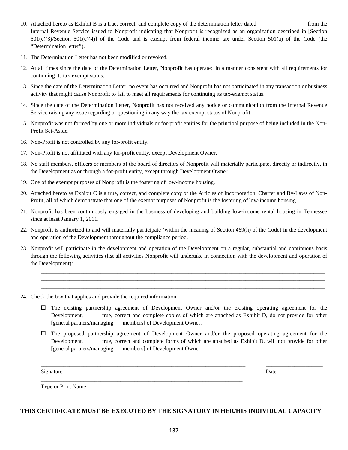- 10. Attached hereto as Exhibit B is a true, correct, and complete copy of the determination letter dated \_\_\_\_\_\_\_\_\_\_\_\_\_\_\_\_\_ from the Internal Revenue Service issued to Nonprofit indicating that Nonprofit is recognized as an organization described in [Section 501(c)(3)/Section 501(c)(4)] of the Code and is exempt from federal income tax under Section 501(a) of the Code (the "Determination letter").
- 11. The Determination Letter has not been modified or revoked.
- 12. At all times since the date of the Determination Letter, Nonprofit has operated in a manner consistent with all requirements for continuing its tax-exempt status.
- 13. Since the date of the Determination Letter, no event has occurred and Nonprofit has not participated in any transaction or business activity that might cause Nonprofit to fail to meet all requirements for continuing its tax-exempt status.
- 14. Since the date of the Determination Letter, Nonprofit has not received any notice or communication from the Internal Revenue Service raising any issue regarding or questioning in any way the tax-exempt status of Nonprofit.
- 15. Nonprofit was not formed by one or more individuals or for-profit entities for the principal purpose of being included in the Non-Profit Set-Aside.
- 16. Non-Profit is not controlled by any for-profit entity.
- 17. Non-Profit is not affiliated with any for-profit entity, except Development Owner.
- 18. No staff members, officers or members of the board of directors of Nonprofit will materially participate, directly or indirectly, in the Development as or through a for-profit entity, except through Development Owner.
- 19. One of the exempt purposes of Nonprofit is the fostering of low-income housing.
- 20. Attached hereto as Exhibit C is a true, correct, and complete copy of the Articles of Incorporation, Charter and By-Laws of Non-Profit, all of which demonstrate that one of the exempt purposes of Nonprofit is the fostering of low-income housing.
- 21. Nonprofit has been continuously engaged in the business of developing and building low-income rental housing in Tennessee since at least January 1, 2011.
- 22. Nonprofit is authorized to and will materially participate (within the meaning of Section 469(h) of the Code) in the development and operation of the Development throughout the compliance period.
- 23. Nonprofit will participate in the development and operation of the Development on a regular, substantial and continuous basis through the following activities (list all activities Nonprofit will undertake in connection with the development and operation of the Development):
- 24. Check the box that applies and provide the required information:
	- $\Box$  The existing partnership agreement of Development Owner and/or the existing operating agreement for the Development, true, correct and complete copies of which are attached as Exhibit D, do not provide for other [general partners/managing members] of Development Owner.

\_\_\_\_\_\_\_\_\_\_\_\_\_\_\_\_\_\_\_\_\_\_\_\_\_\_\_\_\_\_\_\_\_\_\_\_\_\_\_\_\_\_\_\_\_\_\_\_\_\_\_\_\_\_\_\_\_\_\_\_\_\_\_\_\_\_\_\_\_\_\_\_\_\_\_\_\_\_\_\_\_\_\_\_\_\_\_\_\_\_\_\_\_\_\_\_\_\_\_\_ \_\_\_\_\_\_\_\_\_\_\_\_\_\_\_\_\_\_\_\_\_\_\_\_\_\_\_\_\_\_\_\_\_\_\_\_\_\_\_\_\_\_\_\_\_\_\_\_\_\_\_\_\_\_\_\_\_\_\_\_\_\_\_\_\_\_\_\_\_\_\_\_\_\_\_\_\_\_\_\_\_\_\_\_\_\_\_\_\_\_\_\_\_\_\_\_\_\_\_\_ \_\_\_\_\_\_\_\_\_\_\_\_\_\_\_\_\_\_\_\_\_\_\_\_\_\_\_\_\_\_\_\_\_\_\_\_\_\_\_\_\_\_\_\_\_\_\_\_\_\_\_\_\_\_\_\_\_\_\_\_\_\_\_\_\_\_\_\_\_\_\_\_\_\_\_\_\_\_\_\_\_\_\_\_\_\_\_\_\_\_\_\_\_\_\_\_\_\_\_\_

 The proposed partnership agreement of Development Owner and/or the proposed operating agreement for the Development, true, correct and complete forms of which are attached as Exhibit D, will not provide for other [general partners/managing members] of Development Owner.

\_\_\_\_\_\_\_\_\_\_\_\_\_\_\_\_\_\_\_\_\_\_\_\_\_\_\_\_\_\_\_\_\_\_\_\_\_\_\_\_\_\_\_\_\_\_\_\_\_\_\_\_\_\_\_\_\_\_\_\_\_\_\_\_\_\_\_\_\_\_\_\_ \_\_\_\_\_\_\_\_\_\_\_\_\_\_\_\_\_\_\_\_

Signature Date Date of the Date of the Date of the Date of the Date of the Date of the Date of the Date of the Date of the Date of the Date of the Date of the Date of the Date of the Date of the Date of the Date of the Dat

Type or Print Name

#### **THIS CERTIFICATE MUST BE EXECUTED BY THE SIGNATORY IN HER/HIS INDIVIDUAL CAPACITY**

\_\_\_\_\_\_\_\_\_\_\_\_\_\_\_\_\_\_\_\_\_\_\_\_\_\_\_\_\_\_\_\_\_\_\_\_\_\_\_\_\_\_\_\_\_\_\_\_\_\_\_\_\_\_\_\_\_\_\_\_\_\_\_\_\_\_\_\_\_\_\_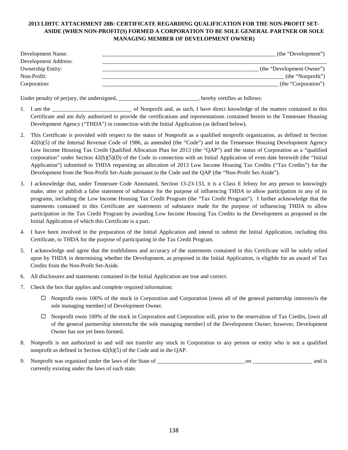## **2013 LIHTC ATTACHMENT 28B: CERTIFICATE REGARDING QUALIFICATION FOR THE NON-PROFIT SET-ASIDE (WHEN NON-PROFIT(S) FORMED A CORPORATION TO BE SOLE GENERAL PARTNER OR SOLE MANAGING MEMBER OF DEVELOPMENT OWNER)**

| Development Name:        | (the "Development")       |
|--------------------------|---------------------------|
| Development Address:     |                           |
| <b>Ownership Entity:</b> | (the "Development Owner") |
| Non-Profit:              | $($ the "Nonprofit" $)$   |
| Corporation:             | (the "Corporation")       |

Under penalty of perjury, the undersigned, \_\_\_\_\_\_\_\_\_\_\_\_\_\_\_\_\_\_\_\_\_\_\_\_\_, hereby certifies as follows:

- 1. I am the \_\_\_\_\_\_\_\_\_\_\_\_\_\_\_\_\_\_\_\_\_\_\_\_\_\_\_\_ of Nonprofit and, as such, I have direct knowledge of the matters contained in this Certificate and am duly authorized to provide the certifications and representations contained herein to the Tennessee Housing Development Agency ("THDA") in connection with the Initial Application (as defined below).
- 2. This Certificate is provided with respect to the status of Nonprofit as a qualified nonprofit organization, as defined in Section 42(h)(5) of the Internal Revenue Code of 1986, as amended (the "Code") and in the Tennessee Housing Development Agency Low Income Housing Tax Credit Qualified Allocation Plan for 2013 (the "QAP") and the status of Corporation as a "qualified corporation" under Section 42(h)(5)(D) of the Code in connection with an Initial Application of even date herewith (the "Initial Application") submitted to THDA requesting an allocation of 2013 Low Income Housing Tax Credits ("Tax Credits") for the Development from the Non-Profit Set-Aside pursuant to the Code and the QAP (the "Non-Profit Set-Aside").
- 3. I acknowledge that, under Tennessee Code Annotated, Section 13-23-133, it is a Class E felony for any person to knowingly make, utter or publish a false statement of substance for the purpose of influencing THDA to allow participation in any of its programs, including the Low Income Housing Tax Credit Program (the "Tax Credit Program"). I further acknowledge that the statements contained in this Certificate are statements of substance made for the purpose of influencing THDA to allow participation in the Tax Credit Program by awarding Low Income Housing Tax Credits to the Development as proposed in the Initial Application of which this Certificate is a part.
- 4. I have been involved in the preparation of the Initial Application and intend to submit the Initial Application, including this Certificate, to THDA for the purpose of participating in the Tax Credit Program.
- 5. I acknowledge and agree that the truthfulness and accuracy of the statements contained in this Certificate will be solely relied upon by THDA in determining whether the Development, as proposed in the Initial Application, is eligible for an award of Tax Credits from the Non-Profit Set-Aside.
- 6. All disclosures and statements contained in the Initial Application are true and correct.
- 7. Check the box that applies and complete required information:
	- $\Box$  Nonprofit owns 100% of the stock in Corporation and Corporation [owns all of the general partnership interests/is the sole managing member] of Development Owner.
	- Nonprofit owns 100% of the stock in Corporation and Corporation will, prior to the reservation of Tax Credits, [own all of the general partnership interests/be the sole managing member] of the Development Owner; however, Development Owner has not yet been formed.
- 8. Nonprofit is not authorized to and will not transfer any stock in Corporation to any person or entity who is not a qualified nonprofit as defined in Section 42(h)(5) of the Code and in the QAP.
- 9. Nonprofit was organized under the laws of the State of \_\_\_\_\_\_\_\_\_\_\_\_\_\_\_\_\_\_\_\_\_\_\_\_\_\_\_\_\_\_\_on \_\_\_\_\_\_\_\_\_\_\_\_\_\_\_\_\_\_\_\_\_ and is currently existing under the laws of such state.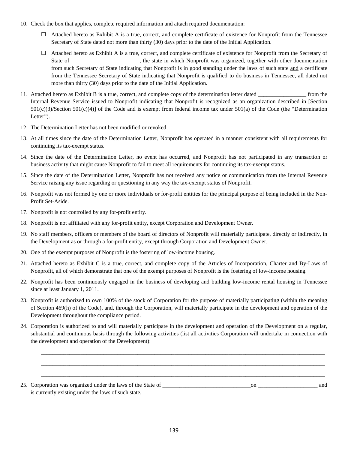- 10. Check the box that applies, complete required information and attach required documentation:
	- $\Box$  Attached hereto as Exhibit A is a true, correct, and complete certificate of existence for Nonprofit from the Tennessee Secretary of State dated not more than thirty (30) days prior to the date of the Initial Application.
	- $\Box$  Attached hereto as Exhibit A is a true, correct, and complete certificate of existence for Nonprofit from the Secretary of State of \_\_\_\_\_\_\_\_\_\_\_\_\_\_\_\_\_, the state in which Nonprofit was organized, together with other documentation from such Secretary of State indicating that Nonprofit is in good standing under the laws of such state and a certificate from the Tennessee Secretary of State indicating that Nonprofit is qualified to do business in Tennessee, all dated not more than thirty (30) days prior to the date of the Initial Application.
- 11. Attached hereto as Exhibit B is a true, correct, and complete copy of the determination letter dated \_\_\_\_\_\_\_\_\_\_\_\_\_\_\_\_\_ from the Internal Revenue Service issued to Nonprofit indicating that Nonprofit is recognized as an organization described in [Section  $501(c)(3)/\text{Section } 501(c)(4)$  of the Code and is exempt from federal income tax under  $501(a)$  of the Code (the "Determination") Letter").
- 12. The Determination Letter has not been modified or revoked.
- 13. At all times since the date of the Determination Letter, Nonprofit has operated in a manner consistent with all requirements for continuing its tax-exempt status.
- 14. Since the date of the Determination Letter, no event has occurred, and Nonprofit has not participated in any transaction or business activity that might cause Nonprofit to fail to meet all requirements for continuing its tax-exempt status.
- 15. Since the date of the Determination Letter, Nonprofit has not received any notice or communication from the Internal Revenue Service raising any issue regarding or questioning in any way the tax-exempt status of Nonprofit.
- 16. Nonprofit was not formed by one or more individuals or for-profit entities for the principal purpose of being included in the Non-Profit Set-Aside.
- 17. Nonprofit is not controlled by any for-profit entity.
- 18. Nonprofit is not affiliated with any for-profit entity, except Corporation and Development Owner.
- 19. No staff members, officers or members of the board of directors of Nonprofit will materially participate, directly or indirectly, in the Development as or through a for-profit entity, except through Corporation and Development Owner.
- 20. One of the exempt purposes of Nonprofit is the fostering of low-income housing.
- 21. Attached hereto as Exhibit C is a true, correct, and complete copy of the Articles of Incorporation, Charter and By-Laws of Nonprofit, all of which demonstrate that one of the exempt purposes of Nonprofit is the fostering of low-income housing.
- 22. Nonprofit has been continuously engaged in the business of developing and building low-income rental housing in Tennessee since at least January 1, 2011.
- 23. Nonprofit is authorized to own 100% of the stock of Corporation for the purpose of materially participating (within the meaning of Section 469(h) of the Code), and, through the Corporation, will materially participate in the development and operation of the Development throughout the compliance period.
- 24. Corporation is authorized to and will materially participate in the development and operation of the Development on a regular, substantial and continuous basis through the following activities (list all activities Corporation will undertake in connection with the development and operation of the Development):

\_\_\_\_\_\_\_\_\_\_\_\_\_\_\_\_\_\_\_\_\_\_\_\_\_\_\_\_\_\_\_\_\_\_\_\_\_\_\_\_\_\_\_\_\_\_\_\_\_\_\_\_\_\_\_\_\_\_\_\_\_\_\_\_\_\_\_\_\_\_\_\_\_\_\_\_\_\_\_\_\_\_\_\_\_\_\_\_\_\_\_\_\_\_\_\_\_\_\_\_ \_\_\_\_\_\_\_\_\_\_\_\_\_\_\_\_\_\_\_\_\_\_\_\_\_\_\_\_\_\_\_\_\_\_\_\_\_\_\_\_\_\_\_\_\_\_\_\_\_\_\_\_\_\_\_\_\_\_\_\_\_\_\_\_\_\_\_\_\_\_\_\_\_\_\_\_\_\_\_\_\_\_\_\_\_\_\_\_\_\_\_\_\_\_\_\_\_\_\_\_ \_\_\_\_\_\_\_\_\_\_\_\_\_\_\_\_\_\_\_\_\_\_\_\_\_\_\_\_\_\_\_\_\_\_\_\_\_\_\_\_\_\_\_\_\_\_\_\_\_\_\_\_\_\_\_\_\_\_\_\_\_\_\_\_\_\_\_\_\_\_\_\_\_\_\_\_\_\_\_\_\_\_\_\_\_\_\_\_\_\_\_\_\_\_\_\_\_\_\_\_

| 25. Corporation was organized under the laws of the State of |  | and |
|--------------------------------------------------------------|--|-----|
| is currently existing under the laws of such state.          |  |     |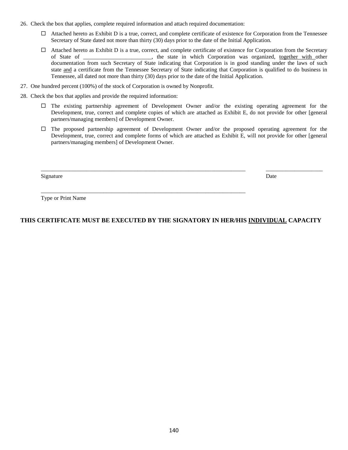- 26. Check the box that applies, complete required information and attach required documentation:
	- $\Box$  Attached hereto as Exhibit D is a true, correct, and complete certificate of existence for Corporation from the Tennessee Secretary of State dated not more than thirty (30) days prior to the date of the Initial Application.
	- $\Box$  Attached hereto as Exhibit D is a true, correct, and complete certificate of existence for Corporation from the Secretary of State of \_\_\_\_\_\_\_\_\_\_\_\_\_\_\_\_\_\_\_\_\_\_\_\_, the state in which Corporation was organized, together with other documentation from such Secretary of State indicating that Corporation is in good standing under the laws of such state and a certificate from the Tennessee Secretary of State indicating that Corporation is qualified to do business in Tennessee, all dated not more than thirty (30) days prior to the date of the Initial Application.
- 27. One hundred percent (100%) of the stock of Corporation is owned by Nonprofit.
- 28. Check the box that applies and provide the required information:
	- $\Box$  The existing partnership agreement of Development Owner and/or the existing operating agreement for the Development, true, correct and complete copies of which are attached as Exhibit E, do not provide for other [general partners/managing members] of Development Owner.
	- $\Box$  The proposed partnership agreement of Development Owner and/or the proposed operating agreement for the Development, true, correct and complete forms of which are attached as Exhibit E, will not provide for other [general partners/managing members] of Development Owner.

\_\_\_\_\_\_\_\_\_\_\_\_\_\_\_\_\_\_\_\_\_\_\_\_\_\_\_\_\_\_\_\_\_\_\_\_\_\_\_\_\_\_\_\_\_\_\_\_\_\_\_\_\_\_\_\_\_\_\_\_\_\_\_\_\_\_\_\_\_\_\_\_ \_\_\_\_\_\_\_\_\_\_\_\_\_\_\_\_\_\_\_\_

Signature Date Date of the Date of the Date of the Date of the Date of the Date of the Date of the Date of the Date of the Date of the Date of the Date of the Date of the Date of the Date of the Date of the Date of the Dat

Type or Print Name

## **THIS CERTIFICATE MUST BE EXECUTED BY THE SIGNATORY IN HER/HIS INDIVIDUAL CAPACITY**

\_\_\_\_\_\_\_\_\_\_\_\_\_\_\_\_\_\_\_\_\_\_\_\_\_\_\_\_\_\_\_\_\_\_\_\_\_\_\_\_\_\_\_\_\_\_\_\_\_\_\_\_\_\_\_\_\_\_\_\_\_\_\_\_\_\_\_\_\_\_\_\_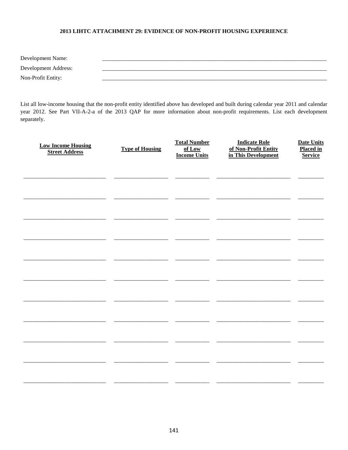#### 2013 LIHTC ATTACHMENT 29: EVIDENCE OF NON-PROFIT HOUSING EXPERIENCE

| Development Name:    |  |
|----------------------|--|
| Development Address: |  |
| Non-Profit Entity:   |  |

List all low-income housing that the non-profit entity identified above has developed and built during calendar year 2011 and calendar year 2012. See Part VII-A-2-a of the 2013 QAP for more information about non-profit requirements. List each development separately.

| <b>Low Income Housing</b><br><b>Street Address</b> | <b>Type of Housing</b> | <b>Total Number</b><br>of Low<br><b>Income Units</b> | <b>Indicate Role</b><br>of Non-Profit Entity<br>in This Development | <b>Date Units</b><br><b>Placed in</b><br><b>Service</b> |
|----------------------------------------------------|------------------------|------------------------------------------------------|---------------------------------------------------------------------|---------------------------------------------------------|
|                                                    |                        |                                                      |                                                                     |                                                         |
|                                                    |                        |                                                      |                                                                     |                                                         |
|                                                    |                        |                                                      |                                                                     |                                                         |
|                                                    |                        |                                                      |                                                                     |                                                         |
|                                                    |                        |                                                      |                                                                     |                                                         |
|                                                    |                        |                                                      |                                                                     |                                                         |
|                                                    |                        |                                                      |                                                                     |                                                         |
|                                                    |                        |                                                      |                                                                     |                                                         |
|                                                    |                        |                                                      |                                                                     |                                                         |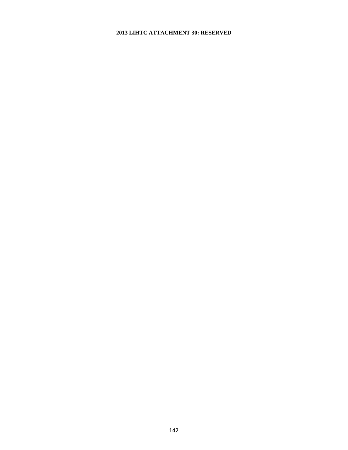### **2013 LIHTC ATTACHMENT 30: RESERVED**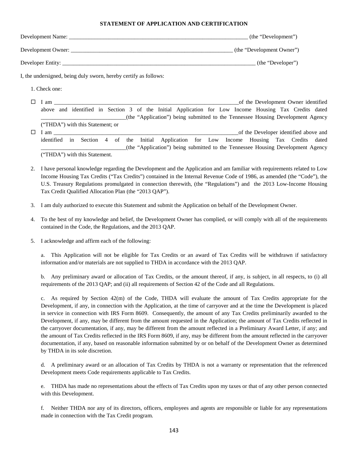#### **STATEMENT OF APPLICATION AND CERTIFICATION**

| Development Name:  | (the "Development")       |
|--------------------|---------------------------|
| Development Owner: | (the "Development Owner") |
| Developer Entity:  | (the "Developer")         |

I, the undersigned, being duly sworn, hereby certify as follows:

1. Check one:

 $\Box$  I am  $\Box$  I am  $\Box$  I am  $\Box$  I am  $\Box$  I am  $\Box$  I am  $\Box$  I am  $\Box$  I am  $\Box$  I am  $\Box$  I am  $\Box$  I am  $\Box$  I am  $\Box$  I am  $\Box$  I am  $\Box$  I am  $\Box$  I am  $\Box$  I am  $\Box$  I am  $\Box$  I am  $\Box$  I am  $\Box$  I am  $\Box$  I am above and identified in Section 3 of the Initial Application for Low Income Housing Tax Credits dated \_\_\_\_\_\_\_\_\_\_\_\_\_\_\_\_\_\_\_\_\_\_\_\_\_\_\_\_\_\_(the "Application") being submitted to the Tennessee Housing Development Agency ("THDA") with this Statement; or  $\Box$  I am  $\Box$  am  $\Box$  is the Developer identified above and identified in Section 4 of the Initial Application for Low Income Housing Tax Credits dated \_\_\_\_\_\_\_\_\_\_\_\_\_\_\_\_\_\_\_\_\_\_\_\_\_\_\_\_\_\_(the "Application") being submitted to the Tennessee Housing Development Agency

("THDA") with this Statement.

- 2. I have personal knowledge regarding the Development and the Application and am familiar with requirements related to Low Income Housing Tax Credits ("Tax Credits") contained in the Internal Revenue Code of 1986, as amended (the "Code"), the U.S. Treasury Regulations promulgated in connection therewith, (the "Regulations") and the 2013 Low-Income Housing Tax Credit Qualified Allocation Plan (the "2013 QAP").
- 3. I am duly authorized to execute this Statement and submit the Application on behalf of the Development Owner.
- 4. To the best of my knowledge and belief, the Development Owner has complied, or will comply with all of the requirements contained in the Code, the Regulations, and the 2013 QAP.
- 5. I acknowledge and affirm each of the following:

a. This Application will not be eligible for Tax Credits or an award of Tax Credits will be withdrawn if satisfactory information and/or materials are not supplied to THDA in accordance with the 2013 QAP.

b. Any preliminary award or allocation of Tax Credits, or the amount thereof, if any, is subject, in all respects, to (i) all requirements of the 2013 QAP; and (ii) all requirements of Section 42 of the Code and all Regulations.

c. As required by Section 42(m) of the Code, THDA will evaluate the amount of Tax Credits appropriate for the Development, if any, in connection with the Application, at the time of carryover and at the time the Development is placed in service in connection with IRS Form 8609. Consequently, the amount of any Tax Credits preliminarily awarded to the Development, if any, may be different from the amount requested in the Application; the amount of Tax Credits reflected in the carryover documentation, if any, may be different from the amount reflected in a Preliminary Award Letter, if any; and the amount of Tax Credits reflected in the IRS Form 8609, if any, may be different from the amount reflected in the carryover documentation, if any, based on reasonable information submitted by or on behalf of the Development Owner as determined by THDA in its sole discretion.

d. A preliminary award or an allocation of Tax Credits by THDA is not a warranty or representation that the referenced Development meets Code requirements applicable to Tax Credits.

e. THDA has made no representations about the effects of Tax Credits upon my taxes or that of any other person connected with this Development.

f. Neither THDA nor any of its directors, officers, employees and agents are responsible or liable for any representations made in connection with the Tax Credit program.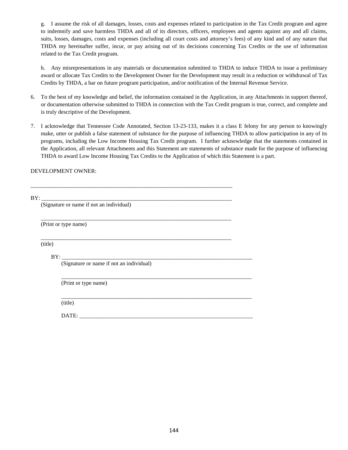g. I assume the risk of all damages, losses, costs and expenses related to participation in the Tax Credit program and agree to indemnify and save harmless THDA and all of its directors, officers, employees and agents against any and all claims, suits, losses, damages, costs and expenses (including all court costs and attorney's fees) of any kind and of any nature that THDA my hereinafter suffer, incur, or pay arising out of its decisions concerning Tax Credits or the use of information related to the Tax Credit program.

h. Any misrepresentations in any materials or documentation submitted to THDA to induce THDA to issue a preliminary award or allocate Tax Credits to the Development Owner for the Development may result in a reduction or withdrawal of Tax Credits by THDA, a bar on future program participation, and/or notification of the Internal Revenue Service.

- 6. To the best of my knowledge and belief, the information contained in the Application, in any Attachments in support thereof, or documentation otherwise submitted to THDA in connection with the Tax Credit program is true, correct, and complete and is truly descriptive of the Development.
- 7. I acknowledge that Tennessee Code Annotated, Section 13-23-133, makes it a class E felony for any person to knowingly make, utter or publish a false statement of substance for the purpose of influencing THDA to allow participation in any of its programs, including the Low Income Housing Tax Credit program. I further acknowledge that the statements contained in the Application, all relevant Attachments and this Statement are statements of substance made for the purpose of influencing THDA to award Low Income Housing Tax Credits to the Application of which this Statement is a part.

#### DEVELOPMENT OWNER:

| BY:     |                                          |  |
|---------|------------------------------------------|--|
|         | (Signature or name if not an individual) |  |
|         | (Print or type name)                     |  |
| (title) |                                          |  |
|         | BY:                                      |  |
|         | (Signature or name if not an individual) |  |
|         | (Print or type name)                     |  |
|         | (title)                                  |  |
|         |                                          |  |